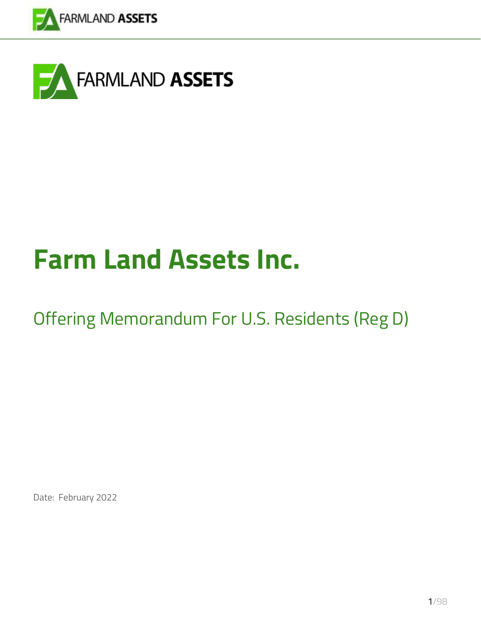



# **Farm Land Assets Inc.**

## Offering Memorandum For U.S. Residents (Reg D)

Date: February 2022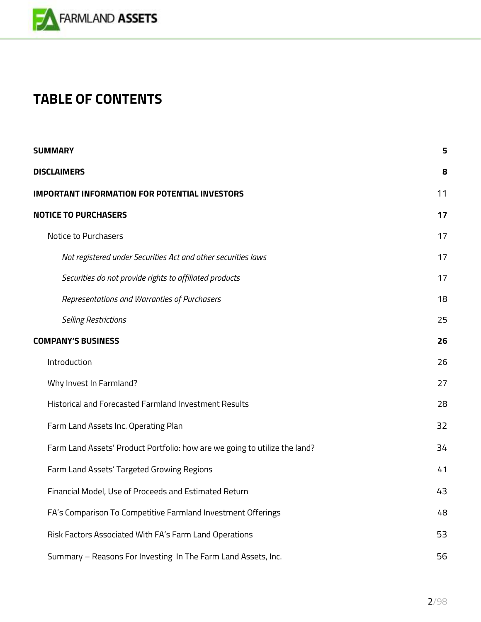

## **TABLE OF CONTENTS**

| <b>SUMMARY</b>                                                             | 5  |
|----------------------------------------------------------------------------|----|
| <b>DISCLAIMERS</b>                                                         | 8  |
| <b>IMPORTANT INFORMATION FOR POTENTIAL INVESTORS</b>                       | 11 |
| <b>NOTICE TO PURCHASERS</b>                                                | 17 |
| Notice to Purchasers                                                       | 17 |
| Not registered under Securities Act and other securities laws              | 17 |
| Securities do not provide rights to affiliated products                    | 17 |
| Representations and Warranties of Purchasers                               | 18 |
| <b>Selling Restrictions</b>                                                | 25 |
| <b>COMPANY'S BUSINESS</b>                                                  | 26 |
| Introduction                                                               | 26 |
| Why Invest In Farmland?                                                    | 27 |
| Historical and Forecasted Farmland Investment Results                      | 28 |
| Farm Land Assets Inc. Operating Plan                                       | 32 |
| Farm Land Assets' Product Portfolio: how are we going to utilize the land? | 34 |
| Farm Land Assets' Targeted Growing Regions                                 | 41 |
| Financial Model, Use of Proceeds and Estimated Return                      | 43 |
| FA's Comparison To Competitive Farmland Investment Offerings               | 48 |
| Risk Factors Associated With FA's Farm Land Operations                     | 53 |
| Summary - Reasons For Investing In The Farm Land Assets, Inc.              | 56 |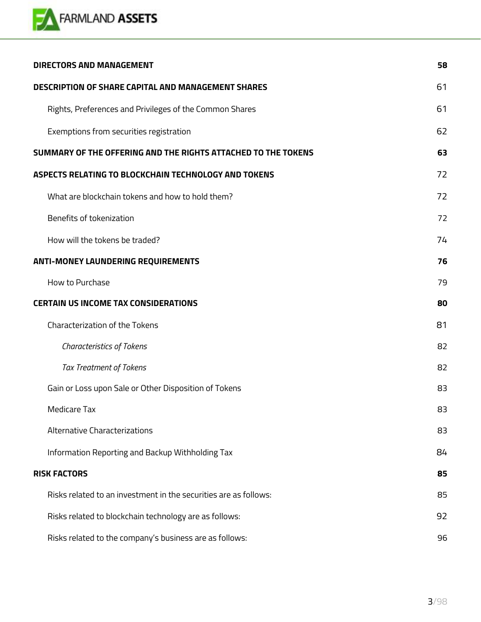

| <b>DIRECTORS AND MANAGEMENT</b>                                  |    |
|------------------------------------------------------------------|----|
| <b>DESCRIPTION OF SHARE CAPITAL AND MANAGEMENT SHARES</b>        | 61 |
| Rights, Preferences and Privileges of the Common Shares          | 61 |
| Exemptions from securities registration                          | 62 |
| SUMMARY OF THE OFFERING AND THE RIGHTS ATTACHED TO THE TOKENS    | 63 |
| ASPECTS RELATING TO BLOCKCHAIN TECHNOLOGY AND TOKENS             | 72 |
| What are blockchain tokens and how to hold them?                 | 72 |
| Benefits of tokenization                                         | 72 |
| How will the tokens be traded?                                   | 74 |
| <b>ANTI-MONEY LAUNDERING REQUIREMENTS</b>                        | 76 |
| How to Purchase                                                  | 79 |
| <b>CERTAIN US INCOME TAX CONSIDERATIONS</b>                      | 80 |
| Characterization of the Tokens                                   | 81 |
| <b>Characteristics of Tokens</b>                                 | 82 |
| <b>Tax Treatment of Tokens</b>                                   | 82 |
| Gain or Loss upon Sale or Other Disposition of Tokens            | 83 |
| <b>Medicare Tax</b>                                              | 83 |
| <b>Alternative Characterizations</b>                             | 83 |
| Information Reporting and Backup Withholding Tax                 | 84 |
| <b>RISK FACTORS</b>                                              | 85 |
| Risks related to an investment in the securities are as follows: | 85 |
| Risks related to blockchain technology are as follows:           | 92 |
| Risks related to the company's business are as follows:          | 96 |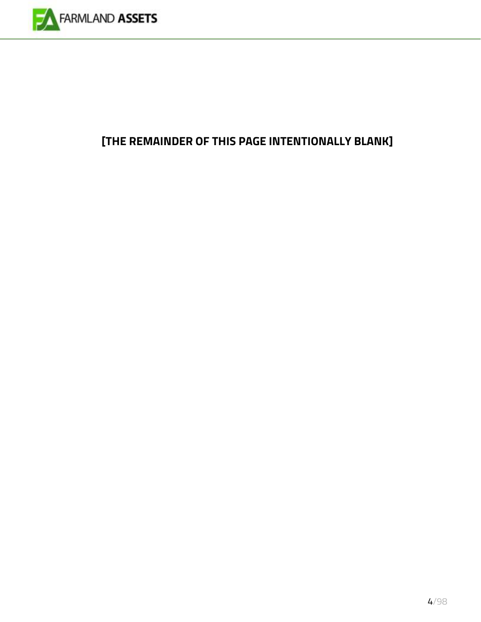

## **[THE REMAINDER OF THIS PAGE INTENTIONALLY BLANK]**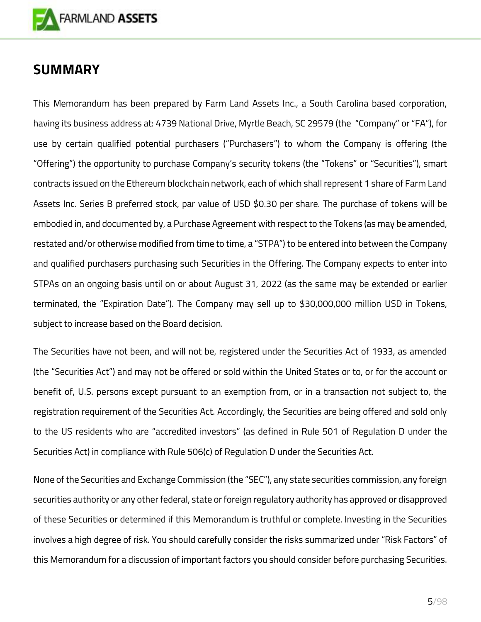

## <span id="page-4-0"></span>**SUMMARY**

This Memorandum has been prepared by Farm Land Assets Inc., a South Carolina based corporation, having its business address at: 4739 National Drive, Myrtle Beach, SC 29579 (the "Company" or "FA"), for use by certain qualified potential purchasers ("Purchasers") to whom the Company is offering (the "Offering") the opportunity to purchase Company's security tokens (the "Tokens" or "Securities"), smart contracts issued on the Ethereum blockchain network, each of which shall represent 1 share of Farm Land Assets Inc. Series B preferred stock, par value of USD \$0.30 per share. The purchase of tokens will be embodied in, and documented by, a Purchase Agreement with respect to the Tokens (as may be amended, restated and/or otherwise modified from time to time, a "STPA") to be entered into between the Company and qualified purchasers purchasing such Securities in the Offering. The Company expects to enter into STPAs on an ongoing basis until on or about August 31, 2022 (as the same may be extended or earlier terminated, the "Expiration Date"). The Company may sell up to \$30,000,000 million USD in Tokens, subject to increase based on the Board decision.

The Securities have not been, and will not be, registered under the Securities Act of 1933, as amended (the "Securities Act") and may not be offered or sold within the United States or to, or for the account or benefit of, U.S. persons except pursuant to an exemption from, or in a transaction not subject to, the registration requirement of the Securities Act. Accordingly, the Securities are being offered and sold only to the US residents who are "accredited investors" (as defined in Rule 501 of Regulation D under the Securities Act) in compliance with Rule 506(c) of Regulation D under the Securities Act.

None of the Securities and Exchange Commission (the "SEC"), any state securities commission, any foreign securities authority or any other federal, state or foreign regulatory authority has approved or disapproved of these Securities or determined if this Memorandum is truthful or complete. Investing in the Securities involves a high degree of risk. You should carefully consider the risks summarized under "Risk Factors" of this Memorandum for a discussion of important factors you should consider before purchasing Securities.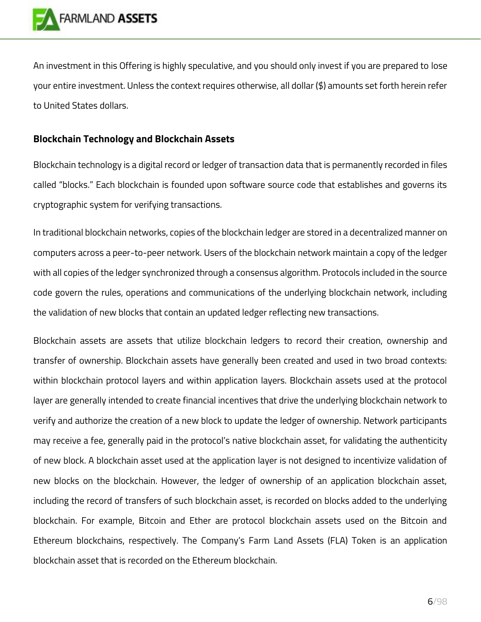An investment in this Offering is highly speculative, and you should only invest if you are prepared to lose your entire investment. Unless the context requires otherwise, all dollar (\$) amounts set forth herein refer to United States dollars.

#### **Blockchain Technology and Blockchain Assets**

Blockchain technology is a digital record or ledger of transaction data that is permanently recorded in files called "blocks." Each blockchain is founded upon software source code that establishes and governs its cryptographic system for verifying transactions.

In traditional blockchain networks, copies of the blockchain ledger are stored in a decentralized manner on computers across a peer-to-peer network. Users of the blockchain network maintain a copy of the ledger with all copies of the ledger synchronized through a consensus algorithm. Protocols included in the source code govern the rules, operations and communications of the underlying blockchain network, including the validation of new blocks that contain an updated ledger reflecting new transactions.

Blockchain assets are assets that utilize blockchain ledgers to record their creation, ownership and transfer of ownership. Blockchain assets have generally been created and used in two broad contexts: within blockchain protocol layers and within application layers. Blockchain assets used at the protocol layer are generally intended to create financial incentives that drive the underlying blockchain network to verify and authorize the creation of a new block to update the ledger of ownership. Network participants may receive a fee, generally paid in the protocol's native blockchain asset, for validating the authenticity of new block. A blockchain asset used at the application layer is not designed to incentivize validation of new blocks on the blockchain. However, the ledger of ownership of an application blockchain asset, including the record of transfers of such blockchain asset, is recorded on blocks added to the underlying blockchain. For example, Bitcoin and Ether are protocol blockchain assets used on the Bitcoin and Ethereum blockchains, respectively. The Company's Farm Land Assets (FLA) Token is an application blockchain asset that is recorded on the Ethereum blockchain.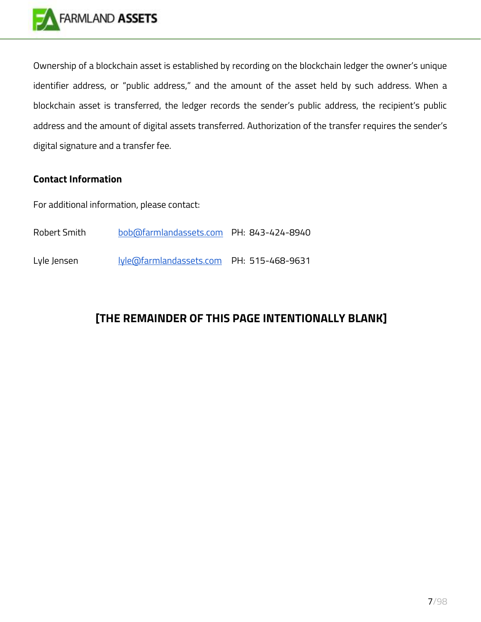

Ownership of a blockchain asset is established by recording on the blockchain ledger the owner's unique identifier address, or "public address," and the amount of the asset held by such address. When a blockchain asset is transferred, the ledger records the sender's public address, the recipient's public address and the amount of digital assets transferred. Authorization of the transfer requires the sender's digital signature and a transfer fee.

#### **Contact Information**

For additional information, please contact:

| Robert Smith | bob@farmlandassets.com PH: 843-424-8940 |  |  |
|--------------|-----------------------------------------|--|--|
|              |                                         |  |  |

Lyle Jensen [lyle@farmlandassets.com](mailto:lyle@farmlandassets.com) PH: 515-468-9631

## **[THE REMAINDER OF THIS PAGE INTENTIONALLY BLANK]**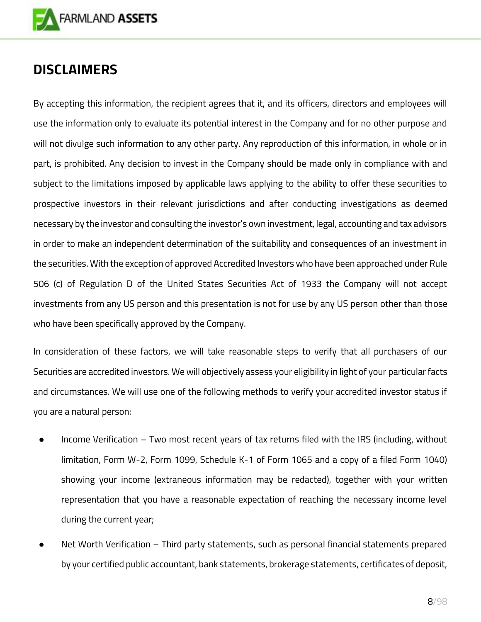

## <span id="page-7-0"></span>**DISCLAIMERS**

By accepting this information, the recipient agrees that it, and its officers, directors and employees will use the information only to evaluate its potential interest in the Company and for no other purpose and will not divulge such information to any other party. Any reproduction of this information, in whole or in part, is prohibited. Any decision to invest in the Company should be made only in compliance with and subject to the limitations imposed by applicable laws applying to the ability to offer these securities to prospective investors in their relevant jurisdictions and after conducting investigations as deemed necessary by the investor and consulting the investor's own investment, legal, accounting and tax advisors in order to make an independent determination of the suitability and consequences of an investment in the securities. With the exception of approved Accredited Investors who have been approached under Rule 506 (c) of Regulation D of the United States Securities Act of 1933 the Company will not accept investments from any US person and this presentation is not for use by any US person other than those who have been specifically approved by the Company.

In consideration of these factors, we will take reasonable steps to verify that all purchasers of our Securities are accredited investors. We will objectively assess your eligibility in light of your particular facts and circumstances. We will use one of the following methods to verify your accredited investor status if you are a natural person:

- Income Verification Two most recent years of tax returns filed with the IRS (including, without limitation, Form W-2, Form 1099, Schedule K-1 of Form 1065 and a copy of a filed Form 1040) showing your income (extraneous information may be redacted), together with your written representation that you have a reasonable expectation of reaching the necessary income level during the current year;
- Net Worth Verification Third party statements, such as personal financial statements prepared by your certified public accountant, bank statements, brokerage statements, certificates of deposit,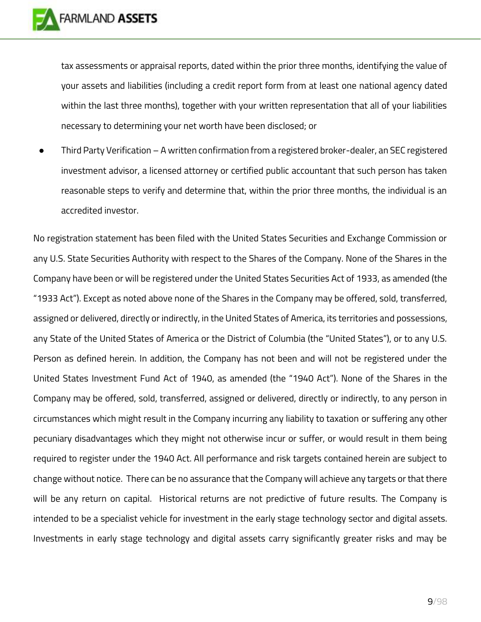tax assessments or appraisal reports, dated within the prior three months, identifying the value of your assets and liabilities (including a credit report form from at least one national agency dated within the last three months), together with your written representation that all of your liabilities necessary to determining your net worth have been disclosed; or

Third Party Verification – A written confirmation from a registered broker-dealer, an SEC registered investment advisor, a licensed attorney or certified public accountant that such person has taken reasonable steps to verify and determine that, within the prior three months, the individual is an accredited investor.

No registration statement has been filed with the United States Securities and Exchange Commission or any U.S. State Securities Authority with respect to the Shares of the Company. None of the Shares in the Company have been or will be registered under the United States Securities Act of 1933, as amended (the "1933 Act"). Except as noted above none of the Shares in the Company may be offered, sold, transferred, assigned or delivered, directly or indirectly, in the United States of America, its territories and possessions, any State of the United States of America or the District of Columbia (the "United States"), or to any U.S. Person as defined herein. In addition, the Company has not been and will not be registered under the United States Investment Fund Act of 1940, as amended (the "1940 Act"). None of the Shares in the Company may be offered, sold, transferred, assigned or delivered, directly or indirectly, to any person in circumstances which might result in the Company incurring any liability to taxation or suffering any other pecuniary disadvantages which they might not otherwise incur or suffer, or would result in them being required to register under the 1940 Act. All performance and risk targets contained herein are subject to change without notice. There can be no assurance that the Company will achieve any targets or that there will be any return on capital. Historical returns are not predictive of future results. The Company is intended to be a specialist vehicle for investment in the early stage technology sector and digital assets. Investments in early stage technology and digital assets carry significantly greater risks and may be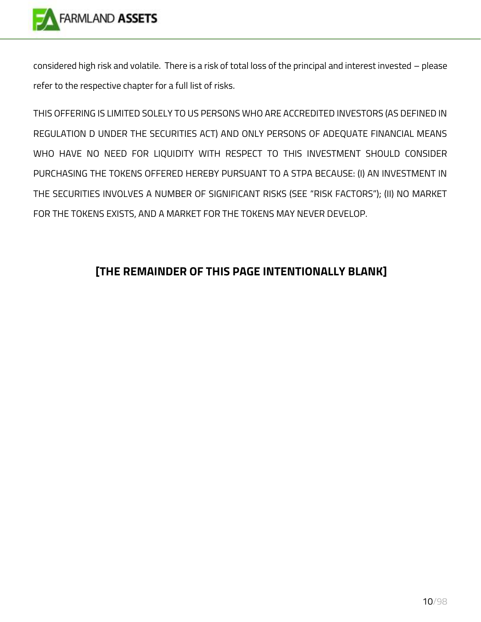

considered high risk and volatile. There is a risk of total loss of the principal and interest invested – please refer to the respective chapter for a full list of risks.

THIS OFFERING IS LIMITED SOLELY TO US PERSONS WHO ARE ACCREDITED INVESTORS (AS DEFINED IN REGULATION D UNDER THE SECURITIES ACT) AND ONLY PERSONS OF ADEQUATE FINANCIAL MEANS WHO HAVE NO NEED FOR LIQUIDITY WITH RESPECT TO THIS INVESTMENT SHOULD CONSIDER PURCHASING THE TOKENS OFFERED HEREBY PURSUANT TO A STPA BECAUSE: (I) AN INVESTMENT IN THE SECURITIES INVOLVES A NUMBER OF SIGNIFICANT RISKS (SEE "RISK FACTORS"); (II) NO MARKET FOR THE TOKENS EXISTS, AND A MARKET FOR THE TOKENS MAY NEVER DEVELOP.

## **[THE REMAINDER OF THIS PAGE INTENTIONALLY BLANK]**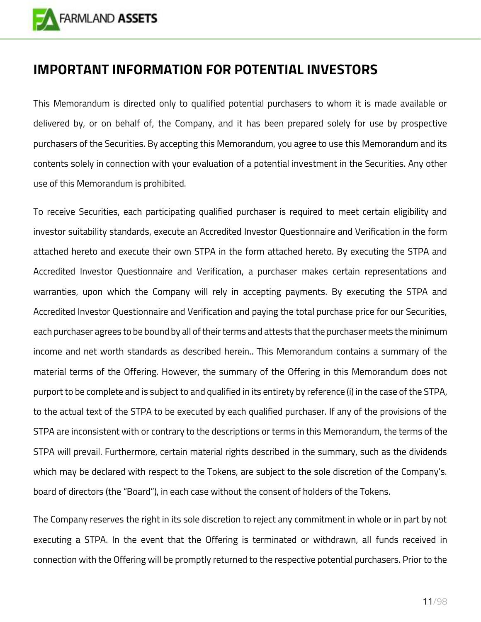

## <span id="page-10-0"></span>**IMPORTANT INFORMATION FOR POTENTIAL INVESTORS**

This Memorandum is directed only to qualified potential purchasers to whom it is made available or delivered by, or on behalf of, the Company, and it has been prepared solely for use by prospective purchasers of the Securities. By accepting this Memorandum, you agree to use this Memorandum and its contents solely in connection with your evaluation of a potential investment in the Securities. Any other use of this Memorandum is prohibited.

To receive Securities, each participating qualified purchaser is required to meet certain eligibility and investor suitability standards, execute an Accredited Investor Questionnaire and Verification in the form attached hereto and execute their own STPA in the form attached hereto. By executing the STPA and Accredited Investor Questionnaire and Verification, a purchaser makes certain representations and warranties, upon which the Company will rely in accepting payments. By executing the STPA and Accredited Investor Questionnaire and Verification and paying the total purchase price for our Securities, each purchaser agrees to be bound by all of their terms and attests that the purchaser meets the minimum income and net worth standards as described herein.. This Memorandum contains a summary of the material terms of the Offering. However, the summary of the Offering in this Memorandum does not purport to be complete and is subject to and qualified in its entirety by reference (i) in the case of the STPA, to the actual text of the STPA to be executed by each qualified purchaser. If any of the provisions of the STPA are inconsistent with or contrary to the descriptions or terms in this Memorandum, the terms of the STPA will prevail. Furthermore, certain material rights described in the summary, such as the dividends which may be declared with respect to the Tokens, are subject to the sole discretion of the Company's. board of directors (the "Board"), in each case without the consent of holders of the Tokens.

The Company reserves the right in its sole discretion to reject any commitment in whole or in part by not executing a STPA. In the event that the Offering is terminated or withdrawn, all funds received in connection with the Offering will be promptly returned to the respective potential purchasers. Prior to the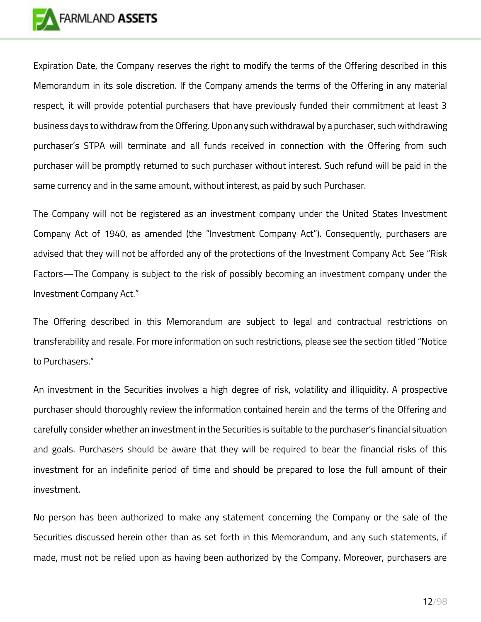

Expiration Date, the Company reserves the right to modify the terms of the Offering described in this Memorandum in its sole discretion. If the Company amends the terms of the Offering in any material respect, it will provide potential purchasers that have previously funded their commitment at least 3 business days to withdraw from the Offering. Upon any such withdrawal by a purchaser, such withdrawing purchaser's STPA will terminate and all funds received in connection with the Offering from such purchaser will be promptly returned to such purchaser without interest. Such refund will be paid in the same currency and in the same amount, without interest, as paid by such Purchaser.

The Company will not be registered as an investment company under the United States Investment Company Act of 1940, as amended (the "Investment Company Act"). Consequently, purchasers are advised that they will not be afforded any of the protections of the Investment Company Act. See "Risk Factors—The Company is subject to the risk of possibly becoming an investment company under the Investment Company Act."

The Offering described in this Memorandum are subject to legal and contractual restrictions on transferability and resale. For more information on such restrictions, please see the section titled "Notice to Purchasers."

An investment in the Securities involves a high degree of risk, volatility and illiquidity. A prospective purchaser should thoroughly review the information contained herein and the terms of the Offering and carefully consider whether an investment in the Securities is suitable to the purchaser's financial situation and goals. Purchasers should be aware that they will be required to bear the financial risks of this investment for an indefinite period of time and should be prepared to lose the full amount of their investment.

No person has been authorized to make any statement concerning the Company or the sale of the Securities discussed herein other than as set forth in this Memorandum, and any such statements, if made, must not be relied upon as having been authorized by the Company. Moreover, purchasers are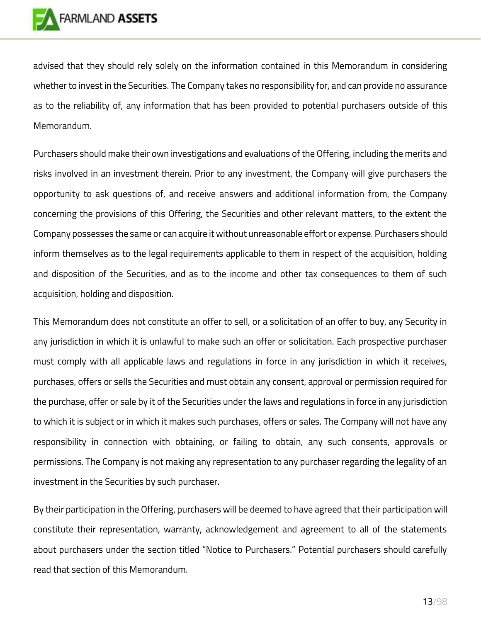advised that they should rely solely on the information contained in this Memorandum in considering whether to invest in the Securities. The Company takes no responsibility for, and can provide no assurance as to the reliability of, any information that has been provided to potential purchasers outside of this Memorandum.

Purchasers should make their own investigations and evaluations of the Offering, including the merits and risks involved in an investment therein. Prior to any investment, the Company will give purchasers the opportunity to ask questions of, and receive answers and additional information from, the Company concerning the provisions of this Offering, the Securities and other relevant matters, to the extent the Company possesses the same or can acquire it without unreasonable effort or expense. Purchasers should inform themselves as to the legal requirements applicable to them in respect of the acquisition, holding and disposition of the Securities, and as to the income and other tax consequences to them of such acquisition, holding and disposition.

This Memorandum does not constitute an offer to sell, or a solicitation of an offer to buy, any Security in any jurisdiction in which it is unlawful to make such an offer or solicitation. Each prospective purchaser must comply with all applicable laws and regulations in force in any jurisdiction in which it receives, purchases, offers or sells the Securities and must obtain any consent, approval or permission required for the purchase, offer or sale by it of the Securities under the laws and regulations in force in any jurisdiction to which it is subject or in which it makes such purchases, offers or sales. The Company will not have any responsibility in connection with obtaining, or failing to obtain, any such consents, approvals or permissions. The Company is not making any representation to any purchaser regarding the legality of an investment in the Securities by such purchaser.

By their participation in the Offering, purchasers will be deemed to have agreed that their participation will constitute their representation, warranty, acknowledgement and agreement to all of the statements about purchasers under the section titled "Notice to Purchasers." Potential purchasers should carefully read that section of this Memorandum.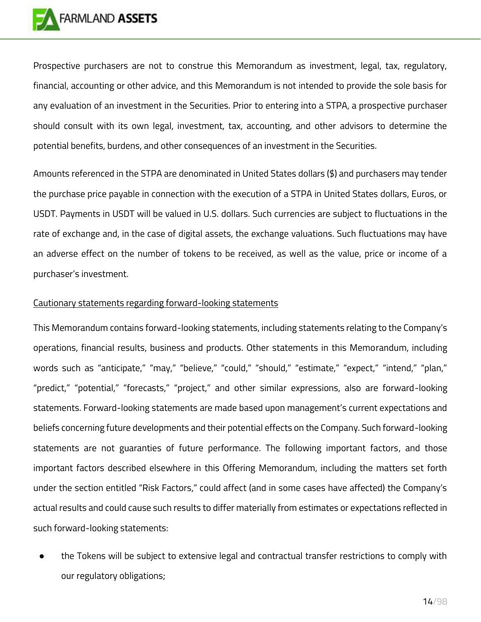

Prospective purchasers are not to construe this Memorandum as investment, legal, tax, regulatory, financial, accounting or other advice, and this Memorandum is not intended to provide the sole basis for any evaluation of an investment in the Securities. Prior to entering into a STPA, a prospective purchaser should consult with its own legal, investment, tax, accounting, and other advisors to determine the potential benefits, burdens, and other consequences of an investment in the Securities.

Amounts referenced in the STPA are denominated in United States dollars (\$) and purchasers may tender the purchase price payable in connection with the execution of a STPA in United States dollars, Euros, or USDT. Payments in USDT will be valued in U.S. dollars. Such currencies are subject to fluctuations in the rate of exchange and, in the case of digital assets, the exchange valuations. Such fluctuations may have an adverse effect on the number of tokens to be received, as well as the value, price or income of a purchaser's investment.

#### Cautionary statements regarding forward-looking statements

This Memorandum contains forward-looking statements, including statements relating to the Company's operations, financial results, business and products. Other statements in this Memorandum, including words such as "anticipate," "may," "believe," "could," "should," "estimate," "expect," "intend," "plan," "predict," "potential," "forecasts," "project," and other similar expressions, also are forward-looking statements. Forward-looking statements are made based upon management's current expectations and beliefs concerning future developments and their potential effects on the Company. Such forward-looking statements are not guaranties of future performance. The following important factors, and those important factors described elsewhere in this Offering Memorandum, including the matters set forth under the section entitled "Risk Factors," could affect (and in some cases have affected) the Company's actual results and could cause such results to differ materially from estimates or expectations reflected in such forward-looking statements:

the Tokens will be subject to extensive legal and contractual transfer restrictions to comply with our regulatory obligations;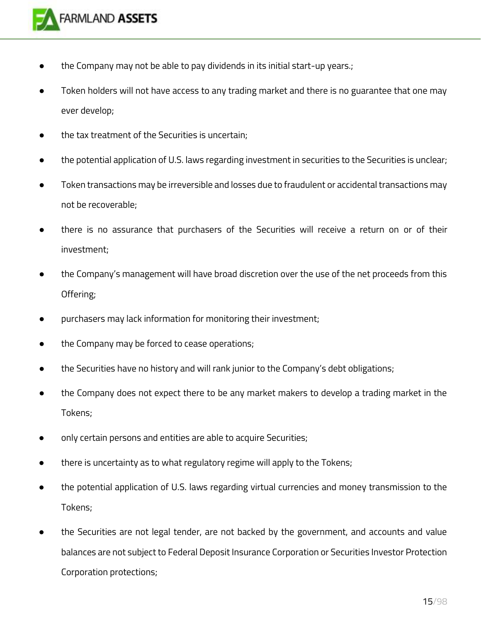- the Company may not be able to pay dividends in its initial start-up years.;
- Token holders will not have access to any trading market and there is no guarantee that one may ever develop;
- the tax treatment of the Securities is uncertain;
- the potential application of U.S. laws regarding investment in securities to the Securities is unclear;
- Token transactions may be irreversible and losses due to fraudulent or accidental transactions may not be recoverable;
- there is no assurance that purchasers of the Securities will receive a return on or of their investment;
- the Company's management will have broad discretion over the use of the net proceeds from this Offering;
- purchasers may lack information for monitoring their investment;
- the Company may be forced to cease operations;
- the Securities have no history and will rank junior to the Company's debt obligations;
- the Company does not expect there to be any market makers to develop a trading market in the Tokens;
- only certain persons and entities are able to acquire Securities;
- there is uncertainty as to what regulatory regime will apply to the Tokens;
- the potential application of U.S. laws regarding virtual currencies and money transmission to the Tokens;
- the Securities are not legal tender, are not backed by the government, and accounts and value balances are not subject to Federal Deposit Insurance Corporation or Securities Investor Protection Corporation protections;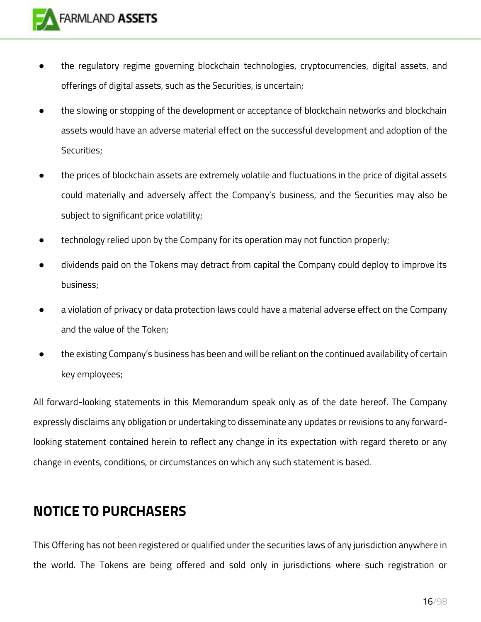- the regulatory regime governing blockchain technologies, cryptocurrencies, digital assets, and offerings of digital assets, such as the Securities, is uncertain;
- the slowing or stopping of the development or acceptance of blockchain networks and blockchain assets would have an adverse material effect on the successful development and adoption of the Securities;
- the prices of blockchain assets are extremely volatile and fluctuations in the price of digital assets could materially and adversely affect the Company's business, and the Securities may also be subject to significant price volatility;
- technology relied upon by the Company for its operation may not function properly;
- dividends paid on the Tokens may detract from capital the Company could deploy to improve its business;
- a violation of privacy or data protection laws could have a material adverse effect on the Company and the value of the Token;
- the existing Company's business has been and will be reliant on the continued availability of certain key employees;

All forward-looking statements in this Memorandum speak only as of the date hereof. The Company expressly disclaims any obligation or undertaking to disseminate any updates or revisions to any forwardlooking statement contained herein to reflect any change in its expectation with regard thereto or any change in events, conditions, or circumstances on which any such statement is based.

## **NOTICE TO PURCHASERS**

This Offering has not been registered or qualified under the securities laws of any jurisdiction anywhere in the world. The Tokens are being offered and sold only in jurisdictions where such registration or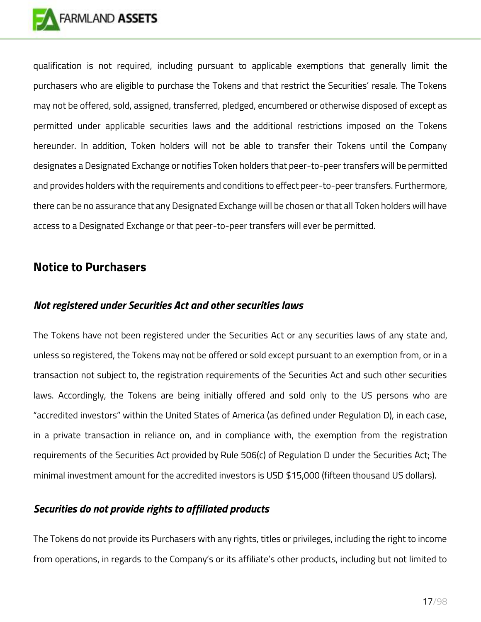

qualification is not required, including pursuant to applicable exemptions that generally limit the purchasers who are eligible to purchase the Tokens and that restrict the Securities' resale. The Tokens may not be offered, sold, assigned, transferred, pledged, encumbered or otherwise disposed of except as permitted under applicable securities laws and the additional restrictions imposed on the Tokens hereunder. In addition, Token holders will not be able to transfer their Tokens until the Company designates a Designated Exchange or notifies Token holders that peer-to-peer transfers will be permitted and provides holders with the requirements and conditions to effect peer-to-peer transfers. Furthermore, there can be no assurance that any Designated Exchange will be chosen or that all Token holders will have access to a Designated Exchange or that peer-to-peer transfers will ever be permitted.

#### <span id="page-16-0"></span>**Notice to Purchasers**

#### <span id="page-16-1"></span>*Not registered under Securities Act and other securities laws*

The Tokens have not been registered under the Securities Act or any securities laws of any state and, unless so registered, the Tokens may not be offered or sold except pursuant to an exemption from, or in a transaction not subject to, the registration requirements of the Securities Act and such other securities laws. Accordingly, the Tokens are being initially offered and sold only to the US persons who are "accredited investors" within the United States of America (as defined under Regulation D), in each case, in a private transaction in reliance on, and in compliance with, the exemption from the registration requirements of the Securities Act provided by Rule 506(c) of Regulation D under the Securities Act; The minimal investment amount for the accredited investors is USD \$15,000 (fifteen thousand US dollars).

#### <span id="page-16-2"></span>*Securities do not provide rights to affiliated products*

The Tokens do not provide its Purchasers with any rights, titles or privileges, including the right to income from operations, in regards to the Company's or its affiliate's other products, including but not limited to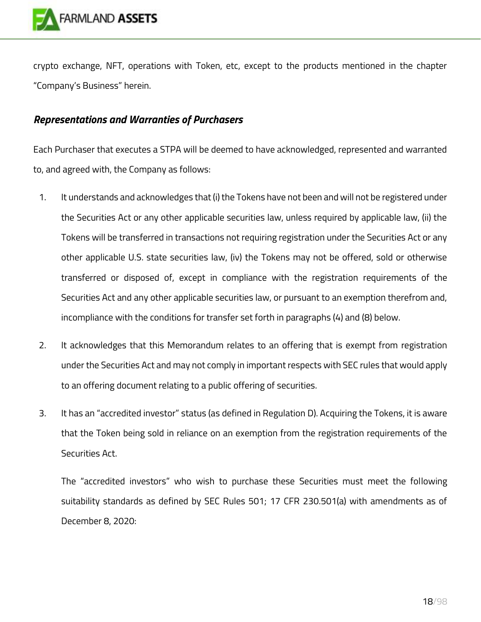

crypto exchange, NFT, operations with Token, etc, except to the products mentioned in the chapter "Company's Business" herein.

#### <span id="page-17-0"></span>*Representations and Warranties of Purchasers*

Each Purchaser that executes a STPA will be deemed to have acknowledged, represented and warranted to, and agreed with, the Company as follows:

- 1. It understands and acknowledges that (i) the Tokens have not been and will not be registered under the Securities Act or any other applicable securities law, unless required by applicable law, (ii) the Tokens will be transferred in transactions not requiring registration under the Securities Act or any other applicable U.S. state securities law, (iv) the Tokens may not be offered, sold or otherwise transferred or disposed of, except in compliance with the registration requirements of the Securities Act and any other applicable securities law, or pursuant to an exemption therefrom and, incompliance with the conditions for transfer set forth in paragraphs (4) and (8) below.
- 2. It acknowledges that this Memorandum relates to an offering that is exempt from registration under the Securities Act and may not comply in important respects with SEC rules that would apply to an offering document relating to a public offering of securities.
- 3. It has an "accredited investor" status (as defined in Regulation D). Acquiring the Tokens, it is aware that the Token being sold in reliance on an exemption from the registration requirements of the Securities Act.

The "accredited investors" who wish to purchase these Securities must meet the following suitability standards as defined by SEC Rules 501; 17 CFR 230.501(a) with amendments as of December 8, 2020: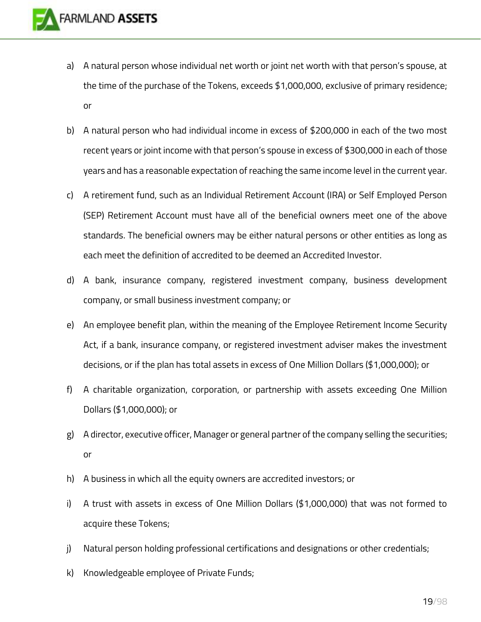- a) A natural person whose individual net worth or joint net worth with that person's spouse, at the time of the purchase of the Tokens, exceeds \$1,000,000, exclusive of primary residence; or
- b) A natural person who had individual income in excess of \$200,000 in each of the two most recent years or joint income with that person's spouse in excess of \$300,000 in each of those years and has a reasonable expectation of reaching the same income level in the current year.
- c) A retirement fund, such as an Individual Retirement Account (IRA) or Self Employed Person (SEP) Retirement Account must have all of the beneficial owners meet one of the above standards. The beneficial owners may be either natural persons or other entities as long as each meet the definition of accredited to be deemed an Accredited Investor.
- d) A bank, insurance company, registered investment company, business development company, or small business investment company; or
- e) An employee benefit plan, within the meaning of the Employee Retirement Income Security Act, if a bank, insurance company, or registered investment adviser makes the investment decisions, or if the plan has total assets in excess of One Million Dollars (\$1,000,000); or
- f) A charitable organization, corporation, or partnership with assets exceeding One Million Dollars (\$1,000,000); or
- g) A director, executive officer, Manager or general partner of the company selling the securities; or
- h) A business in which all the equity owners are accredited investors; or
- i) A trust with assets in excess of One Million Dollars (\$1,000,000) that was not formed to acquire these Tokens;
- j) Natural person holding professional certifications and designations or other credentials;
- k) Knowledgeable employee of Private Funds;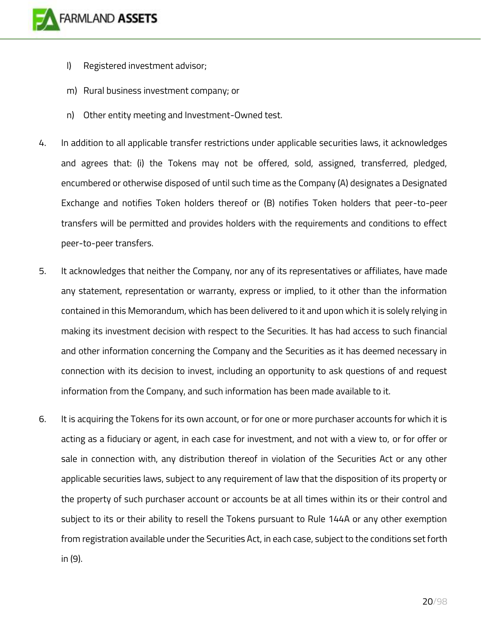- l) Registered investment advisor;
- m) Rural business investment company; or
- n) Other entity meeting and Investment-Owned test.
- 4. In addition to all applicable transfer restrictions under applicable securities laws, it acknowledges and agrees that: (i) the Tokens may not be offered, sold, assigned, transferred, pledged, encumbered or otherwise disposed of until such time as the Company (A) designates a Designated Exchange and notifies Token holders thereof or (B) notifies Token holders that peer-to-peer transfers will be permitted and provides holders with the requirements and conditions to effect peer-to-peer transfers.
- 5. It acknowledges that neither the Company, nor any of its representatives or affiliates, have made any statement, representation or warranty, express or implied, to it other than the information contained in this Memorandum, which has been delivered to it and upon which it is solely relying in making its investment decision with respect to the Securities. It has had access to such financial and other information concerning the Company and the Securities as it has deemed necessary in connection with its decision to invest, including an opportunity to ask questions of and request information from the Company, and such information has been made available to it.
- 6. It is acquiring the Tokens for its own account, or for one or more purchaser accounts for which it is acting as a fiduciary or agent, in each case for investment, and not with a view to, or for offer or sale in connection with, any distribution thereof in violation of the Securities Act or any other applicable securities laws, subject to any requirement of law that the disposition of its property or the property of such purchaser account or accounts be at all times within its or their control and subject to its or their ability to resell the Tokens pursuant to Rule 144A or any other exemption from registration available under the Securities Act, in each case, subject to the conditions set forth in (9).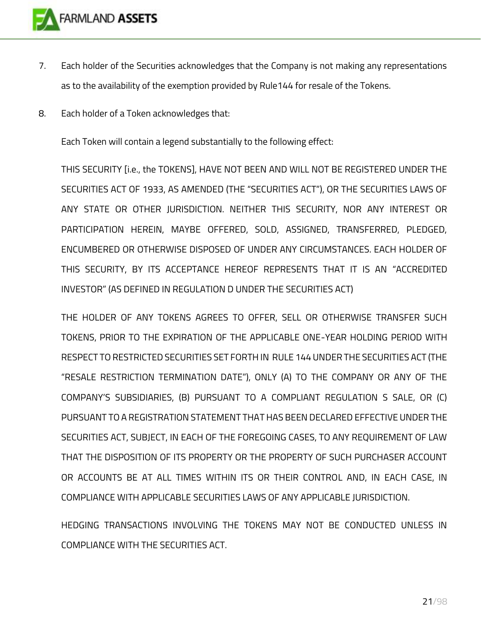- 7. Each holder of the Securities acknowledges that the Company is not making any representations as to the availability of the exemption provided by Rule144 for resale of the Tokens.
- 8. Each holder of a Token acknowledges that:

Each Token will contain a legend substantially to the following effect:

THIS SECURITY [i.e., the TOKENS], HAVE NOT BEEN AND WILL NOT BE REGISTERED UNDER THE SECURITIES ACT OF 1933, AS AMENDED (THE "SECURITIES ACT"), OR THE SECURITIES LAWS OF ANY STATE OR OTHER JURISDICTION. NEITHER THIS SECURITY, NOR ANY INTEREST OR PARTICIPATION HEREIN, MAYBE OFFERED, SOLD, ASSIGNED, TRANSFERRED, PLEDGED, ENCUMBERED OR OTHERWISE DISPOSED OF UNDER ANY CIRCUMSTANCES. EACH HOLDER OF THIS SECURITY, BY ITS ACCEPTANCE HEREOF REPRESENTS THAT IT IS AN "ACCREDITED INVESTOR" (AS DEFINED IN REGULATION D UNDER THE SECURITIES ACT)

THE HOLDER OF ANY TOKENS AGREES TO OFFER, SELL OR OTHERWISE TRANSFER SUCH TOKENS, PRIOR TO THE EXPIRATION OF THE APPLICABLE ONE-YEAR HOLDING PERIOD WITH RESPECT TO RESTRICTED SECURITIES SET FORTH IN RULE 144 UNDER THE SECURITIES ACT (THE "RESALE RESTRICTION TERMINATION DATE"), ONLY (A) TO THE COMPANY OR ANY OF THE COMPANY'S SUBSIDIARIES, (B) PURSUANT TO A COMPLIANT REGULATION S SALE, OR (C) PURSUANT TO A REGISTRATION STATEMENT THAT HAS BEEN DECLARED EFFECTIVE UNDER THE SECURITIES ACT, SUBJECT, IN EACH OF THE FOREGOING CASES, TO ANY REQUIREMENT OF LAW THAT THE DISPOSITION OF ITS PROPERTY OR THE PROPERTY OF SUCH PURCHASER ACCOUNT OR ACCOUNTS BE AT ALL TIMES WITHIN ITS OR THEIR CONTROL AND, IN EACH CASE, IN COMPLIANCE WITH APPLICABLE SECURITIES LAWS OF ANY APPLICABLE JURISDICTION.

HEDGING TRANSACTIONS INVOLVING THE TOKENS MAY NOT BE CONDUCTED UNLESS IN COMPLIANCE WITH THE SECURITIES ACT.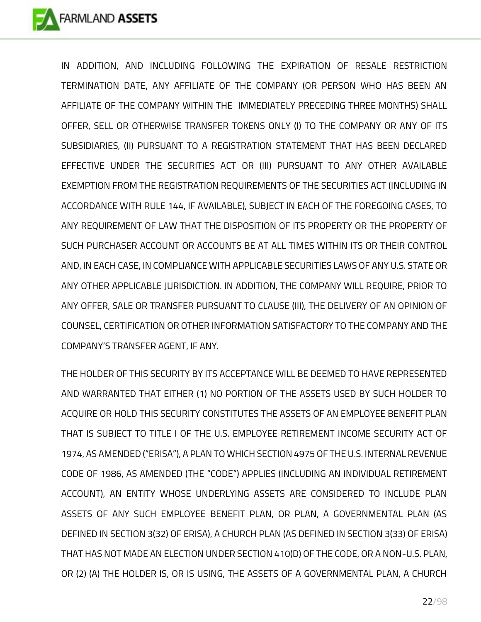

IN ADDITION, AND INCLUDING FOLLOWING THE EXPIRATION OF RESALE RESTRICTION TERMINATION DATE, ANY AFFILIATE OF THE COMPANY (OR PERSON WHO HAS BEEN AN AFFILIATE OF THE COMPANY WITHIN THE IMMEDIATELY PRECEDING THREE MONTHS) SHALL OFFER, SELL OR OTHERWISE TRANSFER TOKENS ONLY (I) TO THE COMPANY OR ANY OF ITS SUBSIDIARIES, (II) PURSUANT TO A REGISTRATION STATEMENT THAT HAS BEEN DECLARED EFFECTIVE UNDER THE SECURITIES ACT OR (III) PURSUANT TO ANY OTHER AVAILABLE EXEMPTION FROM THE REGISTRATION REQUIREMENTS OF THE SECURITIES ACT (INCLUDING IN ACCORDANCE WITH RULE 144, IF AVAILABLE), SUBJECT IN EACH OF THE FOREGOING CASES, TO ANY REQUIREMENT OF LAW THAT THE DISPOSITION OF ITS PROPERTY OR THE PROPERTY OF SUCH PURCHASER ACCOUNT OR ACCOUNTS BE AT ALL TIMES WITHIN ITS OR THEIR CONTROL AND, IN EACH CASE, IN COMPLIANCE WITH APPLICABLE SECURITIES LAWS OF ANY U.S. STATE OR ANY OTHER APPLICABLE JURISDICTION. IN ADDITION, THE COMPANY WILL REQUIRE, PRIOR TO ANY OFFER, SALE OR TRANSFER PURSUANT TO CLAUSE (III), THE DELIVERY OF AN OPINION OF COUNSEL, CERTIFICATION OR OTHER INFORMATION SATISFACTORY TO THE COMPANY AND THE COMPANY'S TRANSFER AGENT, IF ANY.

THE HOLDER OF THIS SECURITY BY ITS ACCEPTANCE WILL BE DEEMED TO HAVE REPRESENTED AND WARRANTED THAT EITHER (1) NO PORTION OF THE ASSETS USED BY SUCH HOLDER TO ACQUIRE OR HOLD THIS SECURITY CONSTITUTES THE ASSETS OF AN EMPLOYEE BENEFIT PLAN THAT IS SUBJECT TO TITLE I OF THE U.S. EMPLOYEE RETIREMENT INCOME SECURITY ACT OF 1974, AS AMENDED ("ERISA"), A PLAN TO WHICH SECTION 4975 OF THE U.S. INTERNAL REVENUE CODE OF 1986, AS AMENDED (THE "CODE") APPLIES (INCLUDING AN INDIVIDUAL RETIREMENT ACCOUNT), AN ENTITY WHOSE UNDERLYING ASSETS ARE CONSIDERED TO INCLUDE PLAN ASSETS OF ANY SUCH EMPLOYEE BENEFIT PLAN, OR PLAN, A GOVERNMENTAL PLAN (AS DEFINED IN SECTION 3(32) OF ERISA), A CHURCH PLAN (AS DEFINED IN SECTION 3(33) OF ERISA) THAT HAS NOT MADE AN ELECTION UNDER SECTION 410(D) OF THE CODE, OR A NON-U.S. PLAN, OR (2) (A) THE HOLDER IS, OR IS USING, THE ASSETS OF A GOVERNMENTAL PLAN, A CHURCH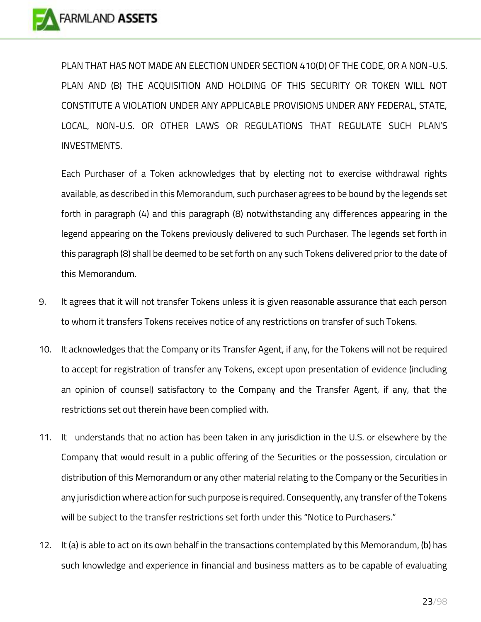PLAN THAT HAS NOT MADE AN ELECTION UNDER SECTION 410(D) OF THE CODE, OR A NON-U.S. PLAN AND (B) THE ACQUISITION AND HOLDING OF THIS SECURITY OR TOKEN WILL NOT CONSTITUTE A VIOLATION UNDER ANY APPLICABLE PROVISIONS UNDER ANY FEDERAL, STATE, LOCAL, NON-U.S. OR OTHER LAWS OR REGULATIONS THAT REGULATE SUCH PLAN'S INVESTMENTS.

Each Purchaser of a Token acknowledges that by electing not to exercise withdrawal rights available, as described in this Memorandum, such purchaser agrees to be bound by the legends set forth in paragraph (4) and this paragraph (8) notwithstanding any differences appearing in the legend appearing on the Tokens previously delivered to such Purchaser. The legends set forth in this paragraph (8) shall be deemed to be set forth on any such Tokens delivered prior to the date of this Memorandum.

- 9. It agrees that it will not transfer Tokens unless it is given reasonable assurance that each person to whom it transfers Tokens receives notice of any restrictions on transfer of such Tokens.
- 10. It acknowledges that the Company or its Transfer Agent, if any, for the Tokens will not be required to accept for registration of transfer any Tokens, except upon presentation of evidence (including an opinion of counsel) satisfactory to the Company and the Transfer Agent, if any, that the restrictions set out therein have been complied with.
- 11. It understands that no action has been taken in any jurisdiction in the U.S. or elsewhere by the Company that would result in a public offering of the Securities or the possession, circulation or distribution of this Memorandum or any other material relating to the Company or the Securities in any jurisdiction where action for such purpose is required. Consequently, any transfer of the Tokens will be subject to the transfer restrictions set forth under this "Notice to Purchasers."
- 12. It (a) is able to act on its own behalf in the transactions contemplated by this Memorandum, (b) has such knowledge and experience in financial and business matters as to be capable of evaluating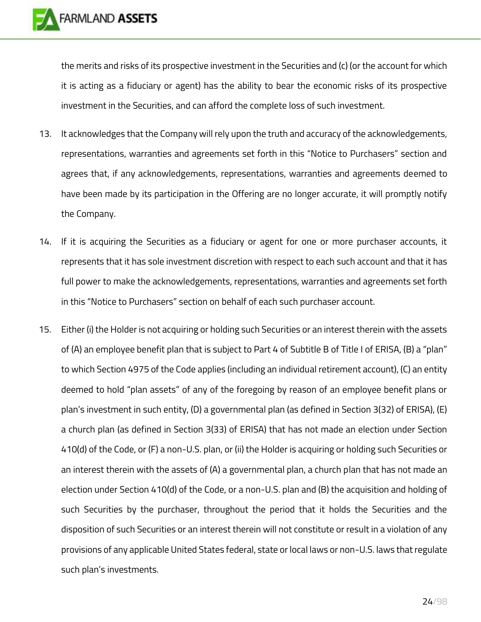the merits and risks of its prospective investment in the Securities and (c) (or the account for which it is acting as a fiduciary or agent) has the ability to bear the economic risks of its prospective investment in the Securities, and can afford the complete loss of such investment.

- 13. It acknowledges that the Company will rely upon the truth and accuracy of the acknowledgements, representations, warranties and agreements set forth in this "Notice to Purchasers" section and agrees that, if any acknowledgements, representations, warranties and agreements deemed to have been made by its participation in the Offering are no longer accurate, it will promptly notify the Company.
- 14. If it is acquiring the Securities as a fiduciary or agent for one or more purchaser accounts, it represents that it has sole investment discretion with respect to each such account and that it has full power to make the acknowledgements, representations, warranties and agreements set forth in this "Notice to Purchasers" section on behalf of each such purchaser account.
- 15. Either (i) the Holder is not acquiring or holding such Securities or an interest therein with the assets of (A) an employee benefit plan that is subject to Part 4 of Subtitle B of Title I of ERISA, (B) a "plan" to which Section 4975 of the Code applies (including an individual retirement account), (C) an entity deemed to hold "plan assets" of any of the foregoing by reason of an employee benefit plans or plan's investment in such entity, (D) a governmental plan (as defined in Section 3(32) of ERISA), (E) a church plan (as defined in Section 3(33) of ERISA) that has not made an election under Section 410(d) of the Code, or (F) a non-U.S. plan, or (ii) the Holder is acquiring or holding such Securities or an interest therein with the assets of (A) a governmental plan, a church plan that has not made an election under Section 410(d) of the Code, or a non-U.S. plan and (B) the acquisition and holding of such Securities by the purchaser, throughout the period that it holds the Securities and the disposition of such Securities or an interest therein will not constitute or result in a violation of any provisions of any applicable United States federal, state or local laws or non-U.S. laws that regulate such plan's investments.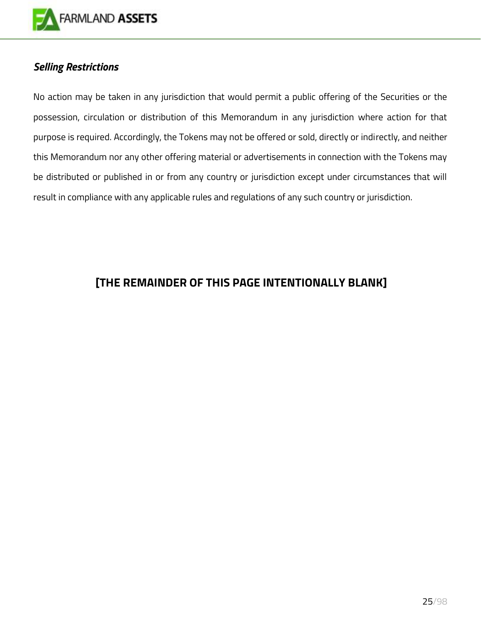

#### <span id="page-24-0"></span>*Selling Restrictions*

No action may be taken in any jurisdiction that would permit a public offering of the Securities or the possession, circulation or distribution of this Memorandum in any jurisdiction where action for that purpose is required. Accordingly, the Tokens may not be offered or sold, directly or indirectly, and neither this Memorandum nor any other offering material or advertisements in connection with the Tokens may be distributed or published in or from any country or jurisdiction except under circumstances that will result in compliance with any applicable rules and regulations of any such country or jurisdiction.

## **[THE REMAINDER OF THIS PAGE INTENTIONALLY BLANK]**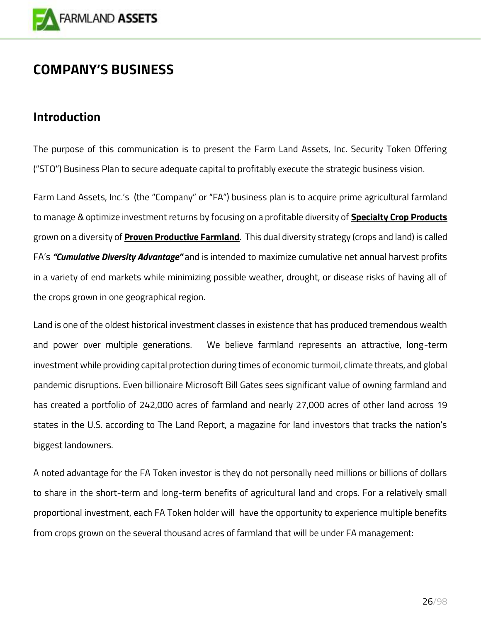

## <span id="page-25-0"></span>**COMPANY'S BUSINESS**

### <span id="page-25-1"></span>**Introduction**

The purpose of this communication is to present the Farm Land Assets, Inc. Security Token Offering ("STO") Business Plan to secure adequate capital to profitably execute the strategic business vision.

Farm Land Assets, Inc.'s (the "Company" or "FA") business plan is to acquire prime agricultural farmland to manage & optimize investment returns by focusing on a profitable diversity of **Specialty Crop Products** grown on a diversity of **Proven Productive Farmland**. This dual diversity strategy (crops and land) is called FA's *"Cumulative Diversity Advantage"* and is intended to maximize cumulative net annual harvest profits in a variety of end markets while minimizing possible weather, drought, or disease risks of having all of the crops grown in one geographical region.

Land is one of the oldest historical investment classes in existence that has produced tremendous wealth and power over multiple generations. We believe farmland represents an attractive, long-term investment while providing capital protection during times of economic turmoil, climate threats, and global pandemic disruptions. Even billionaire Microsoft Bill Gates sees significant value of owning farmland and has created a portfolio of 242,000 acres of farmland and nearly 27,000 acres of other land across 19 states in the U.S. according to The Land Report, a magazine for land investors that tracks the nation's biggest landowners.

A noted advantage for the FA Token investor is they do not personally need millions or billions of dollars to share in the short-term and long-term benefits of agricultural land and crops. For a relatively small proportional investment, each FA Token holder will have the opportunity to experience multiple benefits from crops grown on the several thousand acres of farmland that will be under FA management: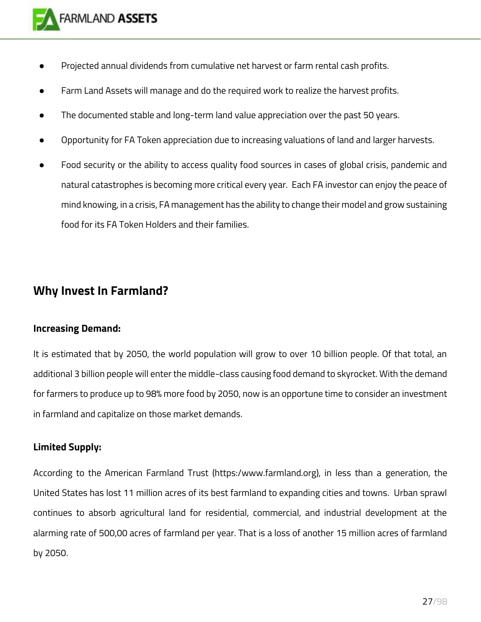- Projected annual dividends from cumulative net harvest or farm rental cash profits.
- Farm Land Assets will manage and do the required work to realize the harvest profits.
- The documented stable and long-term land value appreciation over the past 50 years.
- Opportunity for FA Token appreciation due to increasing valuations of land and larger harvests.
- Food security or the ability to access quality food sources in cases of global crisis, pandemic and natural catastrophes is becoming more critical every year. Each FA investor can enjoy the peace of mind knowing, in a crisis, FA management has the ability to change their model and grow sustaining food for its FA Token Holders and their families.

## <span id="page-26-0"></span>**Why Invest In Farmland?**

#### **Increasing Demand:**

It is estimated that by 2050, the world population will grow to over 10 billion people. Of that total, an additional 3 billion people will enter the middle-class causing food demand to skyrocket. With the demand for farmers to produce up to 98% more food by 2050, now is an opportune time to consider an investment in farmland and capitalize on those market demands.

#### **Limited Supply:**

According to the American Farmland Trust (https:/www.farmland.org), in less than a generation, the United States has lost 11 million acres of its best farmland to expanding cities and towns. Urban sprawl continues to absorb agricultural land for residential, commercial, and industrial development at the alarming rate of 500,00 acres of farmland per year. That is a loss of another 15 million acres of farmland by 2050.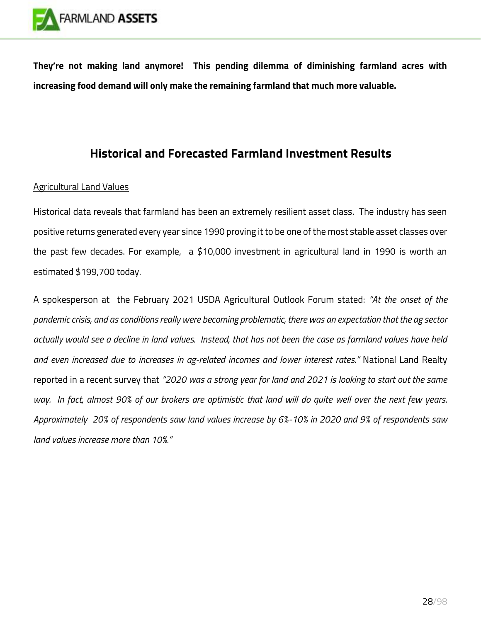

**They're not making land anymore! This pending dilemma of diminishing farmland acres with increasing food demand will only make the remaining farmland that much more valuable.** 

## **Historical and Forecasted Farmland Investment Results**

#### <span id="page-27-0"></span>Agricultural Land Values

Historical data reveals that farmland has been an extremely resilient asset class. The industry has seen positive returns generated every year since 1990 proving it to be one of the most stable asset classes over the past few decades. For example, a \$10,000 investment in agricultural land in 1990 is worth an estimated \$199,700 today.

A spokesperson at the February 2021 USDA Agricultural Outlook Forum stated: *"At the onset of the pandemic crisis, and as conditions really were becoming problematic, there was an expectation that the ag sector actually would see a decline in land values. Instead, that has not been the case as farmland values have held and even increased due to increases in ag-related incomes and lower interest rates."* National Land Realty reported in a recent survey that *"2020 was a strong year for land and 2021 is looking to start out the same way. In fact, almost 90% of our brokers are optimistic that land will do quite well over the next few years. Approximately 20% of respondents saw land values increase by 6%-10% in 2020 and 9% of respondents saw land values increase more than 10%."*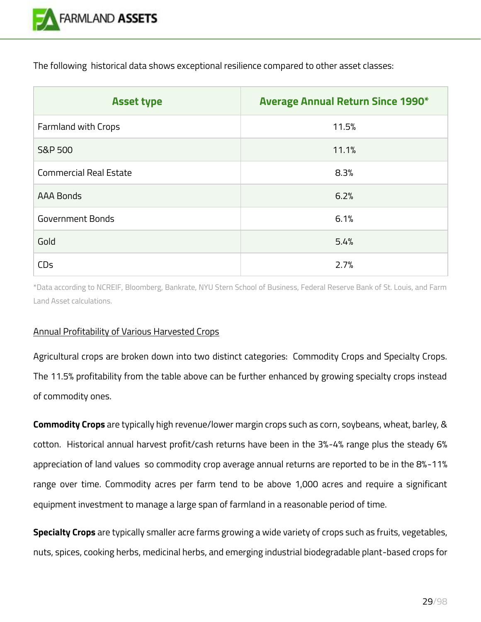

The following historical data shows exceptional resilience compared to other asset classes:

| <b>Asset type</b>             | <b>Average Annual Return Since 1990*</b> |  |
|-------------------------------|------------------------------------------|--|
| Farmland with Crops           | 11.5%                                    |  |
| <b>S&amp;P 500</b>            | 11.1%                                    |  |
| <b>Commercial Real Estate</b> | 8.3%                                     |  |
| <b>AAA Bonds</b>              | 6.2%                                     |  |
| <b>Government Bonds</b>       | 6.1%                                     |  |
| Gold                          | 5.4%                                     |  |
| <b>CD<sub>S</sub></b>         | 2.7%                                     |  |

\*Data according to NCREIF, Bloomberg, Bankrate, NYU Stern School of Business, Federal Reserve Bank of St. Louis, and Farm Land Asset calculations.

#### Annual Profitability of Various Harvested Crops

Agricultural crops are broken down into two distinct categories: Commodity Crops and Specialty Crops. The 11.5% profitability from the table above can be further enhanced by growing specialty crops instead of commodity ones.

**Commodity Crops** are typically high revenue/lower margin crops such as corn, soybeans, wheat, barley, & cotton. Historical annual harvest profit/cash returns have been in the 3%-4% range plus the steady 6% appreciation of land values so commodity crop average annual returns are reported to be in the 8%-11% range over time. Commodity acres per farm tend to be above 1,000 acres and require a significant equipment investment to manage a large span of farmland in a reasonable period of time.

**Specialty Crops** are typically smaller acre farms growing a wide variety of crops such as fruits, vegetables, nuts, spices, cooking herbs, medicinal herbs, and emerging industrial biodegradable plant-based crops for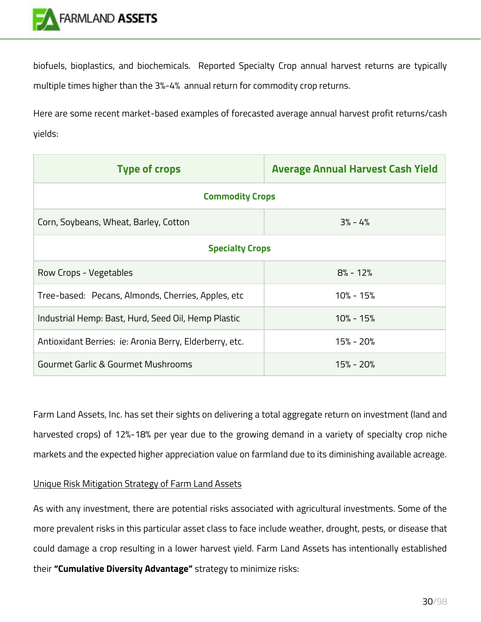

biofuels, bioplastics, and biochemicals. Reported Specialty Crop annual harvest returns are typically multiple times higher than the 3%-4% annual return for commodity crop returns.

Here are some recent market-based examples of forecasted average annual harvest profit returns/cash yields:

| <b>Type of crops</b>                                                   | <b>Average Annual Harvest Cash Yield</b> |  |  |
|------------------------------------------------------------------------|------------------------------------------|--|--|
| <b>Commodity Crops</b>                                                 |                                          |  |  |
| Corn, Soybeans, Wheat, Barley, Cotton                                  | $3% - 4%$                                |  |  |
| <b>Specialty Crops</b>                                                 |                                          |  |  |
| Row Crops - Vegetables                                                 | $8\% - 12\%$                             |  |  |
| Tree-based: Pecans, Almonds, Cherries, Apples, etc                     | $10\% - 15\%$                            |  |  |
| Industrial Hemp: Bast, Hurd, Seed Oil, Hemp Plastic                    | $10\% - 15\%$                            |  |  |
| Antioxidant Berries: ie: Aronia Berry, Elderberry, etc.<br>$15% - 20%$ |                                          |  |  |
| Gourmet Garlic & Gourmet Mushrooms                                     | $15% - 20%$                              |  |  |

Farm Land Assets, Inc. has set their sights on delivering a total aggregate return on investment (land and harvested crops) of 12%-18% per year due to the growing demand in a variety of specialty crop niche markets and the expected higher appreciation value on farmland due to its diminishing available acreage.

#### Unique Risk Mitigation Strategy of Farm Land Assets

As with any investment, there are potential risks associated with agricultural investments. Some of the more prevalent risks in this particular asset class to face include weather, drought, pests, or disease that could damage a crop resulting in a lower harvest yield. Farm Land Assets has intentionally established their **"Cumulative Diversity Advantage"** strategy to minimize risks: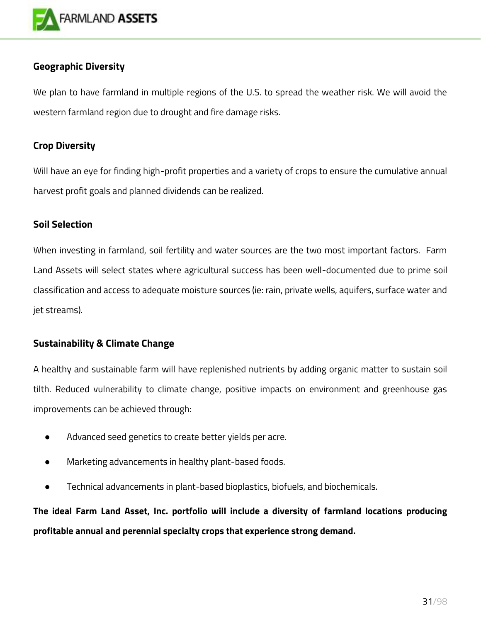

#### **Geographic Diversity**

We plan to have farmland in multiple regions of the U.S. to spread the weather risk. We will avoid the western farmland region due to drought and fire damage risks.

#### **Crop Diversity**

Will have an eye for finding high-profit properties and a variety of crops to ensure the cumulative annual harvest profit goals and planned dividends can be realized.

#### **Soil Selection**

When investing in farmland, soil fertility and water sources are the two most important factors. Farm Land Assets will select states where agricultural success has been well-documented due to prime soil classification and access to adequate moisture sources (ie: rain, private wells, aquifers, surface water and jet streams).

#### **Sustainability & Climate Change**

A healthy and sustainable farm will have replenished nutrients by adding organic matter to sustain soil tilth. Reduced vulnerability to climate change, positive impacts on environment and greenhouse gas improvements can be achieved through:

- Advanced seed genetics to create better yields per acre.
- Marketing advancements in healthy plant-based foods.
- Technical advancements in plant-based bioplastics, biofuels, and biochemicals.

**The ideal Farm Land Asset, Inc. portfolio will include a diversity of farmland locations producing profitable annual and perennial specialty crops that experience strong demand.**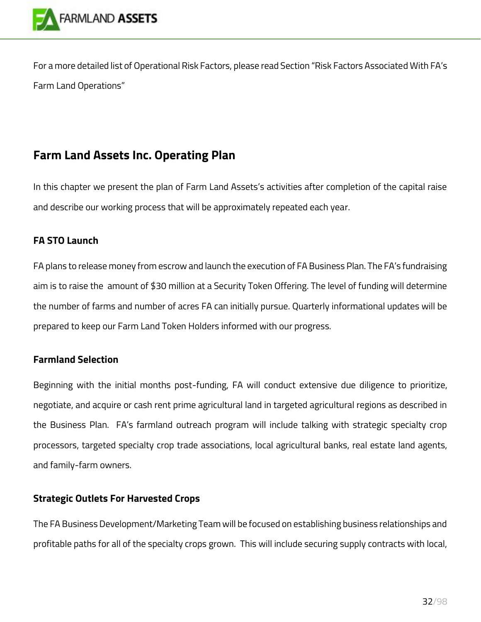

For a more detailed list of Operational Risk Factors, please read Section "Risk Factors Associated With FA's Farm Land Operations"

## <span id="page-31-0"></span>**Farm Land Assets Inc. Operating Plan**

In this chapter we present the plan of Farm Land Assets's activities after completion of the capital raise and describe our working process that will be approximately repeated each year.

#### **FA STO Launch**

FA plans to release money from escrow and launch the execution of FA Business Plan. The FA's fundraising aim is to raise the amount of \$30 million at a Security Token Offering. The level of funding will determine the number of farms and number of acres FA can initially pursue. Quarterly informational updates will be prepared to keep our Farm Land Token Holders informed with our progress.

#### **Farmland Selection**

Beginning with the initial months post-funding, FA will conduct extensive due diligence to prioritize, negotiate, and acquire or cash rent prime agricultural land in targeted agricultural regions as described in the Business Plan. FA's farmland outreach program will include talking with strategic specialty crop processors, targeted specialty crop trade associations, local agricultural banks, real estate land agents, and family-farm owners.

#### **Strategic Outlets For Harvested Crops**

The FA Business Development/Marketing Team will be focused on establishing business relationships and profitable paths for all of the specialty crops grown. This will include securing supply contracts with local,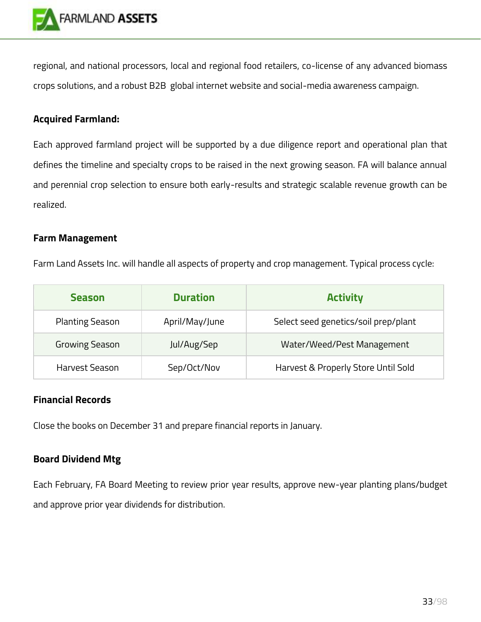

regional, and national processors, local and regional food retailers, co-license of any advanced biomass crops solutions, and a robust B2B global internet website and social-media awareness campaign.

#### **Acquired Farmland:**

Each approved farmland project will be supported by a due diligence report and operational plan that defines the timeline and specialty crops to be raised in the next growing season. FA will balance annual and perennial crop selection to ensure both early-results and strategic scalable revenue growth can be realized.

#### **Farm Management**

Farm Land Assets Inc. will handle all aspects of property and crop management. Typical process cycle:

| <b>Season</b>          | <b>Duration</b> | <b>Activity</b>                      |  |
|------------------------|-----------------|--------------------------------------|--|
| <b>Planting Season</b> | April/May/June  | Select seed genetics/soil prep/plant |  |
| <b>Growing Season</b>  | Jul/Aug/Sep     | Water/Weed/Pest Management           |  |
| Harvest Season         | Sep/Oct/Nov     | Harvest & Properly Store Until Sold  |  |

#### **Financial Records**

Close the books on December 31 and prepare financial reports in January.

#### **Board Dividend Mtg**

Each February, FA Board Meeting to review prior year results, approve new-year planting plans/budget and approve prior year dividends for distribution.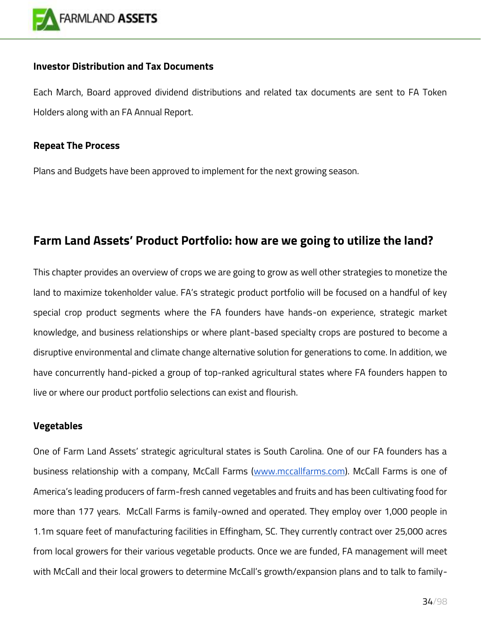

#### **Investor Distribution and Tax Documents**

Each March, Board approved dividend distributions and related tax documents are sent to FA Token Holders along with an FA Annual Report.

#### **Repeat The Process**

Plans and Budgets have been approved to implement for the next growing season.

## <span id="page-33-0"></span>**Farm Land Assets' Product Portfolio: how are we going to utilize the land?**

This chapter provides an overview of crops we are going to grow as well other strategies to monetize the land to maximize tokenholder value. FA's strategic product portfolio will be focused on a handful of key special crop product segments where the FA founders have hands-on experience, strategic market knowledge, and business relationships or where plant-based specialty crops are postured to become a disruptive environmental and climate change alternative solution for generations to come. In addition, we have concurrently hand-picked a group of top-ranked agricultural states where FA founders happen to live or where our product portfolio selections can exist and flourish.

#### **Vegetables**

One of Farm Land Assets' strategic agricultural states is South Carolina. One of our FA founders has a business relationship with a company, McCall Farms [\(www.mccallfarms.com\)](http://www.mccallfarms.com/). McCall Farms is one of America's leading producers of farm-fresh canned vegetables and fruits and has been cultivating food for more than 177 years. McCall Farms is family-owned and operated. They employ over 1,000 people in 1.1m square feet of manufacturing facilities in Effingham, SC. They currently contract over 25,000 acres from local growers for their various vegetable products. Once we are funded, FA management will meet with McCall and their local growers to determine McCall's growth/expansion plans and to talk to family-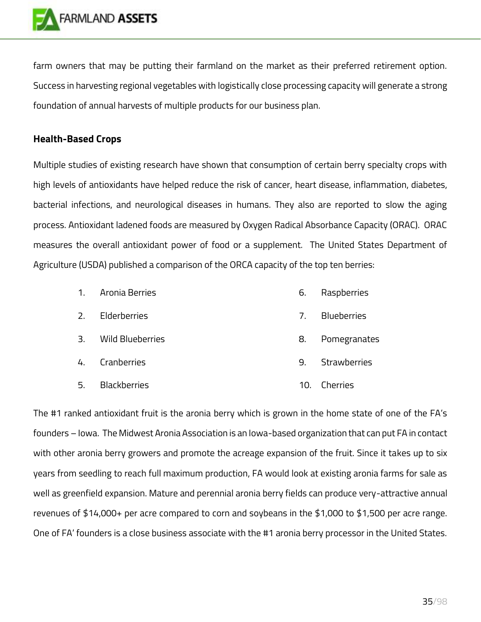

farm owners that may be putting their farmland on the market as their preferred retirement option. Success in harvesting regional vegetables with logistically close processing capacity will generate a strong foundation of annual harvests of multiple products for our business plan.

#### **Health-Based Crops**

Multiple studies of existing research have shown that consumption of certain berry specialty crops with high levels of antioxidants have helped reduce the risk of cancer, heart disease, inflammation, diabetes, bacterial infections, and neurological diseases in humans. They also are reported to slow the aging process. Antioxidant ladened foods are measured by Oxygen Radical Absorbance Capacity (ORAC). ORAC measures the overall antioxidant power of food or a supplement. The United States Department of Agriculture (USDA) published a comparison of the ORCA capacity of the top ten berries:

| $\mathbf{1}$ . | Aronia Berries          | 6.  | Raspberries         |
|----------------|-------------------------|-----|---------------------|
| 2.             | Elderberries            | 7.  | <b>Blueberries</b>  |
| $\mathbf{3}$ . | <b>Wild Blueberries</b> | 8.  | Pomegranates        |
| 4.             | Cranberries             | 9.  | <b>Strawberries</b> |
| 5.             | <b>Blackberries</b>     | 10. | Cherries            |

The #1 ranked antioxidant fruit is the aronia berry which is grown in the home state of one of the FA's founders – Iowa. The Midwest Aronia Association is an Iowa-based organization that can put FA in contact with other aronia berry growers and promote the acreage expansion of the fruit. Since it takes up to six years from seedling to reach full maximum production, FA would look at existing aronia farms for sale as well as greenfield expansion. Mature and perennial aronia berry fields can produce very-attractive annual revenues of \$14,000+ per acre compared to corn and soybeans in the \$1,000 to \$1,500 per acre range. One of FA' founders is a close business associate with the #1 aronia berry processor in the United States.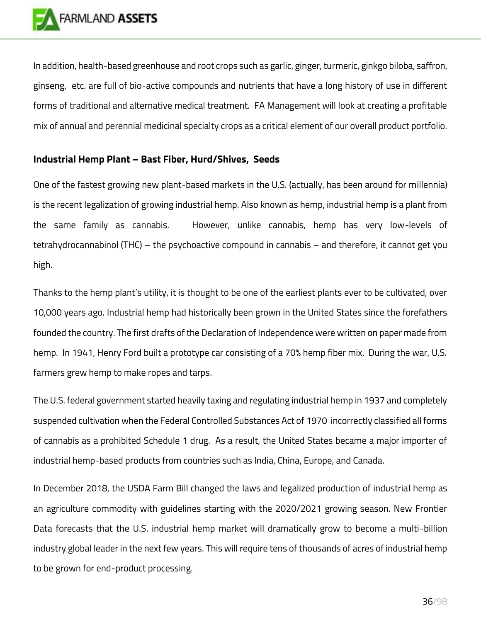

In addition, health-based greenhouse and root crops such as garlic, ginger, turmeric, ginkgo biloba, saffron, ginseng, etc. are full of bio-active compounds and nutrients that have a long history of use in different forms of traditional and alternative medical treatment. FA Management will look at creating a profitable mix of annual and perennial medicinal specialty crops as a critical element of our overall product portfolio.

#### **Industrial Hemp Plant – Bast Fiber, Hurd/Shives, Seeds**

One of the fastest growing new plant-based markets in the U.S. (actually, has been around for millennia) is the recent legalization of growing industrial hemp. Also known as hemp, industrial hemp is a plant from the same family as cannabis. However, unlike cannabis, hemp has very low-levels of tetrahydrocannabinol (THC) – the psychoactive compound in cannabis – and therefore, it cannot get you high.

Thanks to the hemp plant's utility, it is thought to be one of the earliest plants ever to be cultivated, over 10,000 years ago. Industrial hemp had historically been grown in the United States since the forefathers founded the country. The first drafts of the Declaration of Independence were written on paper made from hemp. In 1941, Henry Ford built a prototype car consisting of a 70% hemp fiber mix. During the war, U.S. farmers grew hemp to make ropes and tarps.

The U.S. federal government started heavily taxing and regulating industrial hemp in 1937 and completely suspended cultivation when the Federal Controlled Substances Act of 1970 incorrectly classified all forms of cannabis as a prohibited Schedule 1 drug. As a result, the United States became a major importer of industrial hemp-based products from countries such as India, China, Europe, and Canada.

In December 2018, the USDA Farm Bill changed the laws and legalized production of industrial hemp as an agriculture commodity with guidelines starting with the 2020/2021 growing season. New Frontier Data forecasts that the U.S. industrial hemp market will dramatically grow to become a multi-billion industry global leader in the next few years. This will require tens of thousands of acres of industrial hemp to be grown for end-product processing.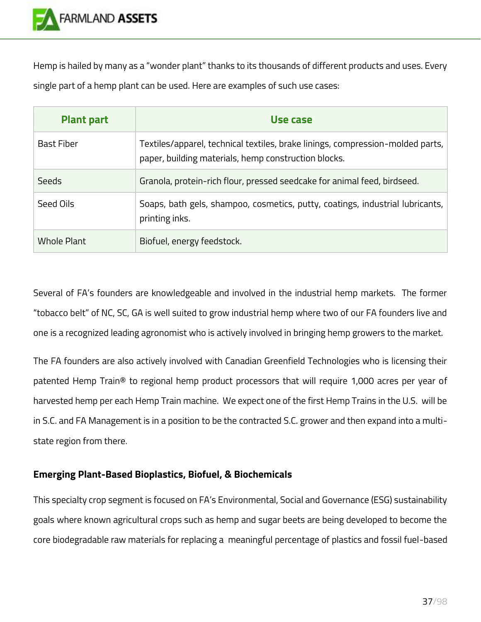Hemp is hailed by many as a "wonder plant" thanks to its thousands of different products and uses. Every single part of a hemp plant can be used. Here are examples of such use cases:

| <b>Plant part</b>  | Use case                                                                                                                               |
|--------------------|----------------------------------------------------------------------------------------------------------------------------------------|
| <b>Bast Fiber</b>  | Textiles/apparel, technical textiles, brake linings, compression-molded parts,<br>paper, building materials, hemp construction blocks. |
| Seeds              | Granola, protein-rich flour, pressed seedcake for animal feed, birdseed.                                                               |
| Seed Oils          | Soaps, bath gels, shampoo, cosmetics, putty, coatings, industrial lubricants,<br>printing inks.                                        |
| <b>Whole Plant</b> | Biofuel, energy feedstock.                                                                                                             |

Several of FA's founders are knowledgeable and involved in the industrial hemp markets. The former "tobacco belt" of NC, SC, GA is well suited to grow industrial hemp where two of our FA founders live and one is a recognized leading agronomist who is actively involved in bringing hemp growers to the market.

The FA founders are also actively involved with Canadian Greenfield Technologies who is licensing their patented Hemp Train® to regional hemp product processors that will require 1,000 acres per year of harvested hemp per each Hemp Train machine. We expect one of the first Hemp Trains in the U.S. will be in S.C. and FA Management is in a position to be the contracted S.C. grower and then expand into a multistate region from there.

#### **Emerging Plant-Based Bioplastics, Biofuel, & Biochemicals**

This specialty crop segment is focused on FA's Environmental, Social and Governance (ESG) sustainability goals where known agricultural crops such as hemp and sugar beets are being developed to become the core biodegradable raw materials for replacing a meaningful percentage of plastics and fossil fuel-based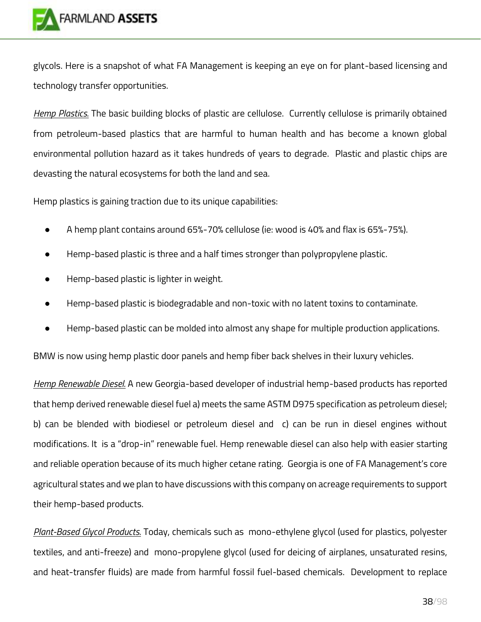

glycols. Here is a snapshot of what FA Management is keeping an eye on for plant-based licensing and technology transfer opportunities.

*Hemp Plastics.* The basic building blocks of plastic are cellulose. Currently cellulose is primarily obtained from petroleum-based plastics that are harmful to human health and has become a known global environmental pollution hazard as it takes hundreds of years to degrade. Plastic and plastic chips are devasting the natural ecosystems for both the land and sea.

Hemp plastics is gaining traction due to its unique capabilities:

- A hemp plant contains around 65%-70% cellulose (ie: wood is 40% and flax is 65%-75%).
- Hemp-based plastic is three and a half times stronger than polypropylene plastic.
- Hemp-based plastic is lighter in weight.
- Hemp-based plastic is biodegradable and non-toxic with no latent toxins to contaminate.
- Hemp-based plastic can be molded into almost any shape for multiple production applications.

BMW is now using hemp plastic door panels and hemp fiber back shelves in their luxury vehicles.

*Hemp Renewable Diesel.* A new Georgia-based developer of industrial hemp-based products has reported that hemp derived renewable diesel fuel a) meets the same ASTM D975 specification as petroleum diesel; b) can be blended with biodiesel or petroleum diesel and c) can be run in diesel engines without modifications. It is a "drop-in" renewable fuel. Hemp renewable diesel can also help with easier starting and reliable operation because of its much higher cetane rating. Georgia is one of FA Management's core agricultural states and we plan to have discussions with this company on acreage requirements to support their hemp-based products.

*Plant-Based Glycol Products.* Today, chemicals such as mono-ethylene glycol (used for plastics, polyester textiles, and anti-freeze) and mono-propylene glycol (used for deicing of airplanes, unsaturated resins, and heat-transfer fluids) are made from harmful fossil fuel-based chemicals. Development to replace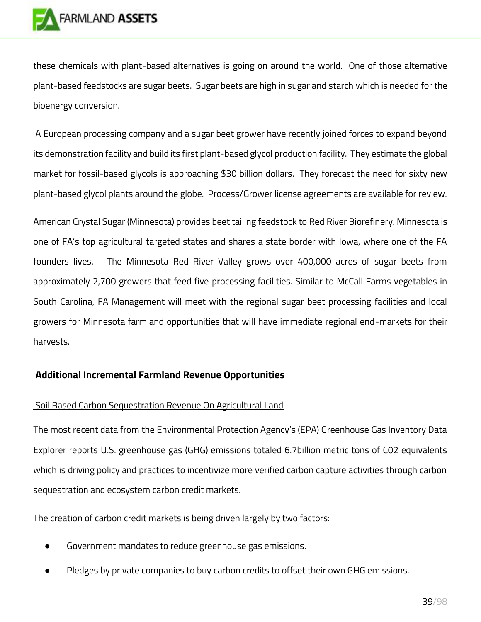

these chemicals with plant-based alternatives is going on around the world. One of those alternative plant-based feedstocks are sugar beets. Sugar beets are high in sugar and starch which is needed for the bioenergy conversion.

A European processing company and a sugar beet grower have recently joined forces to expand beyond its demonstration facility and build its first plant-based glycol production facility. They estimate the global market for fossil-based glycols is approaching \$30 billion dollars. They forecast the need for sixty new plant-based glycol plants around the globe. Process/Grower license agreements are available for review.

American Crystal Sugar (Minnesota) provides beet tailing feedstock to Red River Biorefinery. Minnesota is one of FA's top agricultural targeted states and shares a state border with Iowa, where one of the FA founders lives. The Minnesota Red River Valley grows over 400,000 acres of sugar beets from approximately 2,700 growers that feed five processing facilities. Similar to McCall Farms vegetables in South Carolina, FA Management will meet with the regional sugar beet processing facilities and local growers for Minnesota farmland opportunities that will have immediate regional end-markets for their harvests.

#### **Additional Incremental Farmland Revenue Opportunities**

#### Soil Based Carbon Sequestration Revenue On Agricultural Land

The most recent data from the Environmental Protection Agency's (EPA) Greenhouse Gas Inventory Data Explorer reports U.S. greenhouse gas (GHG) emissions totaled 6.7billion metric tons of C02 equivalents which is driving policy and practices to incentivize more verified carbon capture activities through carbon sequestration and ecosystem carbon credit markets.

The creation of carbon credit markets is being driven largely by two factors:

- Government mandates to reduce greenhouse gas emissions.
- Pledges by private companies to buy carbon credits to offset their own GHG emissions.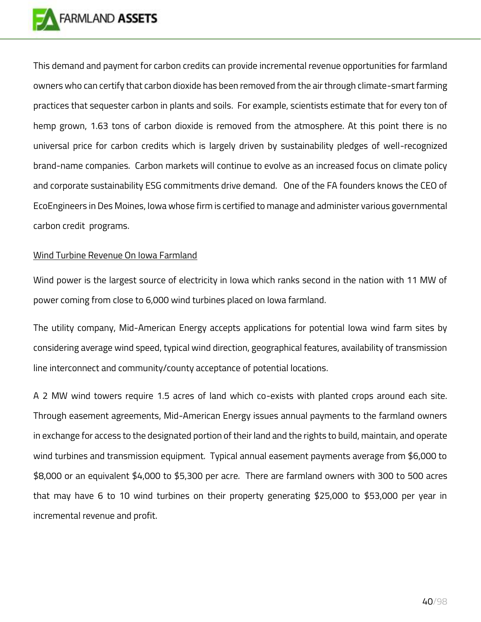

This demand and payment for carbon credits can provide incremental revenue opportunities for farmland owners who can certify that carbon dioxide has been removed from the air through climate-smart farming practices that sequester carbon in plants and soils. For example, scientists estimate that for every ton of hemp grown, 1.63 tons of carbon dioxide is removed from the atmosphere. At this point there is no universal price for carbon credits which is largely driven by sustainability pledges of well-recognized brand-name companies. Carbon markets will continue to evolve as an increased focus on climate policy and corporate sustainability ESG commitments drive demand. One of the FA founders knows the CEO of EcoEngineers in Des Moines, Iowa whose firm is certified to manage and administer various governmental carbon credit programs.

#### Wind Turbine Revenue On Iowa Farmland

Wind power is the largest source of electricity in Iowa which ranks second in the nation with 11 MW of power coming from close to 6,000 wind turbines placed on Iowa farmland.

The utility company, Mid-American Energy accepts applications for potential Iowa wind farm sites by considering average wind speed, typical wind direction, geographical features, availability of transmission line interconnect and community/county acceptance of potential locations.

A 2 MW wind towers require 1.5 acres of land which co-exists with planted crops around each site. Through easement agreements, Mid-American Energy issues annual payments to the farmland owners in exchange for access to the designated portion of their land and the rights to build, maintain, and operate wind turbines and transmission equipment. Typical annual easement payments average from \$6,000 to \$8,000 or an equivalent \$4,000 to \$5,300 per acre. There are farmland owners with 300 to 500 acres that may have 6 to 10 wind turbines on their property generating \$25,000 to \$53,000 per year in incremental revenue and profit.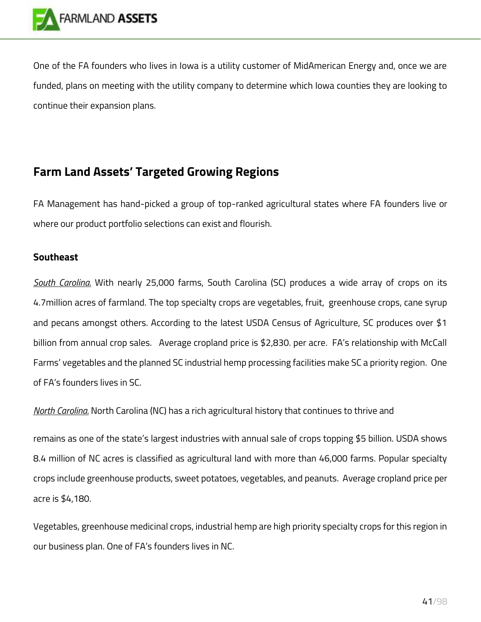One of the FA founders who lives in Iowa is a utility customer of MidAmerican Energy and, once we are funded, plans on meeting with the utility company to determine which Iowa counties they are looking to continue their expansion plans.

# **Farm Land Assets' Targeted Growing Regions**

FA Management has hand-picked a group of top-ranked agricultural states where FA founders live or where our product portfolio selections can exist and flourish.

#### **Southeast**

*South Carolina.* With nearly 25,000 farms, South Carolina (SC) produces a wide array of crops on its 4.7million acres of farmland. The top specialty crops are vegetables, fruit, greenhouse crops, cane syrup and pecans amongst others. According to the latest USDA Census of Agriculture, SC produces over \$1 billion from annual crop sales. Average cropland price is \$2,830. per acre. FA's relationship with McCall Farms' vegetables and the planned SC industrial hemp processing facilities make SC a priority region. One of FA's founders lives in SC.

*North Carolina.* North Carolina (NC) has a rich agricultural history that continues to thrive and

remains as one of the state's largest industries with annual sale of crops topping \$5 billion. USDA shows 8.4 million of NC acres is classified as agricultural land with more than 46,000 farms. Popular specialty crops include greenhouse products, sweet potatoes, vegetables, and peanuts. Average cropland price per acre is \$4,180.

Vegetables, greenhouse medicinal crops, industrial hemp are high priority specialty crops for this region in our business plan. One of FA's founders lives in NC.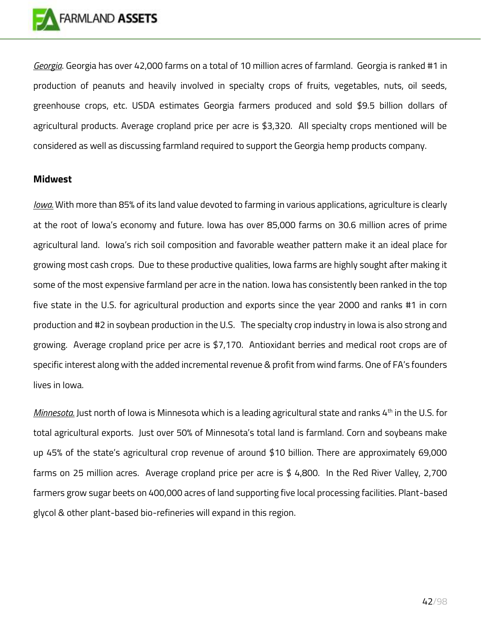

*Georgia*. Georgia has over 42,000 farms on a total of 10 million acres of farmland. Georgia is ranked #1 in production of peanuts and heavily involved in specialty crops of fruits, vegetables, nuts, oil seeds, greenhouse crops, etc. USDA estimates Georgia farmers produced and sold \$9.5 billion dollars of agricultural products. Average cropland price per acre is \$3,320. All specialty crops mentioned will be considered as well as discussing farmland required to support the Georgia hemp products company.

#### **Midwest**

*Iowa.* With more than 85% of its land value devoted to farming in various applications, agriculture is clearly at the root of Iowa's economy and future. Iowa has over 85,000 farms on 30.6 million acres of prime agricultural land. Iowa's rich soil composition and favorable weather pattern make it an ideal place for growing most cash crops. Due to these productive qualities, Iowa farms are highly sought after making it some of the most expensive farmland per acre in the nation. Iowa has consistently been ranked in the top five state in the U.S. for agricultural production and exports since the year 2000 and ranks #1 in corn production and #2 in soybean production in the U.S. The specialty crop industry in Iowa is also strong and growing. Average cropland price per acre is \$7,170. Antioxidant berries and medical root crops are of specific interest along with the added incremental revenue & profit from wind farms. One of FA's founders lives in Iowa.

*Minnesota.* Just north of Iowa is Minnesota which is a leading agricultural state and ranks 4th in the U.S. for total agricultural exports. Just over 50% of Minnesota's total land is farmland. Corn and soybeans make up 45% of the state's agricultural crop revenue of around \$10 billion. There are approximately 69,000 farms on 25 million acres. Average cropland price per acre is \$ 4,800. In the Red River Valley, 2,700 farmers grow sugar beets on 400,000 acres of land supporting five local processing facilities. Plant-based glycol & other plant-based bio-refineries will expand in this region.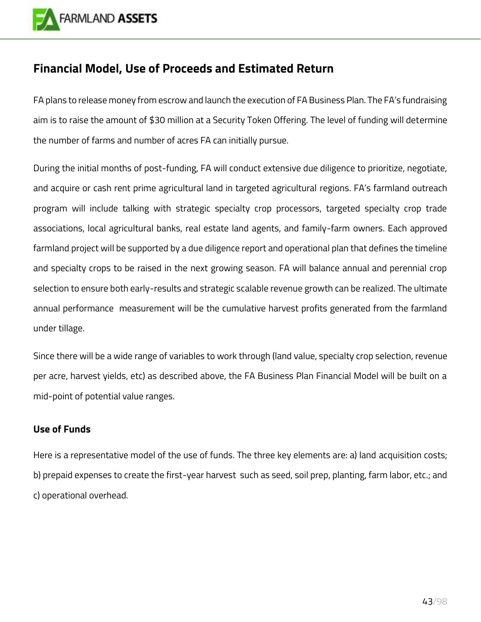

# **Financial Model, Use of Proceeds and Estimated Return**

FA plans to release money from escrow and launch the execution of FA Business Plan. The FA's fundraising aim is to raise the amount of \$30 million at a Security Token Offering. The level of funding will determine the number of farms and number of acres FA can initially pursue.

During the initial months of post-funding, FA will conduct extensive due diligence to prioritize, negotiate, and acquire or cash rent prime agricultural land in targeted agricultural regions. FA's farmland outreach program will include talking with strategic specialty crop processors, targeted specialty crop trade associations, local agricultural banks, real estate land agents, and family-farm owners. Each approved farmland project will be supported by a due diligence report and operational plan that defines the timeline and specialty crops to be raised in the next growing season. FA will balance annual and perennial crop selection to ensure both early-results and strategic scalable revenue growth can be realized. The ultimate annual performance measurement will be the cumulative harvest profits generated from the farmland under tillage.

Since there will be a wide range of variables to work through (land value, specialty crop selection, revenue per acre, harvest yields, etc) as described above, the FA Business Plan Financial Model will be built on a mid-point of potential value ranges.

#### **Use of Funds**

Here is a representative model of the use of funds. The three key elements are: a) land acquisition costs; b) prepaid expenses to create the first-year harvest such as seed, soil prep, planting, farm labor, etc.; and c) operational overhead.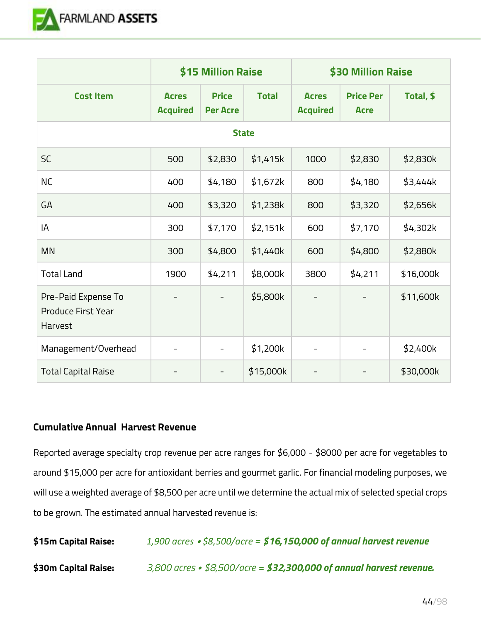

|                                                                    | \$15 Million Raise              |                                 |              |                                 | \$30 Million Raise              |           |
|--------------------------------------------------------------------|---------------------------------|---------------------------------|--------------|---------------------------------|---------------------------------|-----------|
| <b>Cost Item</b>                                                   | <b>Acres</b><br><b>Acquired</b> | <b>Price</b><br><b>Per Acre</b> | <b>Total</b> | <b>Acres</b><br><b>Acquired</b> | <b>Price Per</b><br><b>Acre</b> | Total, \$ |
|                                                                    |                                 |                                 | <b>State</b> |                                 |                                 |           |
| <b>SC</b>                                                          | 500                             | \$2,830                         | \$1,415k     | 1000                            | \$2,830                         | \$2,830k  |
| <b>NC</b>                                                          | 400                             | \$4,180                         | \$1,672k     | 800                             | \$4,180                         | \$3,444k  |
| GA                                                                 | 400                             | \$3,320                         | \$1,238k     | 800                             | \$3,320                         | \$2,656k  |
| IA                                                                 | 300                             | \$7,170                         | \$2,151k     | 600                             | \$7,170                         | \$4,302k  |
| <b>MN</b>                                                          | 300                             | \$4,800                         | \$1,440k     | 600                             | \$4,800                         | \$2,880k  |
| <b>Total Land</b>                                                  | 1900                            | \$4,211                         | \$8,000k     | 3800                            | \$4,211                         | \$16,000k |
| Pre-Paid Expense To<br><b>Produce First Year</b><br><b>Harvest</b> |                                 |                                 | \$5,800k     |                                 |                                 | \$11,600k |
| Management/Overhead                                                |                                 |                                 | \$1,200k     |                                 |                                 | \$2,400k  |
| <b>Total Capital Raise</b>                                         |                                 |                                 | \$15,000k    |                                 |                                 | \$30,000k |

#### **Cumulative Annual Harvest Revenue**

Reported average specialty crop revenue per acre ranges for \$6,000 - \$8000 per acre for vegetables to around \$15,000 per acre for antioxidant berries and gourmet garlic. For financial modeling purposes, we will use a weighted average of \$8,500 per acre until we determine the actual mix of selected special crops to be grown. The estimated annual harvested revenue is:

**\$15m Capital Raise:** *1,900 acres* <sup>⦁</sup> *\$8,500/acre = \$16,150,000 of annual harvest revenue* **\$30m Capital Raise:** *3,800 acres* <sup>⦁</sup> *\$8,500/acre = \$32,300,000 of annual harvest revenue.*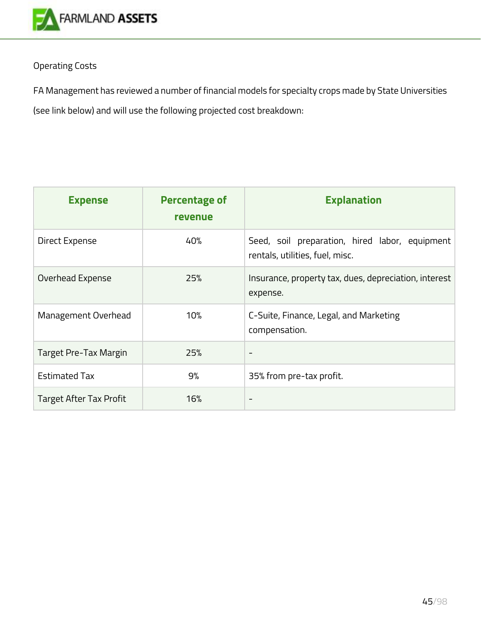

Operating Costs

FA Management has reviewed a number of financial models for specialty crops made by State Universities (see link below) and will use the following projected cost breakdown:

| <b>Expense</b>                 | <b>Percentage of</b><br><b>revenue</b> | <b>Explanation</b>                                                                |
|--------------------------------|----------------------------------------|-----------------------------------------------------------------------------------|
| Direct Expense                 | 40%                                    | Seed, soil preparation, hired labor, equipment<br>rentals, utilities, fuel, misc. |
| Overhead Expense               | 25%                                    | Insurance, property tax, dues, depreciation, interest<br>expense.                 |
| Management Overhead            | 10%                                    | C-Suite, Finance, Legal, and Marketing<br>compensation.                           |
| Target Pre-Tax Margin          | 25%                                    | $\qquad \qquad \blacksquare$                                                      |
| <b>Estimated Tax</b>           | 9%                                     | 35% from pre-tax profit.                                                          |
| <b>Target After Tax Profit</b> | 16%                                    | $\qquad \qquad$                                                                   |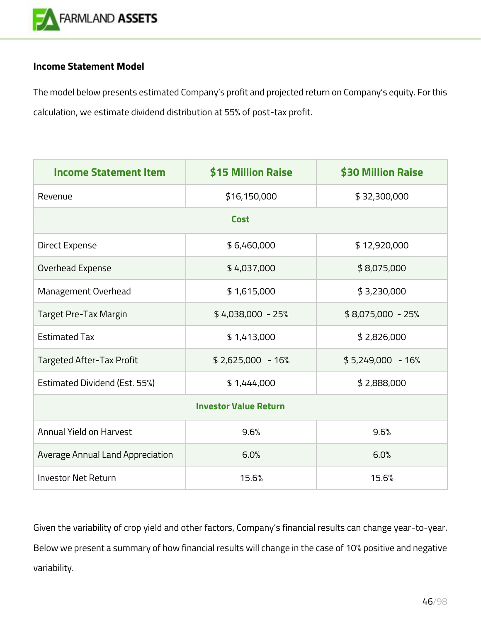

#### **Income Statement Model**

The model below presents estimated Company's profit and projected return on Company's equity. For this calculation, we estimate dividend distribution at 55% of post-tax profit.

| <b>Income Statement Item</b>     | \$15 Million Raise | \$30 Million Raise |  |
|----------------------------------|--------------------|--------------------|--|
| Revenue                          | \$16,150,000       | \$32,300,000       |  |
| Cost                             |                    |                    |  |
| Direct Expense                   | \$6,460,000        | \$12,920,000       |  |
| Overhead Expense                 | \$4,037,000        | \$8,075,000        |  |
| Management Overhead              | \$1,615,000        | \$3,230,000        |  |
| Target Pre-Tax Margin            | $$4,038,000 - 25%$ | $$8,075,000 - 25%$ |  |
| <b>Estimated Tax</b>             | \$1,413,000        | \$2,826,000        |  |
| Targeted After-Tax Profit        | $$2,625,000 - 16%$ | $$5,249,000 - 16%$ |  |
| Estimated Dividend (Est. 55%)    | \$1,444,000        | \$2,888,000        |  |
| <b>Investor Value Return</b>     |                    |                    |  |
| <b>Annual Yield on Harvest</b>   | 9.6%               | 9.6%               |  |
| Average Annual Land Appreciation | 6.0%               | 6.0%               |  |
| <b>Investor Net Return</b>       | 15.6%              | 15.6%              |  |

Given the variability of crop yield and other factors, Company's financial results can change year-to-year. Below we present a summary of how financial results will change in the case of 10% positive and negative variability.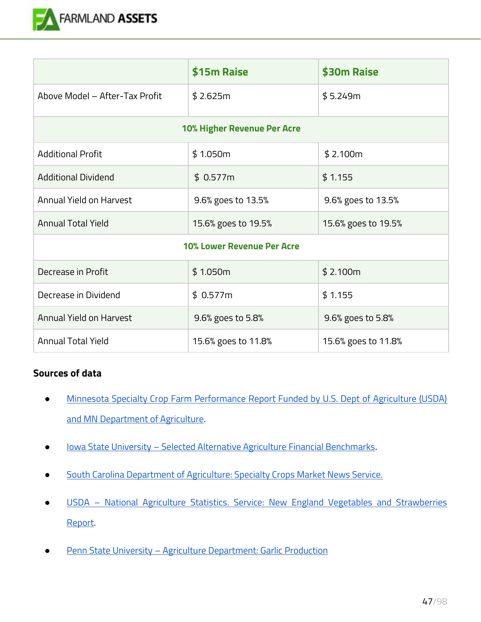

|                                    | \$15m Raise         | \$30m Raise         |  |
|------------------------------------|---------------------|---------------------|--|
| Above Model - After-Tax Profit     | \$2.625m            | \$5.249m            |  |
| <b>10% Higher Revenue Per Acre</b> |                     |                     |  |
| <b>Additional Profit</b>           | \$1.050m            | \$2.100m            |  |
| <b>Additional Dividend</b>         | \$0.577m            | \$1.155             |  |
| <b>Annual Yield on Harvest</b>     | 9.6% goes to 13.5%  | 9.6% goes to 13.5%  |  |
| <b>Annual Total Yield</b>          | 15.6% goes to 19.5% | 15.6% goes to 19.5% |  |
| <b>10% Lower Revenue Per Acre</b>  |                     |                     |  |
| Decrease in Profit                 | \$1.050m            | \$2.100m            |  |
| Decrease in Dividend               | \$0.577m            | \$1.155             |  |
| <b>Annual Yield on Harvest</b>     | 9.6% goes to 5.8%   | 9.6% goes to 5.8%   |  |
| <b>Annual Total Yield</b>          | 15.6% goes to 11.8% | 15.6% goes to 11.8% |  |

#### **Sources of data**

- Minnesota Specialty Crop Farm Performance Report Funded by U.S. Dept of Agriculture (USDA) [and MN Department of Agriculture.](https://ageconsearch.umn.edu/record/293322/?ln=en)
- Iowa State University [Selected Alternative Agriculture Financial Benchmarks.](https://www.extension.iastate.edu/agdm/wholefarm/html/c3-65.html)
- [South Carolina Department of Agriculture: Specialty Crops Market News Service.](https://www.ams.usda.gov/market-news)
- USDA National Agriculture Statistics. Service: New England Vegetables and Strawberries [Report.](https://www.nass.usda.gov/Statistics_by_State/New_England_includes/Publications/Current_News_Release/2019/eos2019_vegetables.pdf)
- Penn State University [Agriculture Department: Garlic Production](https://extension.psu.edu/garlic-production)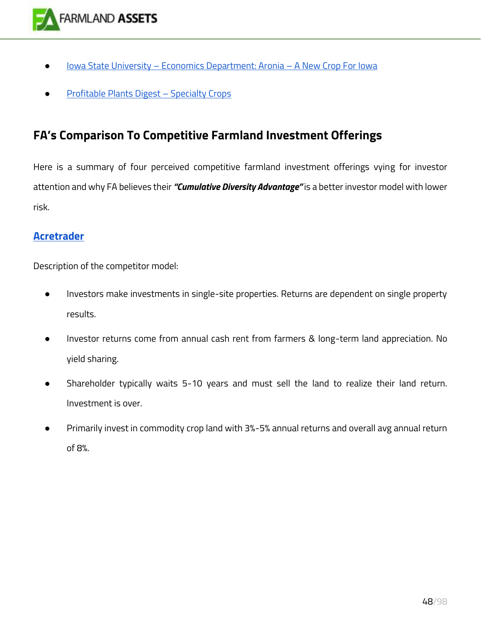

- Iowa State University [Economics Department: Aronia](https://www.extension.iastate.edu/news/2009/mar/110401.htm)  A New Crop For Iowa
- **[Profitable Plants Digest](https://www.profitableplantsdigest.com/)  Specialty Crops**

# **FA's Comparison To Competitive Farmland Investment Offerings**

Here is a summary of four perceived competitive farmland investment offerings vying for investor attention and why FA believes their *"Cumulative Diversity Advantage"* is a better investor model with lower risk.

#### **[Acretrader](https://www.acretrader.com/)**

Description of the competitor model:

- Investors make investments in single-site properties. Returns are dependent on single property results.
- Investor returns come from annual cash rent from farmers & long-term land appreciation. No yield sharing.
- Shareholder typically waits 5-10 years and must sell the land to realize their land return. Investment is over.
- Primarily invest in commodity crop land with 3%-5% annual returns and overall avg annual return of 8%.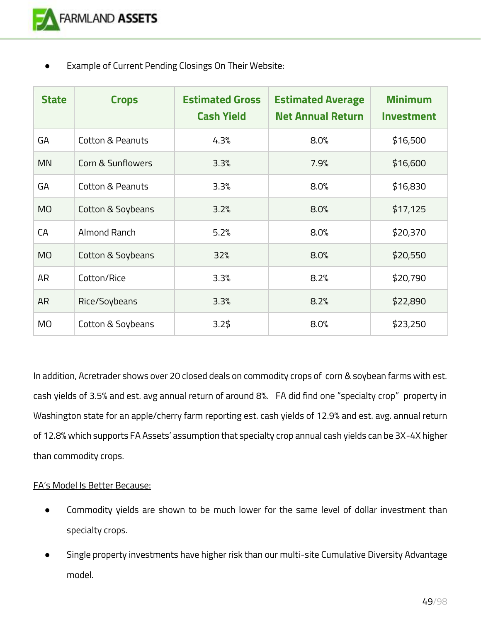Example of Current Pending Closings On Their Website:

| <b>State</b> | <b>Crops</b>      | <b>Estimated Gross</b><br><b>Cash Yield</b> | <b>Estimated Average</b><br><b>Net Annual Return</b> | <b>Minimum</b><br><b>Investment</b> |
|--------------|-------------------|---------------------------------------------|------------------------------------------------------|-------------------------------------|
| GA           | Cotton & Peanuts  | 4.3%                                        | 8.0%                                                 | \$16,500                            |
| <b>MN</b>    | Corn & Sunflowers | 3.3%                                        | 7.9%                                                 | \$16,600                            |
| GA           | Cotton & Peanuts  | 3.3%                                        | 8.0%                                                 | \$16,830                            |
| <b>MO</b>    | Cotton & Soybeans | 3.2%                                        | 8.0%                                                 | \$17,125                            |
| CA           | Almond Ranch      | 5.2%                                        | 8.0%                                                 | \$20,370                            |
| <b>MO</b>    | Cotton & Soybeans | 32%                                         | 8.0%                                                 | \$20,550                            |
| <b>AR</b>    | Cotton/Rice       | 3.3%                                        | 8.2%                                                 | \$20,790                            |
| <b>AR</b>    | Rice/Soybeans     | 3.3%                                        | 8.2%                                                 | \$22,890                            |
| MO           | Cotton & Soybeans | $3.2\frac{4}{9}$                            | 8.0%                                                 | \$23,250                            |

In addition, Acretrader shows over 20 closed deals on commodity crops of corn & soybean farms with est. cash yields of 3.5% and est. avg annual return of around 8%. FA did find one "specialty crop" property in Washington state for an apple/cherry farm reporting est. cash yields of 12.9% and est. avg. annual return of 12.8% which supports FA Assets' assumption that specialty crop annual cash yields can be 3X-4X higher than commodity crops.

#### FA's Model Is Better Because:

- Commodity yields are shown to be much lower for the same level of dollar investment than specialty crops.
- Single property investments have higher risk than our multi-site Cumulative Diversity Advantage model.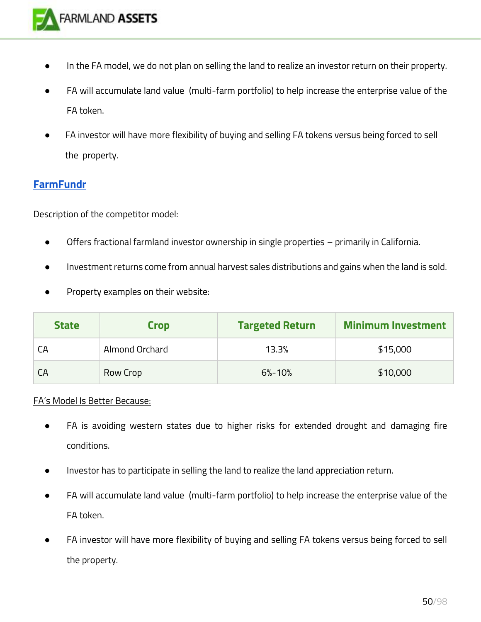- In the FA model, we do not plan on selling the land to realize an investor return on their property.
- FA will accumulate land value (multi-farm portfolio) to help increase the enterprise value of the FA token.
- FA investor will have more flexibility of buying and selling FA tokens versus being forced to sell the property.

#### **[FarmFundr](https://www.farmfundr.com/)**

Description of the competitor model:

- Offers fractional farmland investor ownership in single properties primarily in California.
- Investment returns come from annual harvest sales distributions and gains when the land is sold.
- Property examples on their website:

| <b>State</b> | <b>Crop</b>    | <b>Targeted Return</b> | <b>Minimum Investment</b> |
|--------------|----------------|------------------------|---------------------------|
| CА           | Almond Orchard | 13.3%                  | \$15,000                  |
| CA           | Row Crop       | $6% - 10%$             | \$10,000                  |

#### FA's Model Is Better Because:

- FA is avoiding western states due to higher risks for extended drought and damaging fire conditions.
- Investor has to participate in selling the land to realize the land appreciation return.
- FA will accumulate land value (multi-farm portfolio) to help increase the enterprise value of the FA token.
- FA investor will have more flexibility of buying and selling FA tokens versus being forced to sell the property.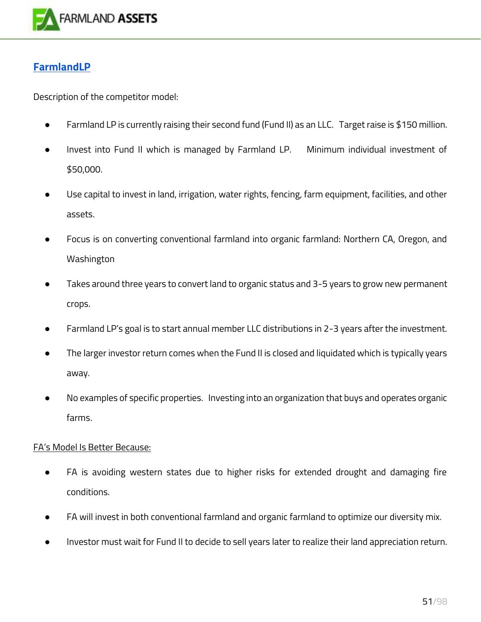

### **[FarmlandLP](https://www.farmlandlp.com/)**

Description of the competitor model:

- Farmland LP is currently raising their second fund (Fund II) as an LLC. Target raise is \$150 million.
- Invest into Fund II which is managed by Farmland LP. Minimum individual investment of \$50,000.
- Use capital to invest in land, irrigation, water rights, fencing, farm equipment, facilities, and other assets.
- Focus is on converting conventional farmland into organic farmland: Northern CA, Oregon, and Washington
- Takes around three years to convert land to organic status and 3-5 years to grow new permanent crops.
- Farmland LP's goal is to start annual member LLC distributions in 2-3 years after the investment.
- The larger investor return comes when the Fund II is closed and liquidated which is typically years away.
- No examples of specific properties. Investing into an organization that buys and operates organic farms.

#### FA's Model Is Better Because:

- FA is avoiding western states due to higher risks for extended drought and damaging fire conditions.
- FA will invest in both conventional farmland and organic farmland to optimize our diversity mix.
- Investor must wait for Fund II to decide to sell years later to realize their land appreciation return.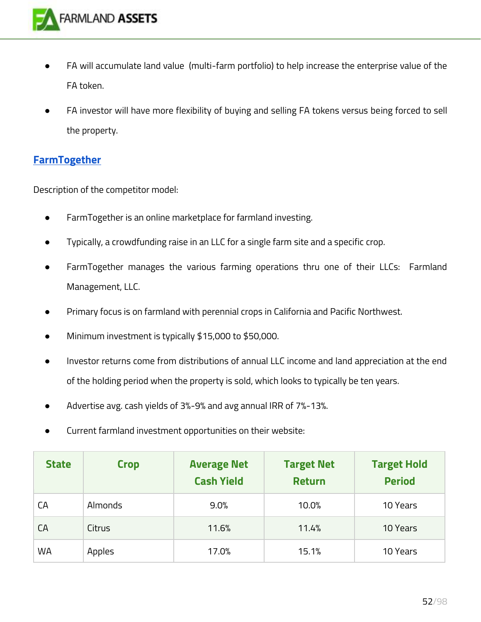

- FA will accumulate land value (multi-farm portfolio) to help increase the enterprise value of the FA token.
- FA investor will have more flexibility of buying and selling FA tokens versus being forced to sell the property.

## **[FarmTogether](https://farmtogether.com/)**

Description of the competitor model:

- FarmTogether is an online marketplace for farmland investing.
- Typically, a crowdfunding raise in an LLC for a single farm site and a specific crop.
- FarmTogether manages the various farming operations thru one of their LLCs: Farmland Management, LLC.
- Primary focus is on farmland with perennial crops in California and Pacific Northwest.
- Minimum investment is typically \$15,000 to \$50,000.
- Investor returns come from distributions of annual LLC income and land appreciation at the end of the holding period when the property is sold, which looks to typically be ten years.
- Advertise avg. cash yields of 3%-9% and avg annual IRR of 7%-13%.
- Current farmland investment opportunities on their website:

| <b>State</b> | <b>Crop</b> | <b>Average Net</b><br><b>Cash Yield</b> | <b>Target Net</b><br><b>Return</b> | <b>Target Hold</b><br><b>Period</b> |
|--------------|-------------|-----------------------------------------|------------------------------------|-------------------------------------|
| CA           | Almonds     | 9.0%                                    | 10.0%                              | 10 Years                            |
| CA           | Citrus      | 11.6%                                   | 11.4%                              | 10 Years                            |
| WА           | Apples      | 17.0%                                   | 15.1%                              | 10 Years                            |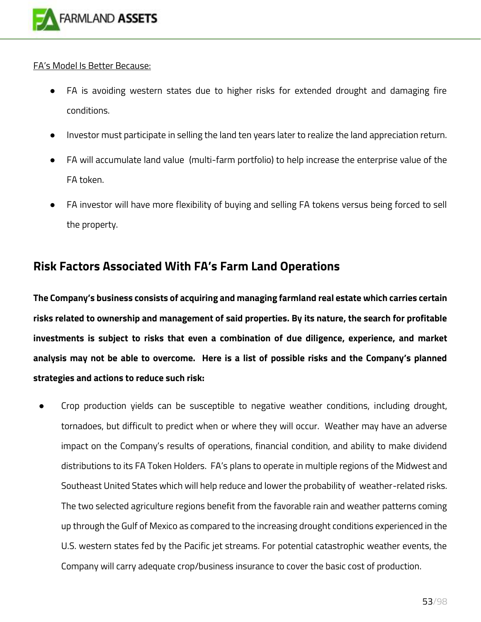

#### FA's Model Is Better Because:

- FA is avoiding western states due to higher risks for extended drought and damaging fire conditions.
- Investor must participate in selling the land ten years later to realize the land appreciation return.
- FA will accumulate land value (multi-farm portfolio) to help increase the enterprise value of the FA token.
- FA investor will have more flexibility of buying and selling FA tokens versus being forced to sell the property.

# **Risk Factors Associated With FA's Farm Land Operations**

**The Company's business consists of acquiring and managing farmland real estate which carries certain risks related to ownership and management of said properties. By its nature, the search for profitable investments is subject to risks that even a combination of due diligence, experience, and market analysis may not be able to overcome. Here is a list of possible risks and the Company's planned strategies and actions to reduce such risk:** 

Crop production yields can be susceptible to negative weather conditions, including drought, tornadoes, but difficult to predict when or where they will occur. Weather may have an adverse impact on the Company's results of operations, financial condition, and ability to make dividend distributions to its FA Token Holders. FA's plans to operate in multiple regions of the Midwest and Southeast United States which will help reduce and lower the probability of weather-related risks. The two selected agriculture regions benefit from the favorable rain and weather patterns coming up through the Gulf of Mexico as compared to the increasing drought conditions experienced in the U.S. western states fed by the Pacific jet streams. For potential catastrophic weather events, the Company will carry adequate crop/business insurance to cover the basic cost of production.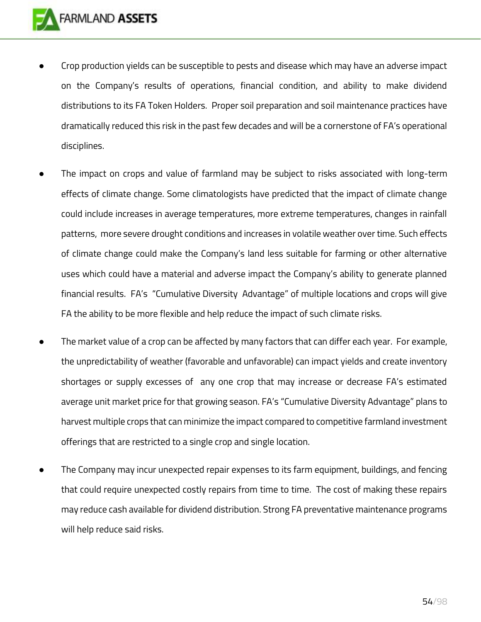- Crop production yields can be susceptible to pests and disease which may have an adverse impact on the Company's results of operations, financial condition, and ability to make dividend distributions to its FA Token Holders. Proper soil preparation and soil maintenance practices have dramatically reduced this risk in the past few decades and will be a cornerstone of FA's operational disciplines.
- The impact on crops and value of farmland may be subject to risks associated with long-term effects of climate change. Some climatologists have predicted that the impact of climate change could include increases in average temperatures, more extreme temperatures, changes in rainfall patterns, more severe drought conditions and increases in volatile weather over time. Such effects of climate change could make the Company's land less suitable for farming or other alternative uses which could have a material and adverse impact the Company's ability to generate planned financial results. FA's "Cumulative Diversity Advantage" of multiple locations and crops will give FA the ability to be more flexible and help reduce the impact of such climate risks.
- The market value of a crop can be affected by many factors that can differ each year. For example, the unpredictability of weather (favorable and unfavorable) can impact yields and create inventory shortages or supply excesses of any one crop that may increase or decrease FA's estimated average unit market price for that growing season. FA's "Cumulative Diversity Advantage" plans to harvest multiple crops that can minimize the impact compared to competitive farmland investment offerings that are restricted to a single crop and single location.
- The Company may incur unexpected repair expenses to its farm equipment, buildings, and fencing that could require unexpected costly repairs from time to time. The cost of making these repairs may reduce cash available for dividend distribution. Strong FA preventative maintenance programs will help reduce said risks.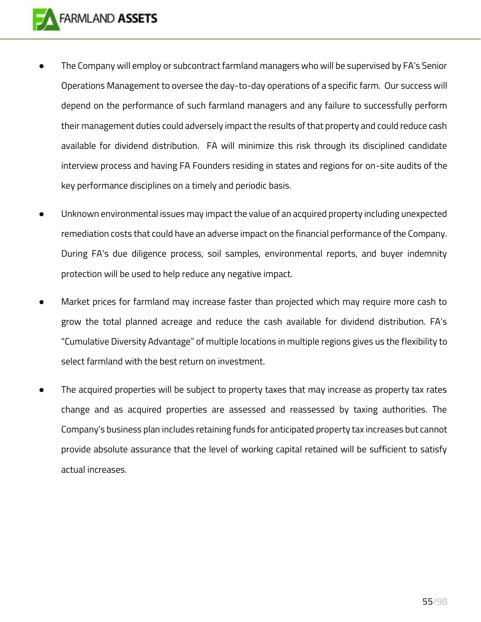- The Company will employ or subcontract farmland managers who will be supervised by FA's Senior Operations Management to oversee the day-to-day operations of a specific farm. Our success will depend on the performance of such farmland managers and any failure to successfully perform their management duties could adversely impact the results of that property and could reduce cash available for dividend distribution. FA will minimize this risk through its disciplined candidate interview process and having FA Founders residing in states and regions for on-site audits of the key performance disciplines on a timely and periodic basis.
- Unknown environmental issues may impact the value of an acquired property including unexpected remediation costs that could have an adverse impact on the financial performance of the Company. During FA's due diligence process, soil samples, environmental reports, and buyer indemnity protection will be used to help reduce any negative impact.
- Market prices for farmland may increase faster than projected which may require more cash to grow the total planned acreage and reduce the cash available for dividend distribution. FA's "Cumulative Diversity Advantage" of multiple locations in multiple regions gives us the flexibility to select farmland with the best return on investment.
- The acquired properties will be subject to property taxes that may increase as property tax rates change and as acquired properties are assessed and reassessed by taxing authorities. The Company's business plan includes retaining funds for anticipated property tax increases but cannot provide absolute assurance that the level of working capital retained will be sufficient to satisfy actual increases.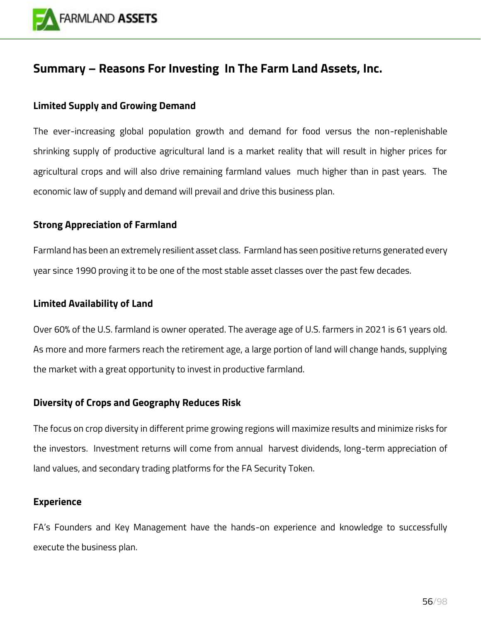

# **Summary – Reasons For Investing In The Farm Land Assets, Inc.**

#### **Limited Supply and Growing Demand**

The ever-increasing global population growth and demand for food versus the non-replenishable shrinking supply of productive agricultural land is a market reality that will result in higher prices for agricultural crops and will also drive remaining farmland values much higher than in past years. The economic law of supply and demand will prevail and drive this business plan.

#### **Strong Appreciation of Farmland**

Farmland has been an extremely resilient asset class. Farmland has seen positive returns generated every year since 1990 proving it to be one of the most stable asset classes over the past few decades.

#### **Limited Availability of Land**

Over 60% of the U.S. farmland is owner operated. The average age of U.S. farmers in 2021 is 61 years old. As more and more farmers reach the retirement age, a large portion of land will change hands, supplying the market with a great opportunity to invest in productive farmland.

#### **Diversity of Crops and Geography Reduces Risk**

The focus on crop diversity in different prime growing regions will maximize results and minimize risks for the investors. Investment returns will come from annual harvest dividends, long-term appreciation of land values, and secondary trading platforms for the FA Security Token.

#### **Experience**

FA's Founders and Key Management have the hands-on experience and knowledge to successfully execute the business plan.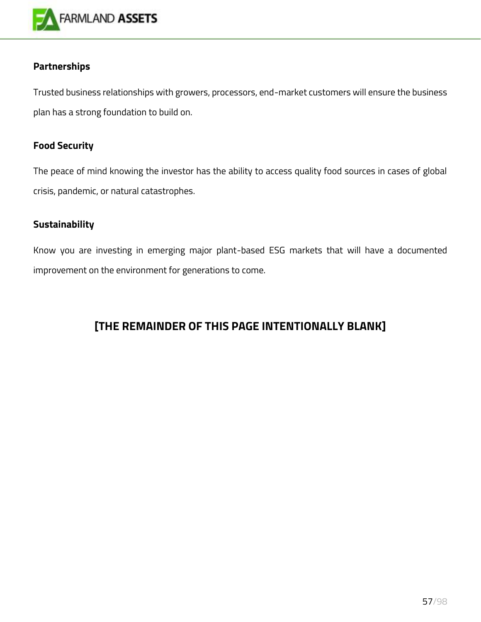

#### **Partnerships**

Trusted business relationships with growers, processors, end-market customers will ensure the business plan has a strong foundation to build on.

#### **Food Security**

The peace of mind knowing the investor has the ability to access quality food sources in cases of global crisis, pandemic, or natural catastrophes.

#### **Sustainability**

Know you are investing in emerging major plant-based ESG markets that will have a documented improvement on the environment for generations to come.

# **[THE REMAINDER OF THIS PAGE INTENTIONALLY BLANK]**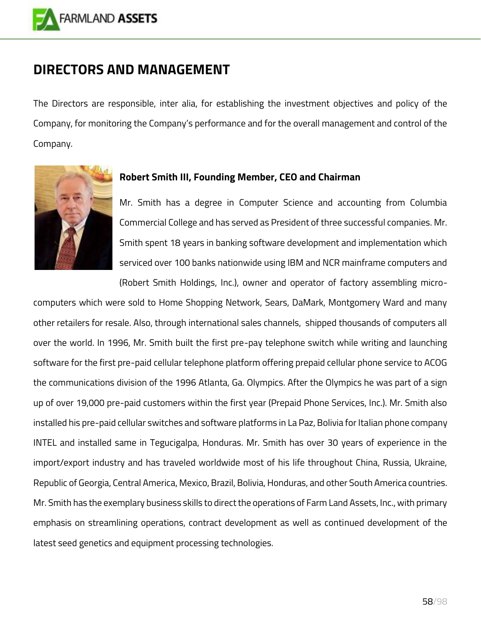

# **DIRECTORS AND MANAGEMENT**

The Directors are responsible, inter alia, for establishing the investment objectives and policy of the Company, for monitoring the Company's performance and for the overall management and control of the Company.



#### **Robert Smith III, Founding Member, CEO and Chairman**

Mr. Smith has a degree in Computer Science and accounting from Columbia Commercial College and has served as President of three successful companies. Mr. Smith spent 18 years in banking software development and implementation which serviced over 100 banks nationwide using IBM and NCR mainframe computers and

(Robert Smith Holdings, Inc.), owner and operator of factory assembling micro-

computers which were sold to Home Shopping Network, Sears, DaMark, Montgomery Ward and many other retailers for resale. Also, through international sales channels, shipped thousands of computers all over the world. In 1996, Mr. Smith built the first pre-pay telephone switch while writing and launching software for the first pre-paid cellular telephone platform offering prepaid cellular phone service to ACOG the communications division of the 1996 Atlanta, Ga. Olympics. After the Olympics he was part of a sign up of over 19,000 pre-paid customers within the first year (Prepaid Phone Services, Inc.). Mr. Smith also installed his pre-paid cellular switches and software platforms in La Paz, Bolivia for Italian phone company INTEL and installed same in Tegucigalpa, Honduras. Mr. Smith has over 30 years of experience in the import/export industry and has traveled worldwide most of his life throughout China, Russia, Ukraine, Republic of Georgia, Central America, Mexico, Brazil, Bolivia, Honduras, and other South America countries. Mr. Smith has the exemplary business skills to direct the operations of Farm Land Assets, Inc., with primary emphasis on streamlining operations, contract development as well as continued development of the latest seed genetics and equipment processing technologies.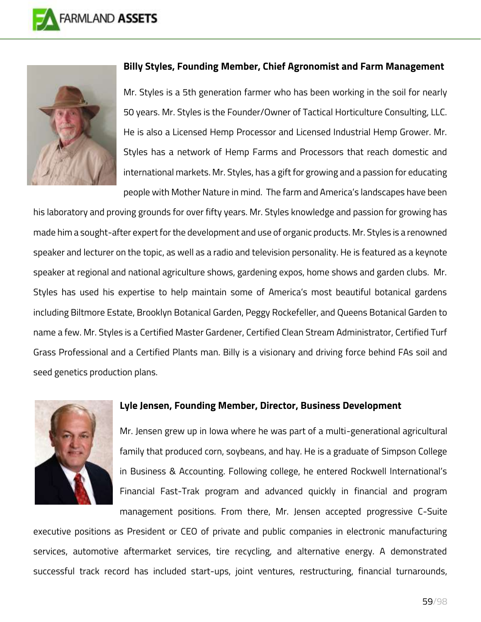



#### **Billy Styles, Founding Member, Chief Agronomist and Farm Management**

Mr. Styles is a 5th generation farmer who has been working in the soil for nearly 50 years. Mr. Styles is the Founder/Owner of Tactical Horticulture Consulting, LLC. He is also a Licensed Hemp Processor and Licensed Industrial Hemp Grower. Mr. Styles has a network of Hemp Farms and Processors that reach domestic and international markets. Mr. Styles, has a gift for growing and a passion for educating people with Mother Nature in mind. The farm and America's landscapes have been

his laboratory and proving grounds for over fifty years. Mr. Styles knowledge and passion for growing has made him a sought-after expert for the development and use of organic products. Mr. Styles is a renowned speaker and lecturer on the topic, as well as a radio and television personality. He is featured as a keynote speaker at regional and national agriculture shows, gardening expos, home shows and garden clubs. Mr. Styles has used his expertise to help maintain some of America's most beautiful botanical gardens including Biltmore Estate, Brooklyn Botanical Garden, Peggy Rockefeller, and Queens Botanical Garden to name a few. Mr. Styles is a Certified Master Gardener, Certified Clean Stream Administrator, Certified Turf Grass Professional and a Certified Plants man. Billy is a visionary and driving force behind FAs soil and seed genetics production plans.



#### **Lyle Jensen, Founding Member, Director, Business Development**

Mr. Jensen grew up in Iowa where he was part of a multi-generational agricultural family that produced corn, soybeans, and hay. He is a graduate of Simpson College in Business & Accounting. Following college, he entered Rockwell International's Financial Fast-Trak program and advanced quickly in financial and program management positions. From there, Mr. Jensen accepted progressive C-Suite

executive positions as President or CEO of private and public companies in electronic manufacturing services, automotive aftermarket services, tire recycling, and alternative energy. A demonstrated successful track record has included start-ups, joint ventures, restructuring, financial turnarounds,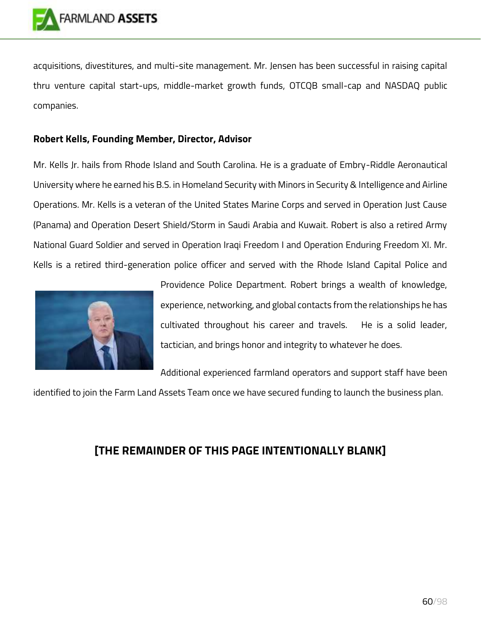

acquisitions, divestitures, and multi-site management. Mr. Jensen has been successful in raising capital thru venture capital start-ups, middle-market growth funds, OTCQB small-cap and NASDAQ public companies.

#### **Robert Kells, Founding Member, Director, Advisor**

Mr. Kells Jr. hails from Rhode Island and South Carolina. He is a graduate of Embry-Riddle Aeronautical University where he earned his B.S. in Homeland Security with Minors in Security & Intelligence and Airline Operations. Mr. Kells is a veteran of the United States Marine Corps and served in Operation Just Cause (Panama) and Operation Desert Shield/Storm in Saudi Arabia and Kuwait. Robert is also a retired Army National Guard Soldier and served in Operation Iraqi Freedom I and Operation Enduring Freedom XI. Mr. Kells is a retired third-generation police officer and served with the Rhode Island Capital Police and



Providence Police Department. Robert brings a wealth of knowledge, experience, networking, and global contacts from the relationships he has cultivated throughout his career and travels. He is a solid leader, tactician, and brings honor and integrity to whatever he does.

Additional experienced farmland operators and support staff have been

identified to join the Farm Land Assets Team once we have secured funding to launch the business plan.

# **[THE REMAINDER OF THIS PAGE INTENTIONALLY BLANK]**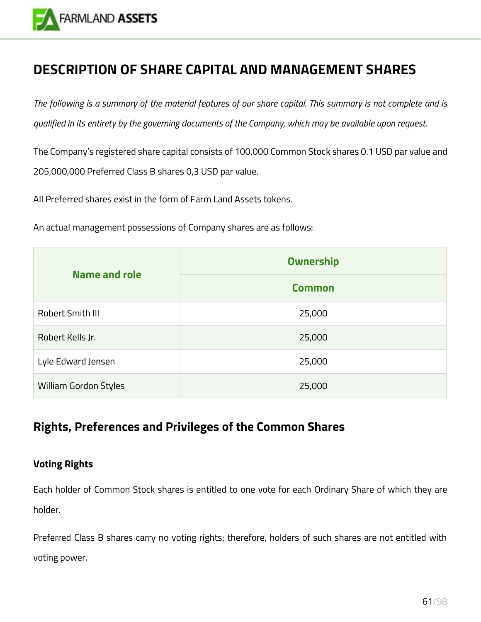

# **DESCRIPTION OF SHARE CAPITAL AND MANAGEMENT SHARES**

*The following is a summary of the material features of our share capital. This summary is not complete and is qualified in its entirety by the governing documents of the Company, which may be available upon request.*

The Company's registered share capital consists of 100,000 Common Stock shares 0.1 USD par value and 205,000,000 Preferred Class B shares 0,3 USD par value.

All Preferred shares exist in the form of Farm Land Assets tokens.

An actual management possessions of Company shares are as follows:

|                       | <b>Ownership</b> |
|-----------------------|------------------|
| <b>Name and role</b>  | <b>Common</b>    |
| Robert Smith III      | 25,000           |
| Robert Kells Jr.      | 25,000           |
| Lyle Edward Jensen    | 25,000           |
| William Gordon Styles | 25,000           |

# **Rights, Preferences and Privileges of the Common Shares**

#### **Voting Rights**

Each holder of Common Stock shares is entitled to one vote for each Ordinary Share of which they are holder.

Preferred Class B shares carry no voting rights; therefore, holders of such shares are not entitled with voting power.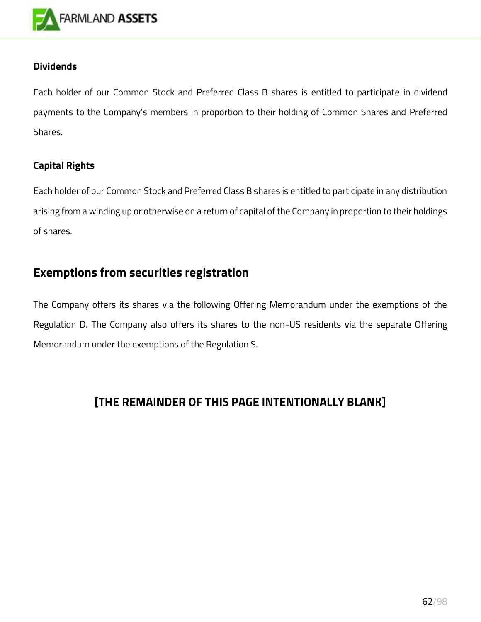

#### **Dividends**

Each holder of our Common Stock and Preferred Class B shares is entitled to participate in dividend payments to the Company's members in proportion to their holding of Common Shares and Preferred Shares.

#### **Capital Rights**

Each holder of our Common Stock and Preferred Class B shares is entitled to participate in any distribution arising from a winding up or otherwise on a return of capital of the Company in proportion to their holdings of shares.

# **Exemptions from securities registration**

The Company offers its shares via the following Offering Memorandum under the exemptions of the Regulation D. The Company also offers its shares to the non-US residents via the separate Offering Memorandum under the exemptions of the Regulation S.

## **[THE REMAINDER OF THIS PAGE INTENTIONALLY BLANK]**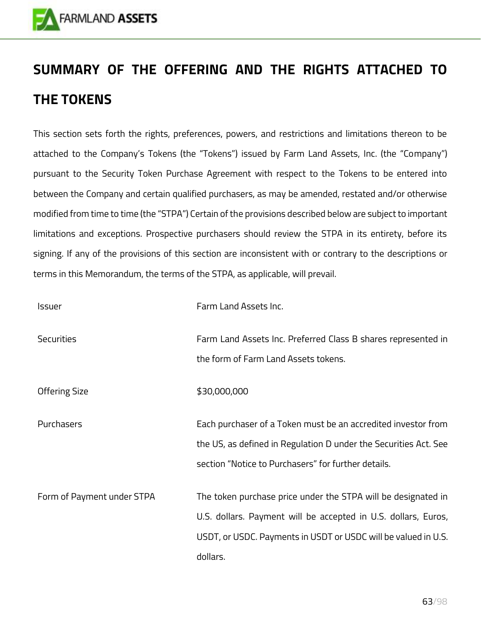

# **SUMMARY OF THE OFFERING AND THE RIGHTS ATTACHED TO THE TOKENS**

This section sets forth the rights, preferences, powers, and restrictions and limitations thereon to be attached to the Company's Tokens (the "Tokens") issued by Farm Land Assets, Inc. (the "Company") pursuant to the Security Token Purchase Agreement with respect to the Tokens to be entered into between the Company and certain qualified purchasers, as may be amended, restated and/or otherwise modified from time to time (the "STPA") Certain of the provisions described below are subject to important limitations and exceptions. Prospective purchasers should review the STPA in its entirety, before its signing. If any of the provisions of this section are inconsistent with or contrary to the descriptions or terms in this Memorandum, the terms of the STPA, as applicable, will prevail.

| <b>Issuer</b>              | Farm Land Assets Inc.                                                                                                                                                                                         |
|----------------------------|---------------------------------------------------------------------------------------------------------------------------------------------------------------------------------------------------------------|
| <b>Securities</b>          | Farm Land Assets Inc. Preferred Class B shares represented in<br>the form of Farm Land Assets tokens.                                                                                                         |
| <b>Offering Size</b>       | \$30,000,000                                                                                                                                                                                                  |
| Purchasers                 | Each purchaser of a Token must be an accredited investor from<br>the US, as defined in Regulation D under the Securities Act. See<br>section "Notice to Purchasers" for further details.                      |
| Form of Payment under STPA | The token purchase price under the STPA will be designated in<br>U.S. dollars. Payment will be accepted in U.S. dollars, Euros,<br>USDT, or USDC. Payments in USDT or USDC will be valued in U.S.<br>dollars. |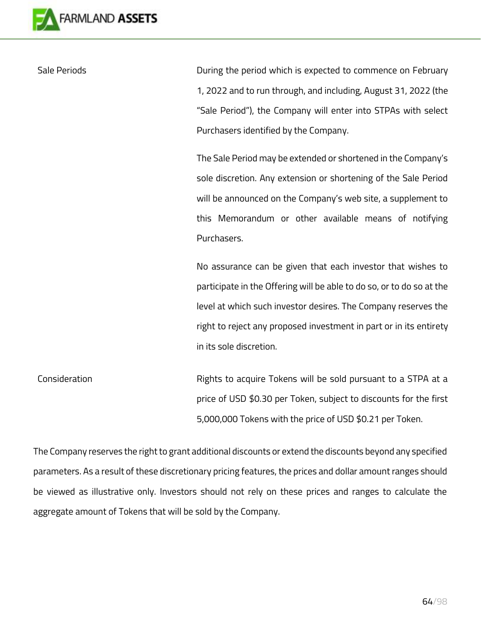

Sale Periods **During the period which is expected to commence on February** 1, 2022 and to run through, and including, August 31, 2022 (the "Sale Period"), the Company will enter into STPAs with select Purchasers identified by the Company.

> The Sale Period may be extended or shortened in the Company's sole discretion. Any extension or shortening of the Sale Period will be announced on the Company's web site, a supplement to this Memorandum or other available means of notifying Purchasers.

> No assurance can be given that each investor that wishes to participate in the Offering will be able to do so, or to do so at the level at which such investor desires. The Company reserves the right to reject any proposed investment in part or in its entirety in its sole discretion.

Consideration **Exercise 20** Rights to acquire Tokens will be sold pursuant to a STPA at a price of USD \$0.30 per Token, subject to discounts for the first 5,000,000 Tokens with the price of USD \$0.21 per Token.

The Company reserves the right to grant additional discounts or extend the discounts beyond any specified parameters. As a result of these discretionary pricing features, the prices and dollar amount ranges should be viewed as illustrative only. Investors should not rely on these prices and ranges to calculate the aggregate amount of Tokens that will be sold by the Company.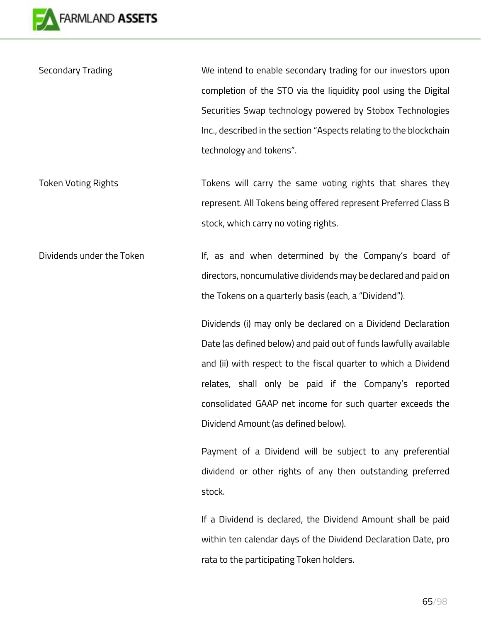

Secondary Trading The Me intend to enable secondary trading for our investors upon completion of the STO via the liquidity pool using the Digital Securities Swap technology powered by Stobox Technologies Inc., described in the section "Aspects relating to the blockchain technology and tokens".

Token Voting Rights Tokens will carry the same voting rights that shares they represent. All Tokens being offered represent Preferred Class B stock, which carry no voting rights.

Dividends under the Token If, as and when determined by the Company's board of directors, noncumulative dividends may be declared and paid on the Tokens on a quarterly basis (each, a "Dividend").

> Dividends (i) may only be declared on a Dividend Declaration Date (as defined below) and paid out of funds lawfully available and (ii) with respect to the fiscal quarter to which a Dividend relates, shall only be paid if the Company's reported consolidated GAAP net income for such quarter exceeds the Dividend Amount (as defined below).

> Payment of a Dividend will be subject to any preferential dividend or other rights of any then outstanding preferred stock.

> If a Dividend is declared, the Dividend Amount shall be paid within ten calendar days of the Dividend Declaration Date, pro rata to the participating Token holders.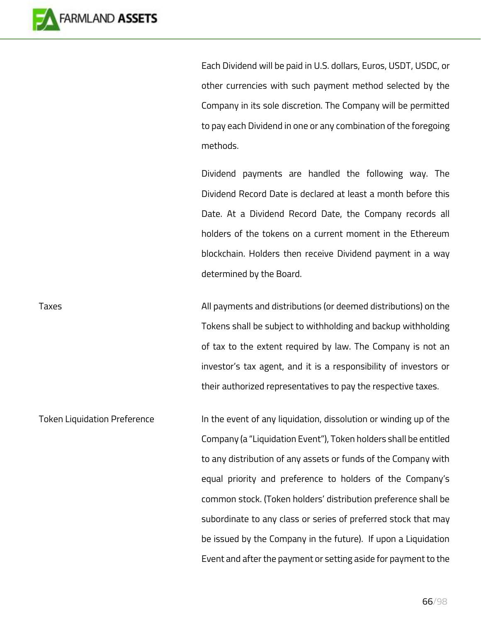

Each Dividend will be paid in U.S. dollars, Euros, USDT, USDC, or other currencies with such payment method selected by the Company in its sole discretion. The Company will be permitted to pay each Dividend in one or any combination of the foregoing methods.

Dividend payments are handled the following way. The Dividend Record Date is declared at least a month before this Date. At a Dividend Record Date, the Company records all holders of the tokens on a current moment in the Ethereum blockchain. Holders then receive Dividend payment in a way determined by the Board.

Taxes All payments and distributions (or deemed distributions) on the Tokens shall be subject to withholding and backup withholding of tax to the extent required by law. The Company is not an investor's tax agent, and it is a responsibility of investors or their authorized representatives to pay the respective taxes.

Token Liquidation Preference In the event of any liquidation, dissolution or winding up of the Company (a "Liquidation Event"), Token holders shall be entitled to any distribution of any assets or funds of the Company with equal priority and preference to holders of the Company's common stock. (Token holders' distribution preference shall be subordinate to any class or series of preferred stock that may be issued by the Company in the future). If upon a Liquidation Event and after the payment or setting aside for payment to the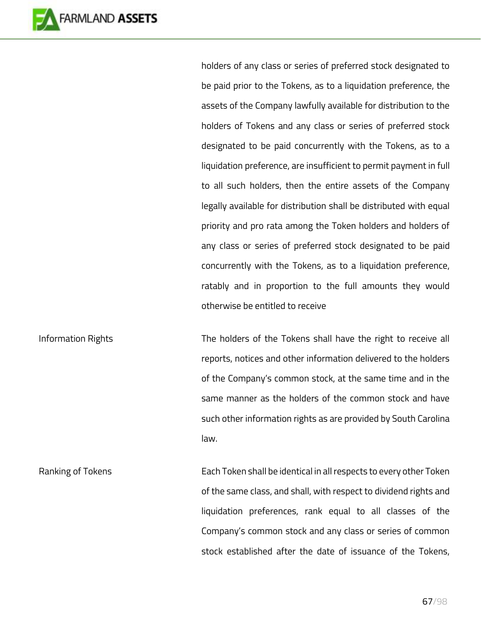

holders of any class or series of preferred stock designated to be paid prior to the Tokens, as to a liquidation preference, the assets of the Company lawfully available for distribution to the holders of Tokens and any class or series of preferred stock designated to be paid concurrently with the Tokens, as to a liquidation preference, are insufficient to permit payment in full to all such holders, then the entire assets of the Company legally available for distribution shall be distributed with equal priority and pro rata among the Token holders and holders of any class or series of preferred stock designated to be paid concurrently with the Tokens, as to a liquidation preference, ratably and in proportion to the full amounts they would otherwise be entitled to receive

Information Rights The holders of the Tokens shall have the right to receive all reports, notices and other information delivered to the holders of the Company's common stock, at the same time and in the same manner as the holders of the common stock and have such other information rights as are provided by South Carolina law.

Ranking of Tokens Each Token shall be identical in all respects to every other Token of the same class, and shall, with respect to dividend rights and liquidation preferences, rank equal to all classes of the Company's common stock and any class or series of common stock established after the date of issuance of the Tokens,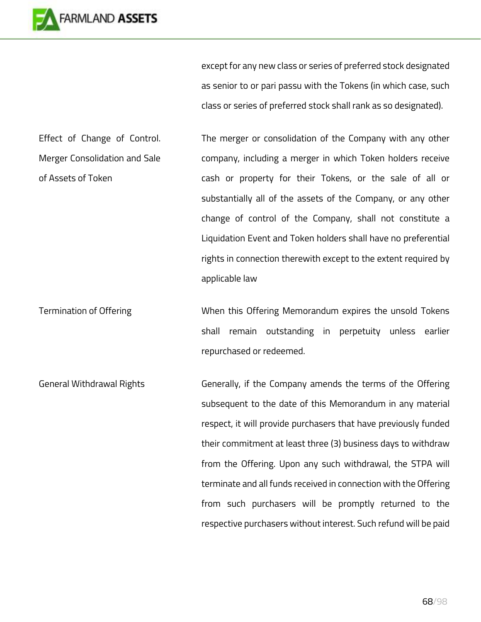

Effect of Change of Control. Merger Consolidation and Sale of Assets of Token

except for any new class or series of preferred stock designated as senior to or pari passu with the Tokens (in which case, such class or series of preferred stock shall rank as so designated).

The merger or consolidation of the Company with any other company, including a merger in which Token holders receive cash or property for their Tokens, or the sale of all or substantially all of the assets of the Company, or any other change of control of the Company, shall not constitute a Liquidation Event and Token holders shall have no preferential rights in connection therewith except to the extent required by applicable law

Termination of Offering When this Offering Memorandum expires the unsold Tokens shall remain outstanding in perpetuity unless earlier repurchased or redeemed.

General Withdrawal Rights Generally, if the Company amends the terms of the Offering subsequent to the date of this Memorandum in any material respect, it will provide purchasers that have previously funded their commitment at least three (3) business days to withdraw from the Offering. Upon any such withdrawal, the STPA will terminate and all funds received in connection with the Offering from such purchasers will be promptly returned to the respective purchasers without interest. Such refund will be paid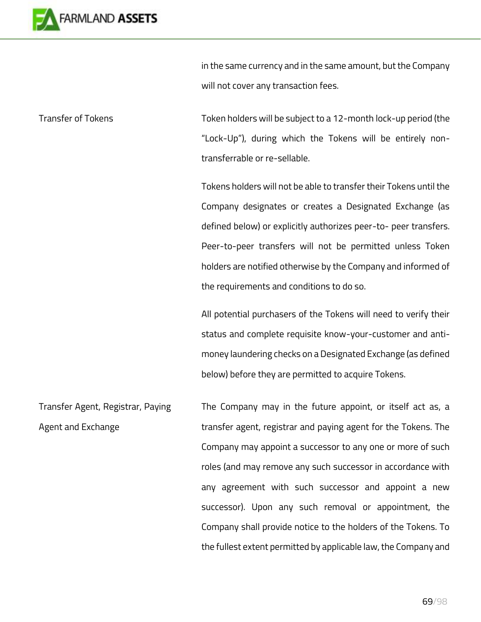

in the same currency and in the same amount, but the Company will not cover any transaction fees.

Transfer of Tokens Token holders will be subject to a 12-month lock-up period (the "Lock-Up"), during which the Tokens will be entirely nontransferrable or re-sellable.

> Tokens holders will not be able to transfer their Tokens until the Company designates or creates a Designated Exchange (as defined below) or explicitly authorizes peer-to- peer transfers. Peer-to-peer transfers will not be permitted unless Token holders are notified otherwise by the Company and informed of the requirements and conditions to do so.

> All potential purchasers of the Tokens will need to verify their status and complete requisite know-your-customer and antimoney laundering checks on a Designated Exchange (as defined below) before they are permitted to acquire Tokens.

Transfer Agent, Registrar, Paying Agent and Exchange The Company may in the future appoint, or itself act as, a transfer agent, registrar and paying agent for the Tokens. The Company may appoint a successor to any one or more of such roles (and may remove any such successor in accordance with any agreement with such successor and appoint a new successor). Upon any such removal or appointment, the Company shall provide notice to the holders of the Tokens. To the fullest extent permitted by applicable law, the Company and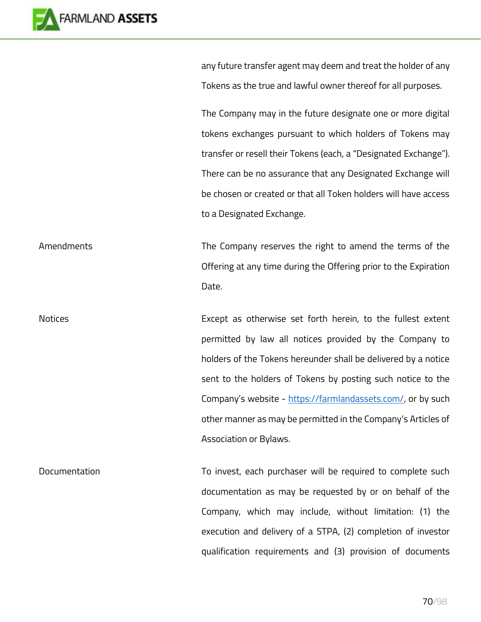

any future transfer agent may deem and treat the holder of any Tokens as the true and lawful owner thereof for all purposes.

The Company may in the future designate one or more digital tokens exchanges pursuant to which holders of Tokens may transfer or resell their Tokens (each, a "Designated Exchange"). There can be no assurance that any Designated Exchange will be chosen or created or that all Token holders will have access to a Designated Exchange.

Amendments **The Company reserves the right to amend the terms of the** Offering at any time during the Offering prior to the Expiration Date.

Notices **Except as otherwise set forth herein, to the fullest extent** permitted by law all notices provided by the Company to holders of the Tokens hereunder shall be delivered by a notice sent to the holders of Tokens by posting such notice to the Company's website - [https://farmlandassets.com/,](https://farmlandassets.com/) or by such other manner as may be permitted in the Company's Articles of Association or Bylaws.

Documentation To invest, each purchaser will be required to complete such documentation as may be requested by or on behalf of the Company, which may include, without limitation: (1) the execution and delivery of a STPA, (2) completion of investor qualification requirements and (3) provision of documents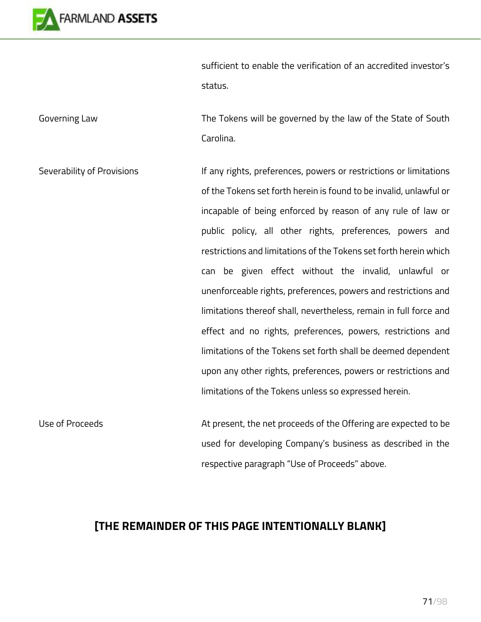

sufficient to enable the verification of an accredited investor's status.

Governing Law The Tokens will be governed by the law of the State of South Carolina.

Severability of Provisions **If any rights, preferences, powers or restrictions or limitations** of the Tokens set forth herein is found to be invalid, unlawful or incapable of being enforced by reason of any rule of law or public policy, all other rights, preferences, powers and restrictions and limitations of the Tokens set forth herein which can be given effect without the invalid, unlawful or unenforceable rights, preferences, powers and restrictions and limitations thereof shall, nevertheless, remain in full force and effect and no rights, preferences, powers, restrictions and limitations of the Tokens set forth shall be deemed dependent upon any other rights, preferences, powers or restrictions and limitations of the Tokens unless so expressed herein.

Use of Proceeds **At present, the net proceeds of the Offering are expected to be** used for developing Company's business as described in the respective paragraph "Use of Proceeds" above.

## **[THE REMAINDER OF THIS PAGE INTENTIONALLY BLANK]**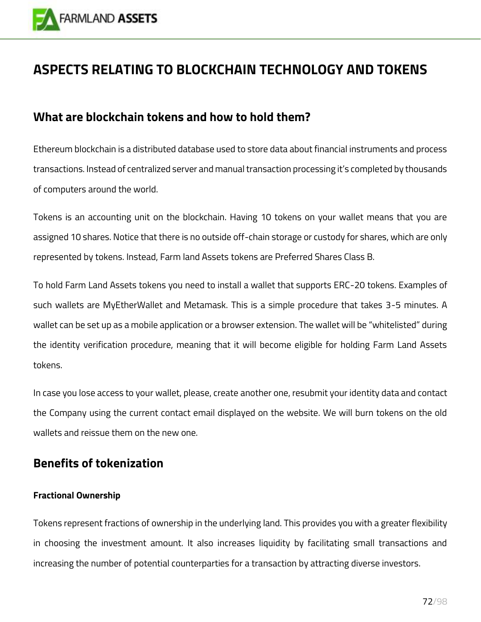

# **ASPECTS RELATING TO BLOCKCHAIN TECHNOLOGY AND TOKENS**

# **What are blockchain tokens and how to hold them?**

Ethereum blockchain is a distributed database used to store data about financial instruments and process transactions. Instead of centralized server and manual transaction processing it's completed by thousands of computers around the world.

Tokens is an accounting unit on the blockchain. Having 10 tokens on your wallet means that you are assigned 10 shares. Notice that there is no outside off-chain storage or custody for shares, which are only represented by tokens. Instead, Farm land Assets tokens are Preferred Shares Class B.

To hold Farm Land Assets tokens you need to install a wallet that supports ERC-20 tokens. Examples of such wallets are MyEtherWallet and Metamask. This is a simple procedure that takes 3-5 minutes. A wallet can be set up as a mobile application or a browser extension. The wallet will be "whitelisted" during the identity verification procedure, meaning that it will become eligible for holding Farm Land Assets tokens.

In case you lose access to your wallet, please, create another one, resubmit your identity data and contact the Company using the current contact email displayed on the website. We will burn tokens on the old wallets and reissue them on the new one.

## **Benefits of tokenization**

#### **Fractional Ownership**

Tokens represent fractions of ownership in the underlying land. This provides you with a greater flexibility in choosing the investment amount. It also increases liquidity by facilitating small transactions and increasing the number of potential counterparties for a transaction by attracting diverse investors.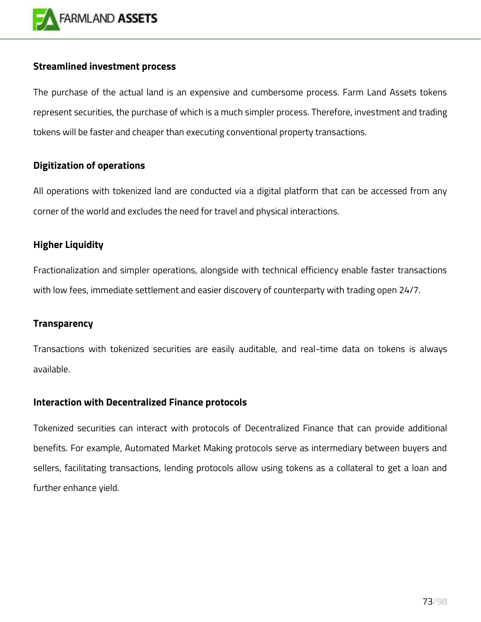

### **Streamlined investment process**

The purchase of the actual land is an expensive and cumbersome process. Farm Land Assets tokens represent securities, the purchase of which is a much simpler process. Therefore, investment and trading tokens will be faster and cheaper than executing conventional property transactions.

### **Digitization of operations**

All operations with tokenized land are conducted via a digital platform that can be accessed from any corner of the world and excludes the need for travel and physical interactions.

### **Higher Liquidity**

Fractionalization and simpler operations, alongside with technical efficiency enable faster transactions with low fees, immediate settlement and easier discovery of counterparty with trading open 24/7.

### **Transparency**

Transactions with tokenized securities are easily auditable, and real-time data on tokens is always available.

### **Interaction with Decentralized Finance protocols**

Tokenized securities can interact with protocols of Decentralized Finance that can provide additional benefits. For example, Automated Market Making protocols serve as intermediary between buyers and sellers, facilitating transactions, lending protocols allow using tokens as a collateral to get a loan and further enhance yield.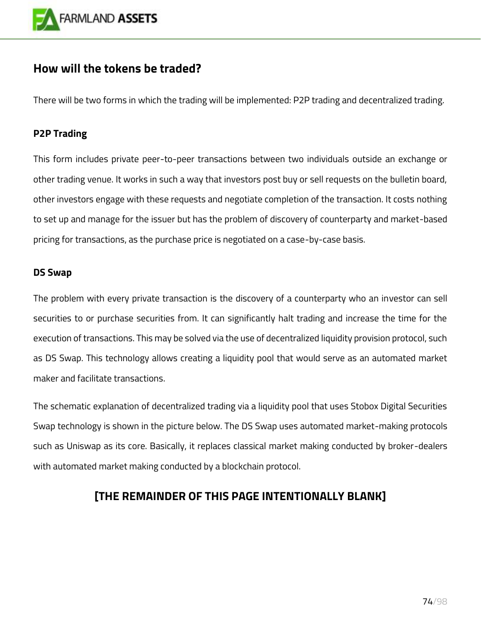

### **How will the tokens be traded?**

There will be two forms in which the trading will be implemented: P2P trading and decentralized trading.

### **P2P Trading**

This form includes private peer-to-peer transactions between two individuals outside an exchange or other trading venue. It works in such a way that investors post buy or sell requests on the bulletin board, other investors engage with these requests and negotiate completion of the transaction. It costs nothing to set up and manage for the issuer but has the problem of discovery of counterparty and market-based pricing for transactions, as the purchase price is negotiated on a case-by-case basis.

### **DS Swap**

The problem with every private transaction is the discovery of a counterparty who an investor can sell securities to or purchase securities from. It can significantly halt trading and increase the time for the execution of transactions. This may be solved via the use of decentralized liquidity provision protocol, such as DS Swap. This technology allows creating a liquidity pool that would serve as an automated market maker and facilitate transactions.

The schematic explanation of decentralized trading via a liquidity pool that uses Stobox Digital Securities Swap technology is shown in the picture below. The DS Swap uses automated market-making protocols such as Uniswap as its core. Basically, it replaces classical market making conducted by broker-dealers with automated market making conducted by a blockchain protocol.

### **[THE REMAINDER OF THIS PAGE INTENTIONALLY BLANK]**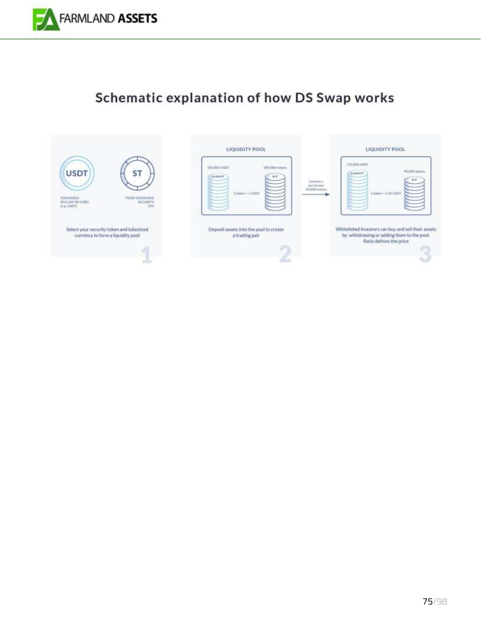

# Schematic explanation of how DS Swap works

|                                                                                                                                         | LIQUIDITY POOL                                                                 | LIQUIDITY POOL                                                                                                                                                  |
|-----------------------------------------------------------------------------------------------------------------------------------------|--------------------------------------------------------------------------------|-----------------------------------------------------------------------------------------------------------------------------------------------------------------|
| <b>USDT</b><br>S.<br><b>VOUR TOXENIZED</b><br><b>ROKERVIZED.</b><br><b>DOLLAR DE EURO</b><br><b><i>SECURITY</i></b><br>1991<br>[64.997] | SUULUUI hokeess<br>100 ANDER LENDE<br><b>LIGEST</b><br>15.7<br>Elizave + EUSEP | 110300018807<br>VOLDOS tuberni<br><b>MEDT</b><br>吉下<br><b>Telescitors</b><br>perchives<br>10.000 tokers<br>This - 122 USD                                       |
| Select your security token and tokenized<br>currency to form a liquidity pool                                                           | Deposit assets into the pool to create<br>a trading pair                       | Whitelisted investors can buy and sell their assets<br>by withdrawing or adding them to the pool.<br>Ratio defines the price<br><b>CONTRACTOR</b> IS CONTRACTOR |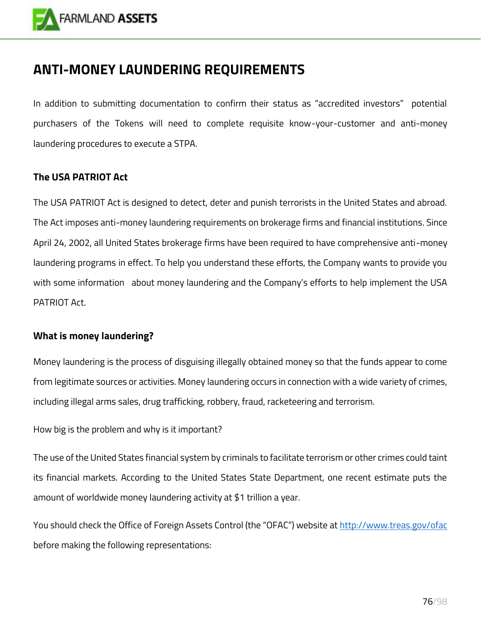

# **ANTI-MONEY LAUNDERING REQUIREMENTS**

In addition to submitting documentation to confirm their status as "accredited investors" potential purchasers of the Tokens will need to complete requisite know-your-customer and anti-money laundering procedures to execute a STPA.

### **The USA PATRIOT Act**

The USA PATRIOT Act is designed to detect, deter and punish terrorists in the United States and abroad. The Act imposes anti-money laundering requirements on brokerage firms and financial institutions. Since April 24, 2002, all United States brokerage firms have been required to have comprehensive anti-money laundering programs in effect. To help you understand these efforts, the Company wants to provide you with some information about money laundering and the Company's efforts to help implement the USA PATRIOT Act.

### **What is money laundering?**

Money laundering is the process of disguising illegally obtained money so that the funds appear to come from legitimate sources or activities. Money laundering occurs in connection with a wide variety of crimes, including illegal arms sales, drug trafficking, robbery, fraud, racketeering and terrorism.

How big is the problem and why is it important?

The use of the United States financial system by criminals to facilitate terrorism or other crimes could taint its financial markets. According to the United States State Department, one recent estimate puts the amount of worldwide money laundering activity at \$1 trillion a year.

You should check the Office of Foreign Assets Control (the "OFAC") website at <http://www.treas.gov/ofac> before making the following representations: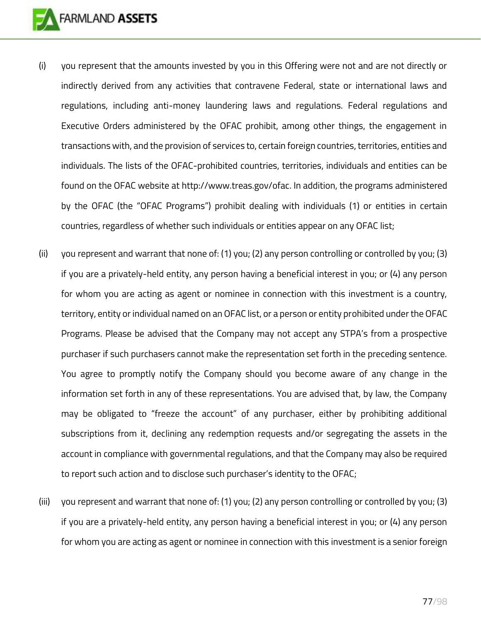- (i) you represent that the amounts invested by you in this Offering were not and are not directly or indirectly derived from any activities that contravene Federal, state or international laws and regulations, including anti-money laundering laws and regulations. Federal regulations and Executive Orders administered by the OFAC prohibit, among other things, the engagement in transactions with, and the provision of services to, certain foreign countries, territories, entities and individuals. The lists of the OFAC-prohibited countries, territories, individuals and entities can be found on the OFAC website at [http://www.treas.gov/ofac.](http://www.treas.gov/ofac) In addition, the programs administered by the OFAC (the "OFAC Programs") prohibit dealing with individuals (1) or entities in certain countries, regardless of whether such individuals or entities appear on any OFAC list;
- (ii) you represent and warrant that none of: (1) you; (2) any person controlling or controlled by you; (3) if you are a privately-held entity, any person having a beneficial interest in you; or (4) any person for whom you are acting as agent or nominee in connection with this investment is a country, territory, entity or individual named on an OFAC list, or a person or entity prohibited under the OFAC Programs. Please be advised that the Company may not accept any STPA's from a prospective purchaser if such purchasers cannot make the representation set forth in the preceding sentence. You agree to promptly notify the Company should you become aware of any change in the information set forth in any of these representations. You are advised that, by law, the Company may be obligated to "freeze the account" of any purchaser, either by prohibiting additional subscriptions from it, declining any redemption requests and/or segregating the assets in the account in compliance with governmental regulations, and that the Company may also be required to report such action and to disclose such purchaser's identity to the OFAC;
- (iii) you represent and warrant that none of: (1) you; (2) any person controlling or controlled by you; (3) if you are a privately-held entity, any person having a beneficial interest in you; or (4) any person for whom you are acting as agent or nominee in connection with this investment is a senior foreign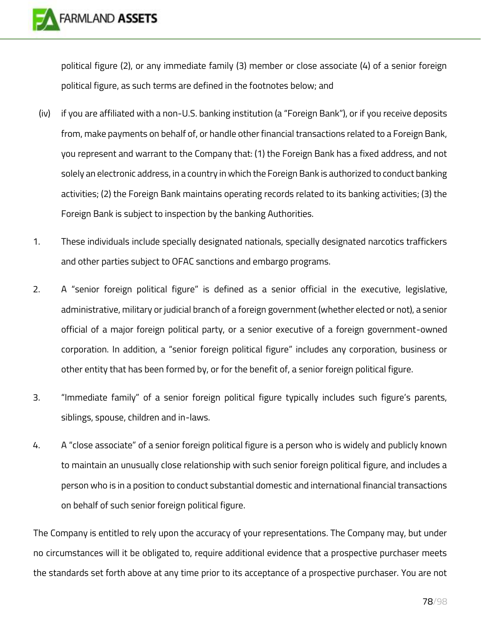

political figure (2), or any immediate family (3) member or close associate (4) of a senior foreign political figure, as such terms are defined in the footnotes below; and

- (iv) if you are affiliated with a non-U.S. banking institution (a "Foreign Bank"), or if you receive deposits from, make payments on behalf of, or handle other financial transactions related to a Foreign Bank, you represent and warrant to the Company that: (1) the Foreign Bank has a fixed address, and not solely an electronic address, in a country in which the Foreign Bank is authorized to conduct banking activities; (2) the Foreign Bank maintains operating records related to its banking activities; (3) the Foreign Bank is subject to inspection by the banking Authorities.
- 1. These individuals include specially designated nationals, specially designated narcotics traffickers and other parties subject to OFAC sanctions and embargo programs.
- 2. A "senior foreign political figure" is defined as a senior official in the executive, legislative, administrative, military or judicial branch of a foreign government (whether elected or not), a senior official of a major foreign political party, or a senior executive of a foreign government-owned corporation. In addition, a "senior foreign political figure" includes any corporation, business or other entity that has been formed by, or for the benefit of, a senior foreign political figure.
- 3. "Immediate family" of a senior foreign political figure typically includes such figure's parents, siblings, spouse, children and in-laws.
- 4. A "close associate" of a senior foreign political figure is a person who is widely and publicly known to maintain an unusually close relationship with such senior foreign political figure, and includes a person who is in a position to conduct substantial domestic and international financial transactions on behalf of such senior foreign political figure.

The Company is entitled to rely upon the accuracy of your representations. The Company may, but under no circumstances will it be obligated to, require additional evidence that a prospective purchaser meets the standards set forth above at any time prior to its acceptance of a prospective purchaser. You are not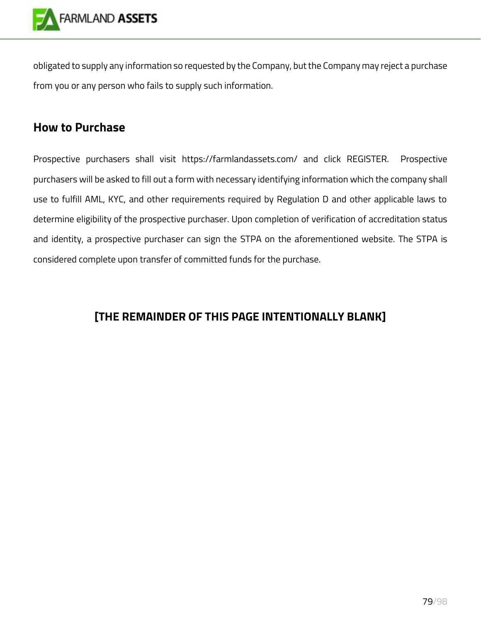

obligated to supply any information so requested by the Company, but the Company may reject a purchase from you or any person who fails to supply such information.

### **How to Purchase**

Prospective purchasers shall visit https://farmlandassets.com/ and click REGISTER. Prospective purchasers will be asked to fill out a form with necessary identifying information which the company shall use to fulfill AML, KYC, and other requirements required by Regulation D and other applicable laws to determine eligibility of the prospective purchaser. Upon completion of verification of accreditation status and identity, a prospective purchaser can sign the STPA on the aforementioned website. The STPA is considered complete upon transfer of committed funds for the purchase.

## **[THE REMAINDER OF THIS PAGE INTENTIONALLY BLANK]**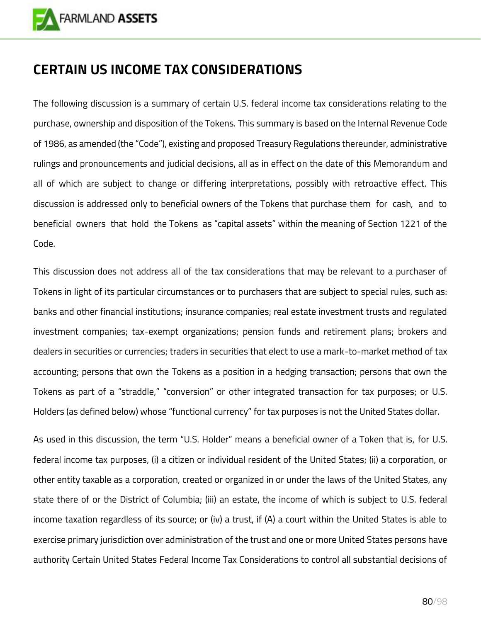

# **CERTAIN US INCOME TAX CONSIDERATIONS**

The following discussion is a summary of certain U.S. federal income tax considerations relating to the purchase, ownership and disposition of the Tokens. This summary is based on the Internal Revenue Code of 1986, as amended (the "Code"), existing and proposed Treasury Regulations thereunder, administrative rulings and pronouncements and judicial decisions, all as in effect on the date of this Memorandum and all of which are subject to change or differing interpretations, possibly with retroactive effect. This discussion is addressed only to beneficial owners of the Tokens that purchase them for cash, and to beneficial owners that hold the Tokens as "capital assets" within the meaning of Section 1221 of the Code.

This discussion does not address all of the tax considerations that may be relevant to a purchaser of Tokens in light of its particular circumstances or to purchasers that are subject to special rules, such as: banks and other financial institutions; insurance companies; real estate investment trusts and regulated investment companies; tax-exempt organizations; pension funds and retirement plans; brokers and dealers in securities or currencies; traders in securities that elect to use a mark-to-market method of tax accounting; persons that own the Tokens as a position in a hedging transaction; persons that own the Tokens as part of a "straddle," "conversion" or other integrated transaction for tax purposes; or U.S. Holders (as defined below) whose "functional currency" for tax purposes is not the United States dollar.

As used in this discussion, the term "U.S. Holder" means a beneficial owner of a Token that is, for U.S. federal income tax purposes, (i) a citizen or individual resident of the United States; (ii) a corporation, or other entity taxable as a corporation, created or organized in or under the laws of the United States, any state there of or the District of Columbia; (iii) an estate, the income of which is subject to U.S. federal income taxation regardless of its source; or (iv) a trust, if (A) a court within the United States is able to exercise primary jurisdiction over administration of the trust and one or more United States persons have authority Certain United States Federal Income Tax Considerations to control all substantial decisions of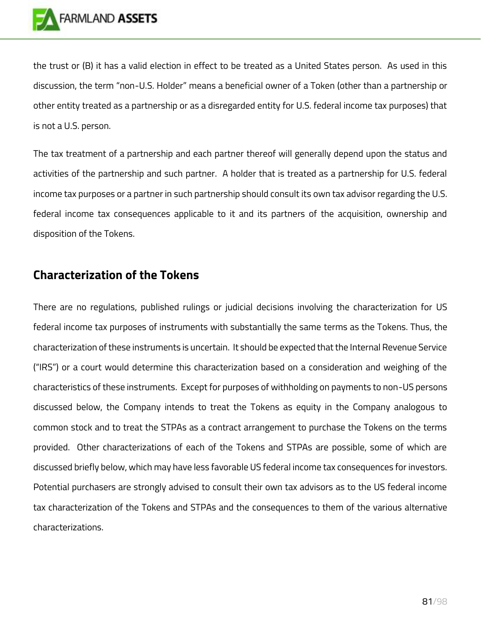

the trust or (B) it has a valid election in effect to be treated as a United States person. As used in this discussion, the term "non-U.S. Holder" means a beneficial owner of a Token (other than a partnership or other entity treated as a partnership or as a disregarded entity for U.S. federal income tax purposes) that is not a U.S. person.

The tax treatment of a partnership and each partner thereof will generally depend upon the status and activities of the partnership and such partner. A holder that is treated as a partnership for U.S. federal income tax purposes or a partner in such partnership should consult its own tax advisor regarding the U.S. federal income tax consequences applicable to it and its partners of the acquisition, ownership and disposition of the Tokens.

### **Characterization of the Tokens**

There are no regulations, published rulings or judicial decisions involving the characterization for US federal income tax purposes of instruments with substantially the same terms as the Tokens. Thus, the characterization of these instruments is uncertain. It should be expected that the Internal Revenue Service ("IRS") or a court would determine this characterization based on a consideration and weighing of the characteristics of these instruments. Except for purposes of withholding on payments to non-US persons discussed below, the Company intends to treat the Tokens as equity in the Company analogous to common stock and to treat the STPAs as a contract arrangement to purchase the Tokens on the terms provided. Other characterizations of each of the Tokens and STPAs are possible, some of which are discussed briefly below, which may have less favorable US federal income tax consequences for investors. Potential purchasers are strongly advised to consult their own tax advisors as to the US federal income tax characterization of the Tokens and STPAs and the consequences to them of the various alternative characterizations.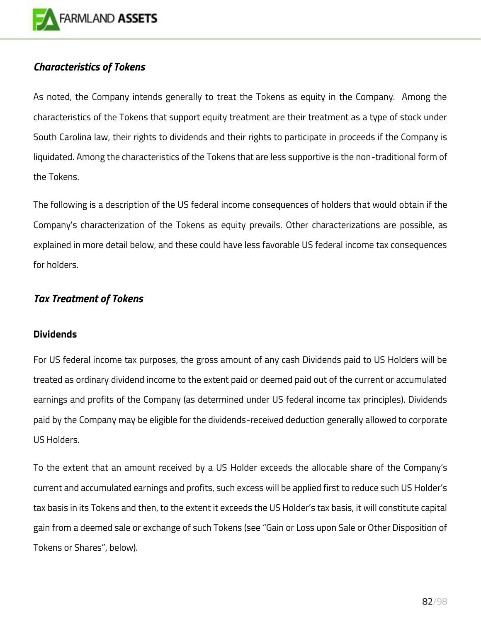

### *Characteristics of Tokens*

As noted, the Company intends generally to treat the Tokens as equity in the Company. Among the characteristics of the Tokens that support equity treatment are their treatment as a type of stock under South Carolina law, their rights to dividends and their rights to participate in proceeds if the Company is liquidated. Among the characteristics of the Tokens that are less supportive is the non-traditional form of the Tokens.

The following is a description of the US federal income consequences of holders that would obtain if the Company's characterization of the Tokens as equity prevails. Other characterizations are possible, as explained in more detail below, and these could have less favorable US federal income tax consequences for holders.

### *Tax Treatment of Tokens*

### **Dividends**

For US federal income tax purposes, the gross amount of any cash Dividends paid to US Holders will be treated as ordinary dividend income to the extent paid or deemed paid out of the current or accumulated earnings and profits of the Company (as determined under US federal income tax principles). Dividends paid by the Company may be eligible for the dividends-received deduction generally allowed to corporate US Holders.

To the extent that an amount received by a US Holder exceeds the allocable share of the Company's current and accumulated earnings and profits, such excess will be applied first to reduce such US Holder's tax basis in its Tokens and then, to the extent it exceeds the US Holder's tax basis, it will constitute capital gain from a deemed sale or exchange of such Tokens (see "Gain or Loss upon Sale or Other Disposition of Tokens or Shares", below).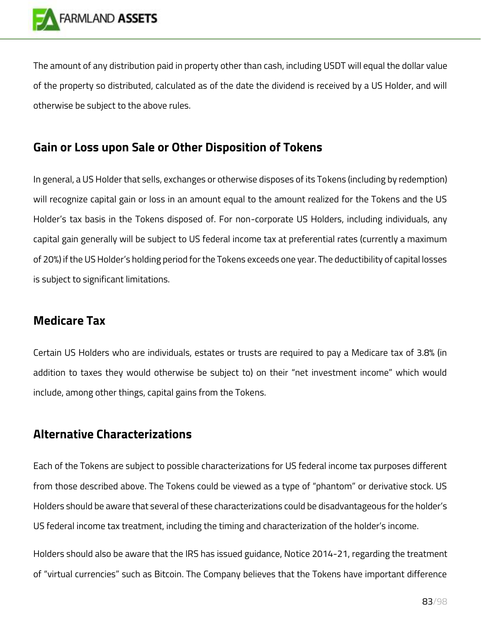The amount of any distribution paid in property other than cash, including USDT will equal the dollar value of the property so distributed, calculated as of the date the dividend is received by a US Holder, and will otherwise be subject to the above rules.

# **Gain or Loss upon Sale or Other Disposition of Tokens**

In general, a US Holder that sells, exchanges or otherwise disposes of its Tokens (including by redemption) will recognize capital gain or loss in an amount equal to the amount realized for the Tokens and the US Holder's tax basis in the Tokens disposed of. For non-corporate US Holders, including individuals, any capital gain generally will be subject to US federal income tax at preferential rates (currently a maximum of 20%) if the US Holder's holding period for the Tokens exceeds one year. The deductibility of capital losses is subject to significant limitations.

# **Medicare Tax**

Certain US Holders who are individuals, estates or trusts are required to pay a Medicare tax of 3.8% (in addition to taxes they would otherwise be subject to) on their "net investment income" which would include, among other things, capital gains from the Tokens.

# **Alternative Characterizations**

Each of the Tokens are subject to possible characterizations for US federal income tax purposes different from those described above. The Tokens could be viewed as a type of "phantom" or derivative stock. US Holders should be aware that several of these characterizations could be disadvantageous for the holder's US federal income tax treatment, including the timing and characterization of the holder's income.

Holders should also be aware that the IRS has issued guidance, Notice 2014-21, regarding the treatment of "virtual currencies" such as Bitcoin. The Company believes that the Tokens have important difference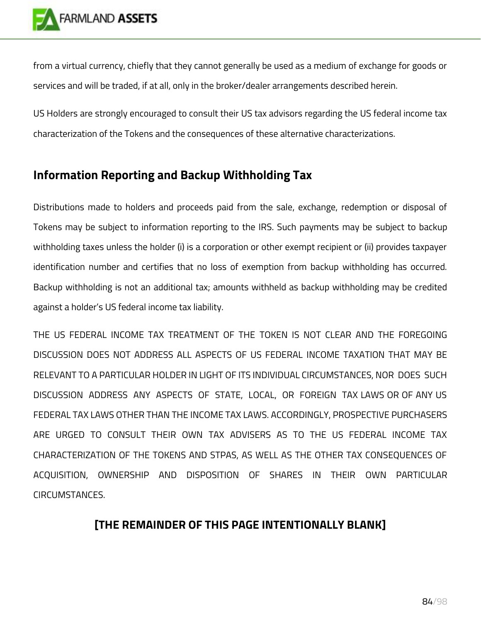from a virtual currency, chiefly that they cannot generally be used as a medium of exchange for goods or services and will be traded, if at all, only in the broker/dealer arrangements described herein.

US Holders are strongly encouraged to consult their US tax advisors regarding the US federal income tax characterization of the Tokens and the consequences of these alternative characterizations.

# **Information Reporting and Backup Withholding Tax**

Distributions made to holders and proceeds paid from the sale, exchange, redemption or disposal of Tokens may be subject to information reporting to the IRS. Such payments may be subject to backup withholding taxes unless the holder (i) is a corporation or other exempt recipient or (ii) provides taxpayer identification number and certifies that no loss of exemption from backup withholding has occurred. Backup withholding is not an additional tax; amounts withheld as backup withholding may be credited against a holder's US federal income tax liability.

THE US FEDERAL INCOME TAX TREATMENT OF THE TOKEN IS NOT CLEAR AND THE FOREGOING DISCUSSION DOES NOT ADDRESS ALL ASPECTS OF US FEDERAL INCOME TAXATION THAT MAY BE RELEVANT TO A PARTICULAR HOLDER IN LIGHT OF ITS INDIVIDUAL CIRCUMSTANCES, NOR DOES SUCH DISCUSSION ADDRESS ANY ASPECTS OF STATE, LOCAL, OR FOREIGN TAX LAWS OR OF ANY US FEDERAL TAX LAWS OTHER THAN THE INCOME TAX LAWS. ACCORDINGLY, PROSPECTIVE PURCHASERS ARE URGED TO CONSULT THEIR OWN TAX ADVISERS AS TO THE US FEDERAL INCOME TAX CHARACTERIZATION OF THE TOKENS AND STPAS, AS WELL AS THE OTHER TAX CONSEQUENCES OF ACQUISITION, OWNERSHIP AND DISPOSITION OF SHARES IN THEIR OWN PARTICULAR CIRCUMSTANCES.

### **[THE REMAINDER OF THIS PAGE INTENTIONALLY BLANK]**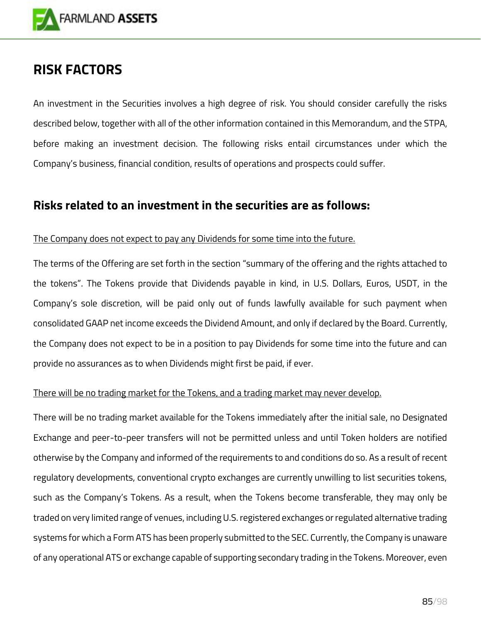

# **RISK FACTORS**

An investment in the Securities involves a high degree of risk. You should consider carefully the risks described below, together with all of the other information contained in this Memorandum, and the STPA, before making an investment decision. The following risks entail circumstances under which the Company's business, financial condition, results of operations and prospects could suffer.

### **Risks related to an investment in the securities are as follows:**

### The Company does not expect to pay any Dividends for some time into the future.

The terms of the Offering are set forth in the section "summary of the offering and the rights attached to the tokens". The Tokens provide that Dividends payable in kind, in U.S. Dollars, Euros, USDT, in the Company's sole discretion, will be paid only out of funds lawfully available for such payment when consolidated GAAP net income exceeds the Dividend Amount, and only if declared by the Board. Currently, the Company does not expect to be in a position to pay Dividends for some time into the future and can provide no assurances as to when Dividends might first be paid, if ever.

### There will be no trading market for the Tokens, and a trading market may never develop.

There will be no trading market available for the Tokens immediately after the initial sale, no Designated Exchange and peer-to-peer transfers will not be permitted unless and until Token holders are notified otherwise by the Company and informed of the requirements to and conditions do so. As a result of recent regulatory developments, conventional crypto exchanges are currently unwilling to list securities tokens, such as the Company's Tokens. As a result, when the Tokens become transferable, they may only be traded on very limited range of venues, including U.S. registered exchanges or regulated alternative trading systems for which a Form ATS has been properly submitted to the SEC. Currently, the Company is unaware of any operational ATS or exchange capable of supporting secondary trading in the Tokens. Moreover, even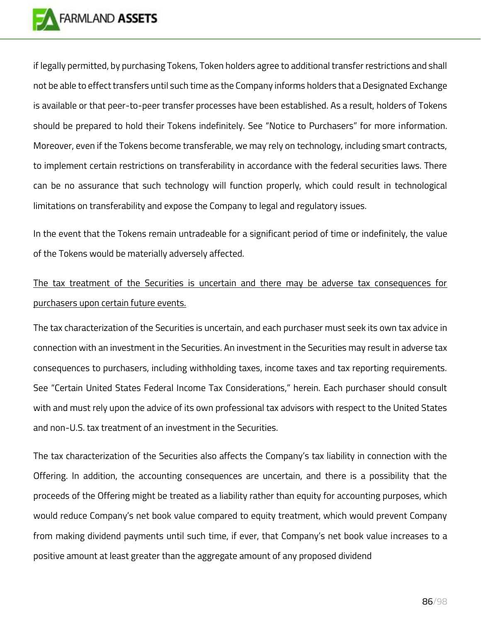

if legally permitted, by purchasing Tokens, Token holders agree to additional transfer restrictions and shall not be able to effect transfers until such time as the Company informs holders that a Designated Exchange is available or that peer-to-peer transfer processes have been established. As a result, holders of Tokens should be prepared to hold their Tokens indefinitely. See "Notice to Purchasers" for more information. Moreover, even if the Tokens become transferable, we may rely on technology, including smart contracts, to implement certain restrictions on transferability in accordance with the federal securities laws. There can be no assurance that such technology will function properly, which could result in technological limitations on transferability and expose the Company to legal and regulatory issues.

In the event that the Tokens remain untradeable for a significant period of time or indefinitely, the value of the Tokens would be materially adversely affected.

# The tax treatment of the Securities is uncertain and there may be adverse tax consequences for purchasers upon certain future events.

The tax characterization of the Securities is uncertain, and each purchaser must seek its own tax advice in connection with an investment in the Securities. An investment in the Securities may result in adverse tax consequences to purchasers, including withholding taxes, income taxes and tax reporting requirements. See "Certain United States Federal Income Tax Considerations," herein. Each purchaser should consult with and must rely upon the advice of its own professional tax advisors with respect to the United States and non-U.S. tax treatment of an investment in the Securities.

The tax characterization of the Securities also affects the Company's tax liability in connection with the Offering. In addition, the accounting consequences are uncertain, and there is a possibility that the proceeds of the Offering might be treated as a liability rather than equity for accounting purposes, which would reduce Company's net book value compared to equity treatment, which would prevent Company from making dividend payments until such time, if ever, that Company's net book value increases to a positive amount at least greater than the aggregate amount of any proposed dividend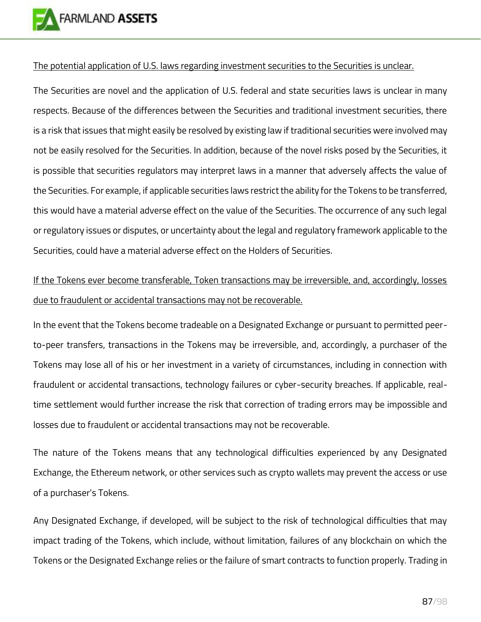

#### The potential application of U.S. laws regarding investment securities to the Securities is unclear.

The Securities are novel and the application of U.S. federal and state securities laws is unclear in many respects. Because of the differences between the Securities and traditional investment securities, there is a risk that issues that might easily be resolved by existing law if traditional securities were involved may not be easily resolved for the Securities. In addition, because of the novel risks posed by the Securities, it is possible that securities regulators may interpret laws in a manner that adversely affects the value of the Securities. For example, if applicable securities laws restrict the ability for the Tokens to be transferred, this would have a material adverse effect on the value of the Securities. The occurrence of any such legal or regulatory issues or disputes, or uncertainty about the legal and regulatory framework applicable to the Securities, could have a material adverse effect on the Holders of Securities.

If the Tokens ever become transferable, Token transactions may be irreversible, and, accordingly, losses due to fraudulent or accidental transactions may not be recoverable.

In the event that the Tokens become tradeable on a Designated Exchange or pursuant to permitted peerto-peer transfers, transactions in the Tokens may be irreversible, and, accordingly, a purchaser of the Tokens may lose all of his or her investment in a variety of circumstances, including in connection with fraudulent or accidental transactions, technology failures or cyber-security breaches. If applicable, realtime settlement would further increase the risk that correction of trading errors may be impossible and losses due to fraudulent or accidental transactions may not be recoverable.

The nature of the Tokens means that any technological difficulties experienced by any Designated Exchange, the Ethereum network, or other services such as crypto wallets may prevent the access or use of a purchaser's Tokens.

Any Designated Exchange, if developed, will be subject to the risk of technological difficulties that may impact trading of the Tokens, which include, without limitation, failures of any blockchain on which the Tokens or the Designated Exchange relies or the failure of smart contracts to function properly. Trading in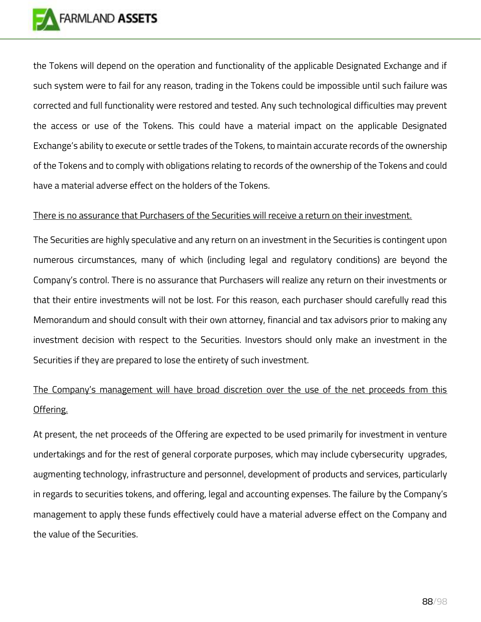

the Tokens will depend on the operation and functionality of the applicable Designated Exchange and if such system were to fail for any reason, trading in the Tokens could be impossible until such failure was corrected and full functionality were restored and tested. Any such technological difficulties may prevent the access or use of the Tokens. This could have a material impact on the applicable Designated Exchange's ability to execute or settle trades of the Tokens, to maintain accurate records of the ownership of the Tokens and to comply with obligations relating to records of the ownership of the Tokens and could have a material adverse effect on the holders of the Tokens.

#### There is no assurance that Purchasers of the Securities will receive a return on their investment.

The Securities are highly speculative and any return on an investment in the Securities is contingent upon numerous circumstances, many of which (including legal and regulatory conditions) are beyond the Company's control. There is no assurance that Purchasers will realize any return on their investments or that their entire investments will not be lost. For this reason, each purchaser should carefully read this Memorandum and should consult with their own attorney, financial and tax advisors prior to making any investment decision with respect to the Securities. Investors should only make an investment in the Securities if they are prepared to lose the entirety of such investment.

# The Company's management will have broad discretion over the use of the net proceeds from this Offering.

At present, the net proceeds of the Offering are expected to be used primarily for investment in venture undertakings and for the rest of general corporate purposes, which may include cybersecurity upgrades, augmenting technology, infrastructure and personnel, development of products and services, particularly in regards to securities tokens, and offering, legal and accounting expenses. The failure by the Company's management to apply these funds effectively could have a material adverse effect on the Company and the value of the Securities.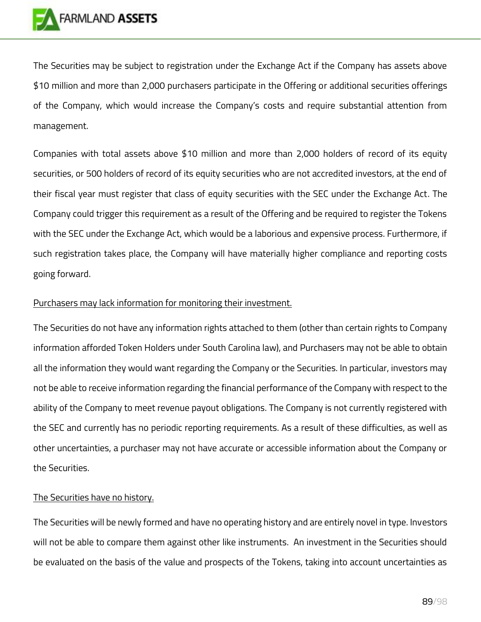The Securities may be subject to registration under the Exchange Act if the Company has assets above \$10 million and more than 2,000 purchasers participate in the Offering or additional securities offerings of the Company, which would increase the Company's costs and require substantial attention from management.

Companies with total assets above \$10 million and more than 2,000 holders of record of its equity securities, or 500 holders of record of its equity securities who are not accredited investors, at the end of their fiscal year must register that class of equity securities with the SEC under the Exchange Act. The Company could trigger this requirement as a result of the Offering and be required to register the Tokens with the SEC under the Exchange Act, which would be a laborious and expensive process. Furthermore, if such registration takes place, the Company will have materially higher compliance and reporting costs going forward.

### Purchasers may lack information for monitoring their investment.

The Securities do not have any information rights attached to them (other than certain rights to Company information afforded Token Holders under South Carolina law), and Purchasers may not be able to obtain all the information they would want regarding the Company or the Securities. In particular, investors may not be able to receive information regarding the financial performance of the Company with respect to the ability of the Company to meet revenue payout obligations. The Company is not currently registered with the SEC and currently has no periodic reporting requirements. As a result of these difficulties, as well as other uncertainties, a purchaser may not have accurate or accessible information about the Company or the Securities.

### The Securities have no history.

The Securities will be newly formed and have no operating history and are entirely novel in type. Investors will not be able to compare them against other like instruments. An investment in the Securities should be evaluated on the basis of the value and prospects of the Tokens, taking into account uncertainties as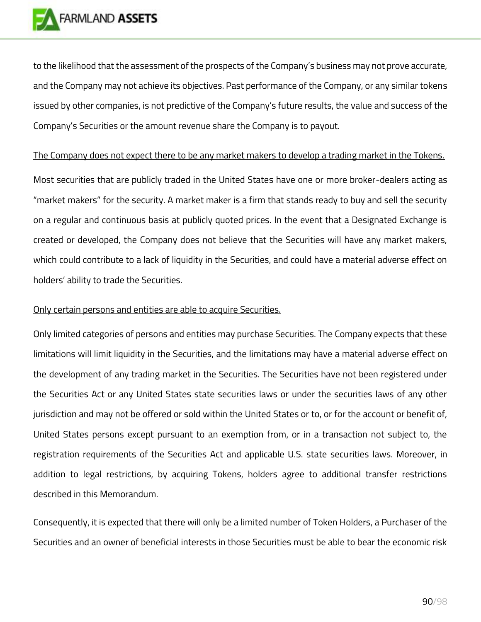

to the likelihood that the assessment of the prospects of the Company's business may not prove accurate, and the Company may not achieve its objectives. Past performance of the Company, or any similar tokens issued by other companies, is not predictive of the Company's future results, the value and success of the Company's Securities or the amount revenue share the Company is to payout.

#### The Company does not expect there to be any market makers to develop a trading market in the Tokens.

Most securities that are publicly traded in the United States have one or more broker-dealers acting as "market makers" for the security. A market maker is a firm that stands ready to buy and sell the security on a regular and continuous basis at publicly quoted prices. In the event that a Designated Exchange is created or developed, the Company does not believe that the Securities will have any market makers, which could contribute to a lack of liquidity in the Securities, and could have a material adverse effect on holders' ability to trade the Securities.

#### Only certain persons and entities are able to acquire Securities.

Only limited categories of persons and entities may purchase Securities. The Company expects that these limitations will limit liquidity in the Securities, and the limitations may have a material adverse effect on the development of any trading market in the Securities. The Securities have not been registered under the Securities Act or any United States state securities laws or under the securities laws of any other jurisdiction and may not be offered or sold within the United States or to, or for the account or benefit of, United States persons except pursuant to an exemption from, or in a transaction not subject to, the registration requirements of the Securities Act and applicable U.S. state securities laws. Moreover, in addition to legal restrictions, by acquiring Tokens, holders agree to additional transfer restrictions described in this Memorandum.

Consequently, it is expected that there will only be a limited number of Token Holders, a Purchaser of the Securities and an owner of beneficial interests in those Securities must be able to bear the economic risk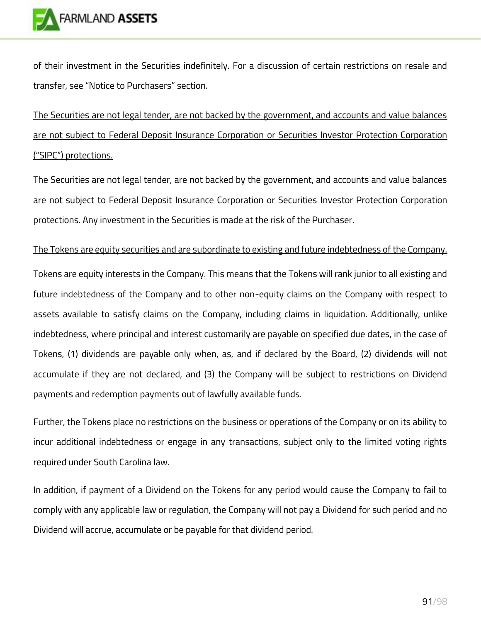of their investment in the Securities indefinitely. For a discussion of certain restrictions on resale and transfer, see "Notice to Purchasers" section.

The Securities are not legal tender, are not backed by the government, and accounts and value balances are not subject to Federal Deposit Insurance Corporation or Securities Investor Protection Corporation ("SIPC") protections.

The Securities are not legal tender, are not backed by the government, and accounts and value balances are not subject to Federal Deposit Insurance Corporation or Securities Investor Protection Corporation protections. Any investment in the Securities is made at the risk of the Purchaser.

#### The Tokens are equity securities and are subordinate to existing and future indebtedness of the Company.

Tokens are equity interests in the Company. This means that the Tokens will rank junior to all existing and future indebtedness of the Company and to other non-equity claims on the Company with respect to assets available to satisfy claims on the Company, including claims in liquidation. Additionally, unlike indebtedness, where principal and interest customarily are payable on specified due dates, in the case of Tokens, (1) dividends are payable only when, as, and if declared by the Board, (2) dividends will not accumulate if they are not declared, and (3) the Company will be subject to restrictions on Dividend payments and redemption payments out of lawfully available funds.

Further, the Tokens place no restrictions on the business or operations of the Company or on its ability to incur additional indebtedness or engage in any transactions, subject only to the limited voting rights required under South Carolina law.

In addition, if payment of a Dividend on the Tokens for any period would cause the Company to fail to comply with any applicable law or regulation, the Company will not pay a Dividend for such period and no Dividend will accrue, accumulate or be payable for that dividend period.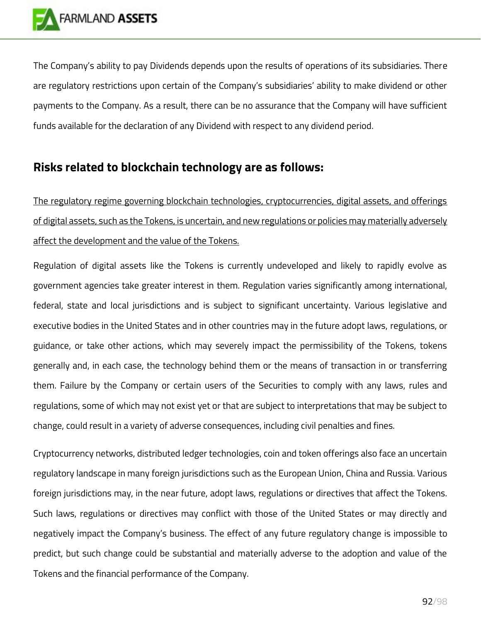

The Company's ability to pay Dividends depends upon the results of operations of its subsidiaries. There are regulatory restrictions upon certain of the Company's subsidiaries' ability to make dividend or other payments to the Company. As a result, there can be no assurance that the Company will have sufficient funds available for the declaration of any Dividend with respect to any dividend period.

### **Risks related to blockchain technology are as follows:**

The regulatory regime governing blockchain technologies, cryptocurrencies, digital assets, and offerings of digital assets, such as the Tokens, is uncertain, and new regulations or policies may materially adversely affect the development and the value of the Tokens.

Regulation of digital assets like the Tokens is currently undeveloped and likely to rapidly evolve as government agencies take greater interest in them. Regulation varies significantly among international, federal, state and local jurisdictions and is subject to significant uncertainty. Various legislative and executive bodies in the United States and in other countries may in the future adopt laws, regulations, or guidance, or take other actions, which may severely impact the permissibility of the Tokens, tokens generally and, in each case, the technology behind them or the means of transaction in or transferring them. Failure by the Company or certain users of the Securities to comply with any laws, rules and regulations, some of which may not exist yet or that are subject to interpretations that may be subject to change, could result in a variety of adverse consequences, including civil penalties and fines.

Cryptocurrency networks, distributed ledger technologies, coin and token offerings also face an uncertain regulatory landscape in many foreign jurisdictions such as the European Union, China and Russia. Various foreign jurisdictions may, in the near future, adopt laws, regulations or directives that affect the Tokens. Such laws, regulations or directives may conflict with those of the United States or may directly and negatively impact the Company's business. The effect of any future regulatory change is impossible to predict, but such change could be substantial and materially adverse to the adoption and value of the Tokens and the financial performance of the Company.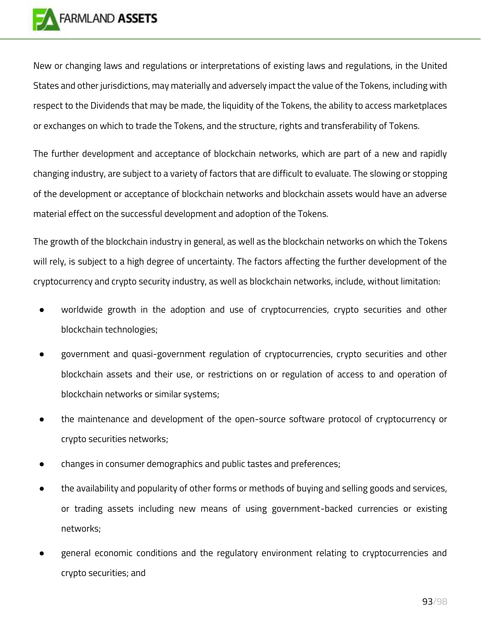

New or changing laws and regulations or interpretations of existing laws and regulations, in the United States and other jurisdictions, may materially and adversely impact the value of the Tokens, including with respect to the Dividends that may be made, the liquidity of the Tokens, the ability to access marketplaces or exchanges on which to trade the Tokens, and the structure, rights and transferability of Tokens.

The further development and acceptance of blockchain networks, which are part of a new and rapidly changing industry, are subject to a variety of factors that are difficult to evaluate. The slowing or stopping of the development or acceptance of blockchain networks and blockchain assets would have an adverse material effect on the successful development and adoption of the Tokens.

The growth of the blockchain industry in general, as well as the blockchain networks on which the Tokens will rely, is subject to a high degree of uncertainty. The factors affecting the further development of the cryptocurrency and crypto security industry, as well as blockchain networks, include, without limitation:

- worldwide growth in the adoption and use of cryptocurrencies, crypto securities and other blockchain technologies;
- government and quasi-government regulation of cryptocurrencies, crypto securities and other blockchain assets and their use, or restrictions on or regulation of access to and operation of blockchain networks or similar systems;
- the maintenance and development of the open-source software protocol of cryptocurrency or crypto securities networks;
- changes in consumer demographics and public tastes and preferences;
- the availability and popularity of other forms or methods of buying and selling goods and services, or trading assets including new means of using government-backed currencies or existing networks;
- general economic conditions and the regulatory environment relating to cryptocurrencies and crypto securities; and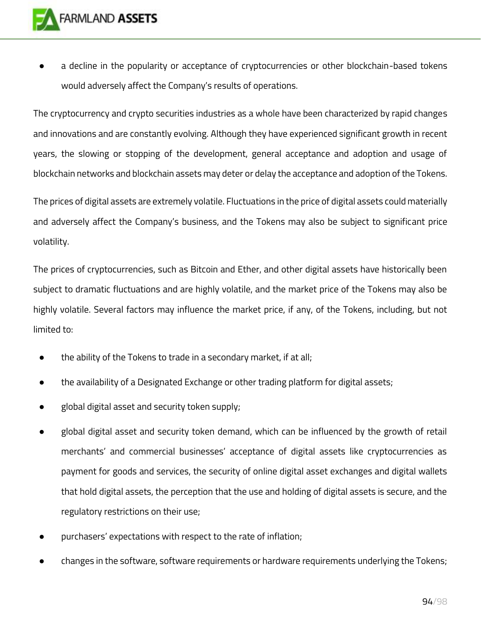

a decline in the popularity or acceptance of cryptocurrencies or other blockchain-based tokens would adversely affect the Company's results of operations.

The cryptocurrency and crypto securities industries as a whole have been characterized by rapid changes and innovations and are constantly evolving. Although they have experienced significant growth in recent years, the slowing or stopping of the development, general acceptance and adoption and usage of blockchain networks and blockchain assets may deter or delay the acceptance and adoption of the Tokens.

The prices of digital assets are extremely volatile. Fluctuations in the price of digital assets could materially and adversely affect the Company's business, and the Tokens may also be subject to significant price volatility.

The prices of cryptocurrencies, such as Bitcoin and Ether, and other digital assets have historically been subject to dramatic fluctuations and are highly volatile, and the market price of the Tokens may also be highly volatile. Several factors may influence the market price, if any, of the Tokens, including, but not limited to:

- the ability of the Tokens to trade in a secondary market, if at all;
- the availability of a Designated Exchange or other trading platform for digital assets;
- global digital asset and security token supply;
- global digital asset and security token demand, which can be influenced by the growth of retail merchants' and commercial businesses' acceptance of digital assets like cryptocurrencies as payment for goods and services, the security of online digital asset exchanges and digital wallets that hold digital assets, the perception that the use and holding of digital assets is secure, and the regulatory restrictions on their use;
- purchasers' expectations with respect to the rate of inflation;
- changes in the software, software requirements or hardware requirements underlying the Tokens;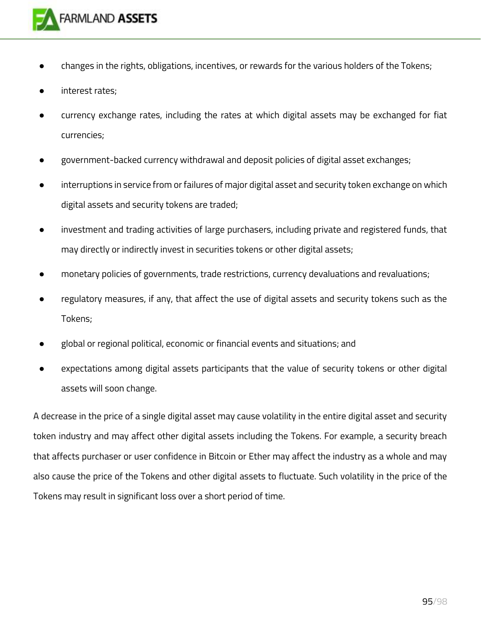

- changes in the rights, obligations, incentives, or rewards for the various holders of the Tokens;
- interest rates;
- currency exchange rates, including the rates at which digital assets may be exchanged for fiat currencies;
- government-backed currency withdrawal and deposit policies of digital asset exchanges;
- interruptions in service from or failures of major digital asset and security token exchange on which digital assets and security tokens are traded;
- investment and trading activities of large purchasers, including private and registered funds, that may directly or indirectly invest in securities tokens or other digital assets;
- monetary policies of governments, trade restrictions, currency devaluations and revaluations;
- regulatory measures, if any, that affect the use of digital assets and security tokens such as the Tokens;
- global or regional political, economic or financial events and situations; and
- expectations among digital assets participants that the value of security tokens or other digital assets will soon change.

A decrease in the price of a single digital asset may cause volatility in the entire digital asset and security token industry and may affect other digital assets including the Tokens. For example, a security breach that affects purchaser or user confidence in Bitcoin or Ether may affect the industry as a whole and may also cause the price of the Tokens and other digital assets to fluctuate. Such volatility in the price of the Tokens may result in significant loss over a short period of time.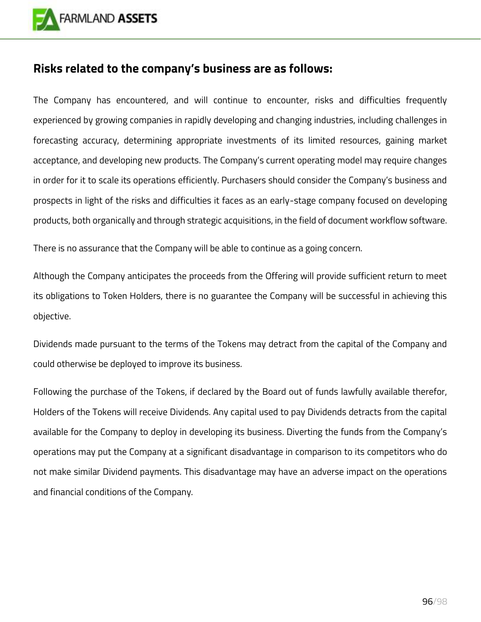

### **Risks related to the company's business are as follows:**

The Company has encountered, and will continue to encounter, risks and difficulties frequently experienced by growing companies in rapidly developing and changing industries, including challenges in forecasting accuracy, determining appropriate investments of its limited resources, gaining market acceptance, and developing new products. The Company's current operating model may require changes in order for it to scale its operations efficiently. Purchasers should consider the Company's business and prospects in light of the risks and difficulties it faces as an early-stage company focused on developing products, both organically and through strategic acquisitions, in the field of document workflow software.

There is no assurance that the Company will be able to continue as a going concern.

Although the Company anticipates the proceeds from the Offering will provide sufficient return to meet its obligations to Token Holders, there is no guarantee the Company will be successful in achieving this objective.

Dividends made pursuant to the terms of the Tokens may detract from the capital of the Company and could otherwise be deployed to improve its business.

Following the purchase of the Tokens, if declared by the Board out of funds lawfully available therefor, Holders of the Tokens will receive Dividends. Any capital used to pay Dividends detracts from the capital available for the Company to deploy in developing its business. Diverting the funds from the Company's operations may put the Company at a significant disadvantage in comparison to its competitors who do not make similar Dividend payments. This disadvantage may have an adverse impact on the operations and financial conditions of the Company.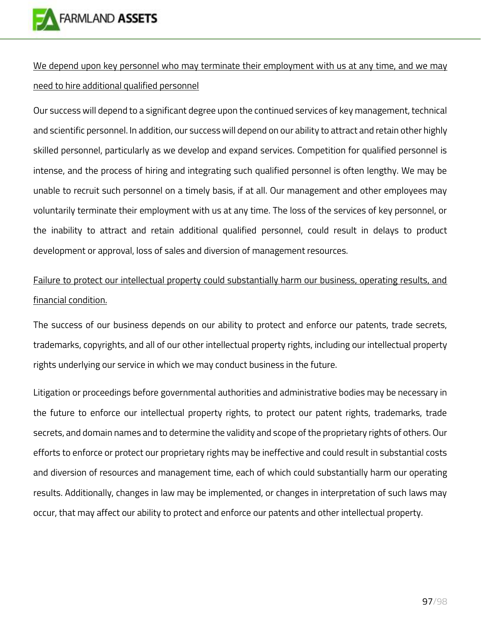

We depend upon key personnel who may terminate their employment with us at any time, and we may need to hire additional qualified personnel

Our success will depend to a significant degree upon the continued services of key management, technical and scientific personnel. In addition, our success will depend on our ability to attract and retain other highly skilled personnel, particularly as we develop and expand services. Competition for qualified personnel is intense, and the process of hiring and integrating such qualified personnel is often lengthy. We may be unable to recruit such personnel on a timely basis, if at all. Our management and other employees may voluntarily terminate their employment with us at any time. The loss of the services of key personnel, or the inability to attract and retain additional qualified personnel, could result in delays to product development or approval, loss of sales and diversion of management resources.

Failure to protect our intellectual property could substantially harm our business, operating results, and financial condition.

The success of our business depends on our ability to protect and enforce our patents, trade secrets, trademarks, copyrights, and all of our other intellectual property rights, including our intellectual property rights underlying our service in which we may conduct business in the future.

Litigation or proceedings before governmental authorities and administrative bodies may be necessary in the future to enforce our intellectual property rights, to protect our patent rights, trademarks, trade secrets, and domain names and to determine the validity and scope of the proprietary rights of others. Our efforts to enforce or protect our proprietary rights may be ineffective and could result in substantial costs and diversion of resources and management time, each of which could substantially harm our operating results. Additionally, changes in law may be implemented, or changes in interpretation of such laws may occur, that may affect our ability to protect and enforce our patents and other intellectual property.